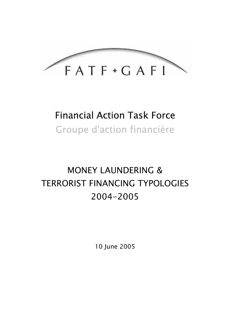

# Financial Action Task Force Groupe d'action financière

# MONEY LAUNDERING & TERRORIST FINANCING TYPOLOGIES 2004-2005

10 June 2005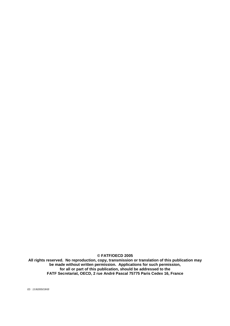**© FATF/OECD 2005 All rights reserved. No reproduction, copy, transmission or translation of this publication may be made without written permission. Applications for such permission, for all or part of this publication, should be addressed to the FATF Secretariat, OECD, 2 rue André Pascal 75775 Paris Cedex 16, France**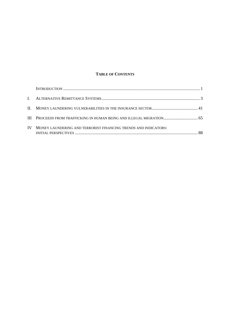# **TABLE OF CONTENTS**

| III PROCEEDS FROM TRAFFICKING IN HUMAN BEING AND ILLEGAL MIGRATION 65 |  |
|-----------------------------------------------------------------------|--|
| IV MONEY LAUNDERING AND TERRORIST FINANCING TRENDS AND INDICATORS:    |  |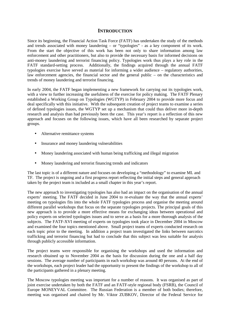# **INTRODUCTION**

Since its beginning, the Financial Action Task Force (FATF) has undertaken the study of the methods and trends associated with money laundering – or "typologies" - as a key component of its work. From the start the objective of this work has been not only to share information among law enforcement and other practitioners, but also to provide the necessary basis for informed decisions on anti-money laundering and terrorist financing policy. Typologies work thus plays a key role in the FATF standard-setting process. Additionally, the findings acquired through the annual FATF typologies exercise have served as material for informing a wider audience – regulatory authorities, law enforcement agencies, the financial sector and the general public – on the characteristics and trends of money laundering and terrorist financing.

In early 2004, the FATF began implementing a new framework for carrying out its typologies work, with a view to further increasing the usefulness of the exercise for policy making. The FATF Plenary established a Working Group on Typologies (WGTYP) in February 2004 to provide more focus and deal specifically with this initiative. With the subsequent creation of project teams to examine a series of defined typologies issues, the WGTYP set up a mechanism that could thus deliver more in-depth research and analysis than had previously been the case. This year's report is a reflection of this new approach and focuses on the following issues, which have all been researched by separate project groups.

- Alternative remittance systems
- Insurance and money laundering vulnerabilities
- Money laundering associated with human being trafficking and illegal migration
- Money laundering and terrorist financing trends and indicators

The last topic is of a different nature and focuses on developing a "methodology" to examine ML and TF. The project is ongoing and a first progress report reflecting the initial steps and general approach taken by the project team is included as a small chapter in this year's report.

The new approach to investigating typologies has also had an impact on the organisation of the annual experts' meeting. The FATF decided in June 2004 to re-evaluate the way that the annual experts' meeting on typologies fits into the whole FATF typologies process and organise the meeting around different parallel workshops that focus on the separate typologies projects. The principal goals of this new approach is to provide a more effective means for exchanging ideas between operational and policy experts on selected typologies issues and to serve as a basis for a more thorough analysis of the subjects. The FATF-XVI meeting of experts on typologies took place in December 2004 in Moscow and examined the four topics mentioned above. Small project teams of experts conducted research on each topic prior to the meeting. In addition a project team investigated the links between narcotics trafficking and terrorist financing but had to conclude that this subject was less suitable for analysis through publicly accessible information.

The project teams were responsible for organising the workshops and used the information and research obtained up to November 2004 as the basis for discussion during the one and a half day sessions. The average number of participants in each workshop was around 40 persons. At the end of the workshops, each project leader had the opportunity to present the findings of the workshop to all of the participants gathered in a plenary meeting.

The Moscow typologies meeting was important for a number of reasons. It was organised as part of joint exercise undertaken by both the FATF and an FATF-style regional body (FSRB), the Council of Europe MONEYVAL Committee. The Russian Federation is a member of both bodies; therefore, meeting was organised and chaired by Mr. Viktor ZUBKOV, Director of the Federal Service for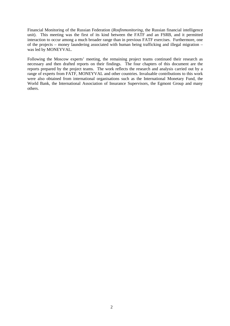Financial Monitoring of the Russian Federation (*Rosfinmonitoring*, the Russian financial intelligence unit). This meeting was the first of its kind between the FATF and an FSRB, and it permitted interaction to occur among a much broader range than in previous FATF exercises. Furthermore, one of the projects – money laundering associated with human being trafficking and illegal migration – was led by MONEYVAL.

Following the Moscow experts' meeting, the remaining project teams continued their research as necessary and then drafted reports on their findings. The four chapters of this document are the reports prepared by the project teams. The work reflects the research and analysis carried out by a range of experts from FATF, MONEYVAL and other countries. Invaluable contributions to this work were also obtained from international organisations such as the International Monetary Fund, the World Bank, the International Association of Insurance Supervisors, the Egmont Group and many others.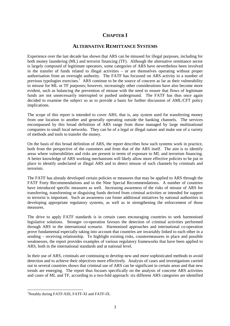# **CHAPTER I**

# **ALTERNATIVE REMITTANCE SYSTEMS**

Experience over the last decade has shown that ARS can be misused for illegal purposes, including for both money laundering (ML) and terrorist financing (TF). Although the alternative remittance sector is largely composed of legitimate operators, some categories of ARS have nevertheless been involved in the transfer of funds related to illegal activities – or are themselves operating without proper authorisation from an oversight authority. The FATF has focussed on ARS activity in a number of previous typologies exercises.<sup>1</sup> ARS continue to be the source of concern as far as their vulnerability to misuse for ML or TF purposes; however, increasingly other considerations have also become more evident, such as balancing the prevention of misuse with the need to ensure that flows of legitimate funds are not unnecessarily interrupted or pushed underground. The FATF has thus once again decided to examine the subject so as to provide a basis for further discussion of AML/CFT policy implications.

The scope of this report is intended to cover ARS, that is, any system used for transferring money from one location to another and generally operating outside the banking channels. The services encompassed by this broad definition of ARS range from those managed by large multinational companies to small local networks. They can be of a legal or illegal nature and make use of a variety of methods and tools to transfer the money.

On the basis of this broad definition of ARS, the report describes how such systems work in practice, both from the perspective of the customers and from that of the ARS itself. The aim is to identify areas where vulnerabilities and risks are present in terms of exposure to ML and terrorism financing. A better knowledge of ARS working mechanisms will likely allow more effective policies to be put in place to identify undeclared or illegal ARS and to detect misuse of such channels by criminals and terrorists.

The FATF has already developed certain policies or measures that may be applied to ARS through the FATF Forty Recommendations and in the Nine Special Recommendations. A number of countries have introduced specific measures as well. Increasing awareness of the risks of misuse of ARS for transferring, transforming or disguising funds derived from criminal activities or intended for support to terrorist is important. Such an awareness can foster additional initiatives by national authorities in developing appropriate regulatory systems, as well as in strengthening the enforcement of those measures.

The drive to apply FATF standards is in certain cases encouraging countries to seek harmonised legislative solutions. Stronger co-operation favours the detection of criminal activities performed through ARS in the international scenario. Harmonised approaches and international co-operation prove fundamental especially taking into account that countries are invariably linked to each other in a sending – receiving relationship. To highlight existing risks, countermeasures in place and possible weaknesses, the report provides examples of various regulatory frameworks that have been applied to ARS, both in the international standards and at national level.

In their use of ARS, criminals are continuing to develop new and more sophisticated methods to avoid detection and to achieve their objectives more effectively. Analysis of cases and investigations carried out in several countries shows that criminal use of ARS can be significant in certain areas and that new trends are emerging. The report thus focuses specifically on the analysis of concrete ARS activities and cases of ML and TF, according to a two-fold approach: six different ARS categories are identified

 $\overline{a}$ 1 Notably during FATF-XIII, FATF-XI and FATF-IX.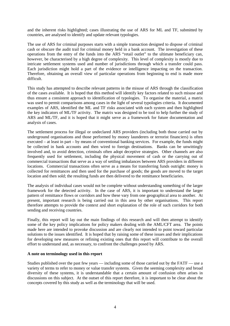and the inherent risks highlighted; cases illustrating the use of ARS for ML and TF, submitted by countries, are analysed to identify and update relevant typologies.

The use of ARS for criminal purposes starts with a simple transaction designed to dispose of criminal cash or obscure the audit trail for criminal money held in a bank account. The investigation of these operations from the entry of the funds into the ARS "retail outlet" to the ultimate beneficiary can, however, be characterised by a high degree of complexity. This level of complexity is mostly due to intricate settlement systems used and number of jurisdictions through which a transfer could pass. Each jurisdiction might hold a part of the evidence or intelligence impacting on the transaction. Therefore, obtaining an overall view of particular operations from beginning to end is made more difficult.

This study has attempted to describe relevant patterns in the misuse of ARS through the classification of the cases available. It is hoped that this method will identify key factors related to such misuse and thus ensure a consistent approach to identification of typologies. To organise the material, a matrix was used to permit comparisons among cases in the light of several typologies criteria. It documented examples of ARS, identified the ML and TF risks associated with each system and then highlighted the key indicators of ML/TF activity. The matrix was designed to be tool to help further the study of ARS and ML/TF, and it is hoped that it might serve as a framework for future documentation and analysis of cases.

The settlement process for illegal or undeclared ARS providers (including both those carried out by underground organisations and those performed by money launderers or terrorist financiers) is often executed – at least in part – by means of conventional banking services. For example, the funds might be collected in bank accounts and then wired to foreign destinations. Banks can be unwittingly involved and, to avoid detection, criminals often adopt deceptive strategies. Other channels are also frequently used for settlement, including the physical movement of cash or the carrying out of commercial transactions that serve as a way of settling imbalances between ARS providers in different locations. Commercial transactions often serve as a means for transferring funds outright: money is collected for remittances and then used for the purchase of goods; the goods are moved to the target location and then sold; the resulting funds are then delivered to the remittance beneficiaries.

The analysis of individual cases would not be complete without understanding something of the larger framework for the detected activity. In the case of ARS, it is important to understand the larger pattern of remittance flows or corridors and how these vary from one geographical area to another. At present, important research is being carried out in this area by other organisations. This report therefore attempts to provide the context and short explanation of the role of such corridors for both sending and receiving countries.

Finally, this report will lay out the main findings of this research and will then attempt to identify some of the key policy implications for policy makers dealing with the AML/CFT area. The points made here are intended to provoke discussion and are clearly not intended to point toward particular solutions to the issues identified. It is hoped that by raising some of these issues and their implications for developing new measures or refining existing ones that this report will contribute to the overall effort to understand and, as necessary, to confront the challenges posed by ARS.

#### **A note on terminology used in this report**

Studies published over the past few years — including some of those carried out by the FATF — use a variety of terms to refer to money or value transfer systems. Given the seeming complexity and broad diversity of these systems, it is understandable that a certain amount of confusion often arises in discussions on this subject. At the outset of this report therefore, it is important to be clear about the concepts covered by this study as well as the terminology that will be used.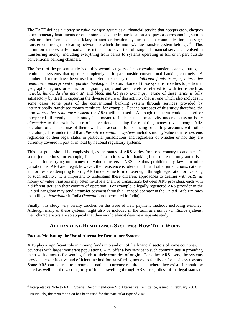The FATF defines a *money or value transfer system* as a "financial service that accepts cash, cheques other monetary instruments or other stores of value in one location and pays a corresponding sum in cash or other form to a beneficiary in another location by means of a communication, message, transfer or through a clearing network to which the money/value transfer system belongs."<sup>2</sup> This definition is necessarily broad and is intended to cover the full range of financial services involved in transferring money, including everything from banks to systems operating in full or in part outside conventional banking channels.

The focus of the present study is on this second category of money/value transfer systems, that is, all remittance systems that operate completely or in part outside conventional banking channels. A number of terms have been used to refer to such systems: *informal funds transfer*, *alternative remittance*, *underground* or *parallel banking* and so on. Some of these systems have ties to particular geographic regions or ethnic or migrant groups and are therefore referred to with terms such as *hawala*, *hundi*, *da shu gong si*<sup>3</sup> and *black market peso exchange*. None of these terms is fully satisfactory by itself in capturing the diverse nature of this activity, that is, one which also includes in some cases some parts of the conventional banking system through services provided by internationally franchised money remitters, for example. For the purposes of this study therefore, the term *alternative remittance system* (or *ARS*) will be used. Although this term could be used or interpreted differently, in this study it is meant to indicate that the activity under discussion is *an alternative* to the exclusive use of conventional banking for remitting money (even though ARS operators often make use of their own bank accounts for balancing or settling accounts with other operators). It is understood that *alternative remittance systems* includes money/value transfer systems regardless of their legal status in particular jurisdictions and regardless of whether or not they are currently covered in part or in total by national regulatory systems.

This last point should be emphasised, as the status of ARS varies from one country to another. In some jurisdictions, for example, financial institutions with a banking licence are the only authorised channel for carrying out money or value transfers. ARS are thus prohibited by law. In other jurisdictions, ARS are illegal; however, their existence is tolerated. In still other jurisdictions, national authorities are attempting to bring ARS under some form of oversight through registration or licensing of such activity. It is important to understand these different approaches to dealing with ARS, as money or value transfers may often involve a chain of transactions between ARS providers, each with a different status in their country of operation. For example, a legally registered ARS provider in the United Kingdom may send a transfer payment through a licensed operator in the United Arab Emirates to an illegal *hawaladar* in India (*hawala* is not permitted in India).

Finally, this study very briefly touches on the issue of new payment methods including e-money. Although many of these systems might also be included in the term *alternative remittance systems*, their characteristics are so atypical that they would almost deserve a separate study.

# **ALTERNATIVE REMITTANCE SYSTEMS: HOW THEY WORK**

# **Factors Motivating the Use of Alternative Remittance Systems**

ARS play a significant role in moving funds into and out of the financial sectors of some countries. In countries with large immigrant populations, ARS offer a key service to such communities in providing them with a means for sending funds to their countries of origin. For other ARS users, the systems provide a cost effective and efficient method for transferring money to family or for business reasons. Some ARS can be used to circumvent national currency requirements where they exist. It should be noted as well that the vast majority of funds travelling through ARS – regardless of the legal status of

<sup>&</sup>lt;sup>2</sup> Interpretative Note to FATF Special Recommendation VI: Alternative Remittance, issued in February 2003.

<sup>&</sup>lt;sup>3</sup> Previously, the term *fei chien* has been used for this particular type of ARS.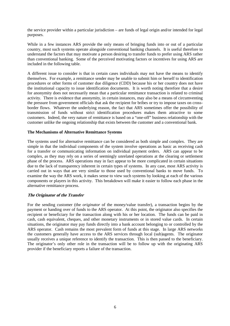the service provider within a particular jurisdiction – are funds of legal origin and/or intended for legal purposes.

While in a few instances ARS provide the only means of bringing funds into or out of a particular country, most such systems operate alongside conventional banking channels. It is useful therefore to understand the factors that may motivate a person desiring to transfer funds to prefer using ARS rather than conventional banking. Some of the perceived motivating factors or incentives for using ARS are included in the following table.

A different issue to consider is that in certain cases individuals may not have the means to identify themselves. For example, a remittance sender may be unable to submit him or herself to identification procedures or other forms of customer due diligence (CDD) because his or her country does not have the institutional capacity to issue identification documents. It is worth noting therefore that a desire for anonymity does not necessarily mean that a particular remittance transaction is related to criminal activity. There is evidence that anonymity, in certain instances, may also be a means of circumventing the pressure from government officials that ask the recipient for bribes or try to impose taxes on crossborder flows. Whatever the underlying reason, the fact that ARS sometimes offer the possibility of transmission of funds without strict identification procedures makes them attractive to some customers. Indeed, the very nature of remittance is based on a "one-off" business relationship with the customer unlike the ongoing relationship that exists between the customer and a conventional bank.

#### **The Mechanisms of Alternative Remittance Systems**

The systems used for alternative remittance can be considered as both simple and complex. They are simple in that the individual components of the system involve operations as basic as receiving cash for a transfer or communicating information on individual payment orders. ARS can appear to be complex, as they may rely on a series of seemingly unrelated operations at the clearing or settlement phase of the process. ARS operations may in fact appear to be more complicated in certain situations due to the lack of transparency inherent in certain types of systems. In any case, most ARS activity is carried out in ways that are very similar to those used by conventional banks to move funds. To examine the way the ARS work, it makes sense to view such systems by looking at each of the various components or players in this activity. This breakdown will make it easier to follow each phase in the alternative remittance process.

#### **The Originator of the Transfer**

For the sending customer (the *originator* of the money/value transfer), a transaction begins by the payment or handing over of funds to the ARS operator. At this point, the originator also specifies the recipient or beneficiary for the transaction along with his or her location. The funds can be paid in cash, cash equivalent, cheques, and other monetary instruments or in stored value cards. In certain situations, the originator may pay funds directly into a bank account belonging to or controlled by the ARS operator. Cash remains the most prevalent form of funds at this stage. In large ARS networks the customers generally have access to the ARS services through local (sub)agents. The originator usually receives a unique reference to identify the transaction. This is then passed to the beneficiary. The originator's only other role in the transaction will be to follow up with the originating ARS provider if the beneficiary reports a failure of the transaction.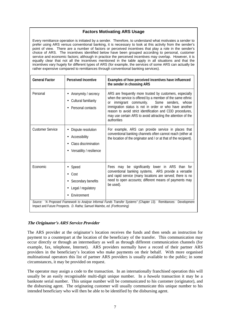# **Factors Motivating ARS Usage**

Every remittance operation is initiated by a sender. Therefore, to understand what motivates a sender to prefer using ARS versus conventional banking, it is necessary to look at this activity from the sender's point of view. There are a number of factors or perceived incentives that play a role in the sender's choice of ARS. The incentives identified below have been grouped according to personal, customer service and economic factors; although in practice the perceived incentives may overlap. However, it is equally clear that not all the incentives mentioned in the table apply in all situations and that the incentives vary hugely for different types of ARS (for example, the services of some ARS can actually be rather expensive compared to remittances through conventional banking services).

| <b>General Factor</b>                                                                                                                                                                       | <b>Perceived Incentive</b>                                                                      | Examples of how perceived incentives have influenced<br>the sender in choosing ARS                                                                                                                                                                                                                                                                                                |  |  |  |
|---------------------------------------------------------------------------------------------------------------------------------------------------------------------------------------------|-------------------------------------------------------------------------------------------------|-----------------------------------------------------------------------------------------------------------------------------------------------------------------------------------------------------------------------------------------------------------------------------------------------------------------------------------------------------------------------------------|--|--|--|
| Personal                                                                                                                                                                                    | Anonymity / secrecy<br><b>Cultural familiarity</b><br>Personal contacts                         | ARS are frequently more trusted by customers, especially<br>when the service is offered by a member of the same ethnic<br>immigrant community.<br>Some senders, whose<br>0r<br>immigration status is not in order or who have another<br>reason to avoid strict identification and CDD procedures,<br>may use certain ARS to avoid attracting the attention of the<br>authorities |  |  |  |
| <b>Customer Service</b>                                                                                                                                                                     | Dispute resolution<br>Accessibility<br>Class discrimination<br>Versatility / resilience         | For example, ARS can provide service in places that<br>conventional banking channels often cannot reach (either at<br>the location of the originator and / or at that of the recipient).                                                                                                                                                                                          |  |  |  |
| Economic                                                                                                                                                                                    | Speed<br>$\bullet$<br>$\bullet$ Cost<br>Secondary benefits<br>Legal / regulatory<br>Environment | Fees may be significantly lower in ARS than for<br>conventional banking systems. ARS provide a versatile<br>and rapid service (many locations are served; there is no<br>need to open accounts; different means of payments may<br>be used).                                                                                                                                      |  |  |  |
| Source: "A Proposed Framework to Analyse Informal Funds Transfer Systems" (Chapter 13). Remittances: Development<br>Impact and Future Prospects. D. Ratha; Samuel Maimbo, ed. (Forthcoming) |                                                                                                 |                                                                                                                                                                                                                                                                                                                                                                                   |  |  |  |

# **The Originator's ARS Service Provider**

The ARS provider at the originator's location receives the funds and then sends an instruction for payment to a counterpart at the location of the beneficiary of the transfer. This communication may occur directly or through an intermediary as well as through different communication channels (for example, fax, telephone, Internet). ARS providers normally have a record of their partner ARS providers in the beneficiary's location who make payments on their behalf. With more organised multinational operators this list of partner ARS providers is usually available to the public; in some circumstances, it may be provided on request.

The operator may assign a code to the transaction. In an internationally franchised operation this will usually be an easily recognisable multi-digit unique number. In a *hawala* transaction it may be a banknote serial number. This unique number will be communicated to his customer (originator), and the disbursing agent. The originating customer will usually communicate this unique number to his intended beneficiary who will then be able to be identified by the disbursing agent.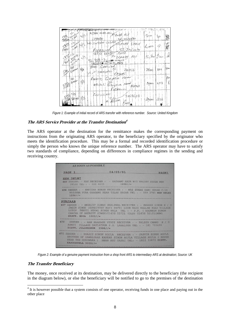| AYSUGA HOUD-ASC<br>HoltO. AU.<br>45<br>prope<br>2d. 756484P                                    | 5000                     | $\sigma_Q$ |     |
|------------------------------------------------------------------------------------------------|--------------------------|------------|-----|
| CILLANT<br>MR. MATGAN<br>CHOHP<br>SHALLA<br>ч<br>Super<br>7242346024<br>339<br>KIMAL           | 6,500                    |            |     |
| MOHD<br>KHUSEH<br>HAT12<br>At1<br>GRILAT<br>Lł<br>Max. 8098-200 seavet<br>GOTORAD OFIER ALADEM | $16, 800$ $720$          |            |     |
| SARWAY<br>проно.<br>Dir<br>BASEAM<br>53<br>148156<br>SHAMisuddy<br>vobo                        | 75000                    | 893        | BAN |
| KHAN<br>$Q$ Appon<br>RBSHIO<br>DR<br>BAREA<br>KHON<br>ABDUL<br>MOT<br>843743<br>ASHAWAY        | 30000                    | 35         | BA  |
| FAZULLAT<br>2263628<br>ALLAN<br>$m$ .                                                          | $\alpha$ <sup>0000</sup> |            |     |

*Figure 1: Example of initial record of ARS transfer with reference number. Source: United Kingdom* 

#### **The ARS Service Provider at the Transfer Destination<sup>4</sup>**

The ARS operator at the destination for the remittance makes the corresponding payment on instructions from the originating ARS operator, to the beneficiary specified by the originator who meets the identification procedure. This may be a formal and recorded identification procedure or simply the person who knows the unique reference number. The ARS operator may have to satisfy two standards of compliance, depending on differences in compliance regimes in the sending and receiving country.

|                                                                                                                                                                                                                                                                                                            | AS SOON AS POSSIBLE                        |                                                                                                                                                                                                   |       |  |  |  |
|------------------------------------------------------------------------------------------------------------------------------------------------------------------------------------------------------------------------------------------------------------------------------------------------------------|--------------------------------------------|---------------------------------------------------------------------------------------------------------------------------------------------------------------------------------------------------|-------|--|--|--|
|                                                                                                                                                                                                                                                                                                            | PAGE 1                                     | 04/05/01                                                                                                                                                                                          | PAGE1 |  |  |  |
|                                                                                                                                                                                                                                                                                                            | <b>NEW DELHI</b><br>DELHI TEL : - 220 8203 | 445 SENDER: - KAY RECEIVER : - SATWANT KAUR W/O BALDEV SINGH NEW<br>$1000//=$                                                                                                                     |       |  |  |  |
|                                                                                                                                                                                                                                                                                                            | $1330/7=$                                  | 484 SENDER : - HARISHA BHRAR RECEIVER : - MRS SUHAG RANI BHRAR C-19<br>KRISHNA PURA GARDENS NEAR TILAK NAGAR TEL : - 559 2785 NEW DELHI                                                           |       |  |  |  |
| PUNJAAB<br>467 SENDER : - AMERJIT SINGH DHALIWAL RECEIVER : - SWARAN SINGH S / 0<br>JAGIR SINGH (GURDITTEY KAY) PATTI LODH BADI MALLAN ROAD VILLAGE<br>LOPON TEHSIL NIHAL SINGH WALA TEL : - P.P. ( RAGHBIR SINGH<br>CHACHA OF AMERJIT SINGH) 01636 53721 (OLD) 01636 52121 (NEW)<br>DISTT. MOGA $1000//=$ |                                            |                                                                                                                                                                                                   |       |  |  |  |
|                                                                                                                                                                                                                                                                                                            | DISTT. JULLUNDHUR 1500//=                  | 470 SENDER : - RAM PRAKASH VIRDI RECEIVER : - BALBIR CHAND S / 0<br>RAMJI VILLAGE DAULATPUR P.O. LAWALPUR TEL : - 181 715430                                                                      |       |  |  |  |
|                                                                                                                                                                                                                                                                                                            | KAPOORTHLA $3000$ / / =                    | 471 SENDER : - SURJIT SINGH AUJLA RECEIVER : - JASVIR SINGH AUJLA<br>BROTHER OF HAWALDAAR KANKAR SINGH AUJLA VILLAGE AUJLA ( HOUSE<br>NEAR THE GURDWARA ) NEAR KOT TAPAI TEL: - 1822 33872 DISTT. |       |  |  |  |

*Figure 2: Example of a genuine payment instruction from a shop front ARS to intermediary ARS at destination; Source: UK* 

#### **The Transfer Beneficiary**

The money, once received at its destination, may be delivered directly to the beneficiary (the recipient in the diagram below), or else the beneficiary will be notified to go to the premises of the destination

<sup>&</sup>lt;sup>4</sup> It is however possible that a system consists of one operator, receiving funds in one place and paying out in the other place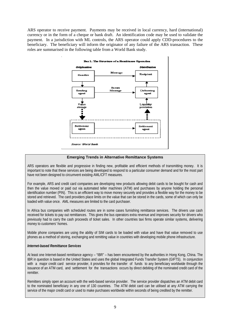ARS operator to receive payment. Payments may be received in local currency, hard (international) currency or in the form of a cheque or bank draft. An identification code may be used to validate the payment. In a jurisdiction with ML controls, the ARS operator could apply CDD-procedures to the beneficiary. The beneficiary will inform the originator of any failure of the ARS transaction. These roles are summarised in the following table from a World Bank study.



#### **Emerging Trends in Alternative Remittance Systems**

ARS operators are flexible and progressive in finding new, profitable and efficient methods of transmitting money. It is important to note that these services are being developed to respond to a particular consumer demand and for the most part have not been designed to circumvent existing AML/CFT measures.

For example, ARS and credit card companies are developing new products allowing debit cards to be bought for cash and then the value moved or paid out via automated teller machines (ATM) and purchases by anyone holding the personal identification number (PIN). This is an efficient way to move money securely and provides a flexible way for the money to be stored and retrieved. The card providers place limits on the value that can be stored in the cards, some of which can only be loaded with value once. AML measures are limited to the card purchaser.

In Africa bus companies with scheduled routes are in some cases furnishing remittance services. The drivers use cash received for tickets to pay out remittances. This gives the bus operators extra revenue and improves security for drivers who previously had to carry the cash proceeds of ticket sales. In other countries taxi firms operate similar systems, delivering money to customers' homes.

Mobile phone companies are using the ability of SIM cards to be loaded with value and have that value removed to use phones as a method of storing, exchanging and remitting value in countries with developing mobile phone infrastructure.

#### *Internet-based Remittance Services*

At least one Internet-based remittance agency – "IBR" – has been encountered by the authorities in Hong Kong, China. The IBR in question is based in the United States and uses the global Integrated Funds Transfer System (GIFTS). In conjunction with a major credit card service provider, it provides for the transfer of funds to any beneficiary worldwide through the issuance of an ATM card, and settlement for the transactions occurs by direct debiting of the nominated credit card of the remitter.

Remitters simply open an account with the web-based service provider. The service provider dispatches an ATM debit card to the nominated beneficiary in any one of 130 countries. The ATM debit card can be utilised at any ATM carrying the service of the major credit card or used to make purchases worldwide within seconds of being credited by the remitter.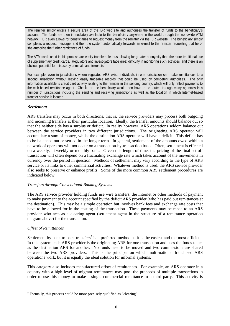The remitter simply enters a secure area of the IBR web site and authorises the transfer of funds to the beneficiary's account. The funds are then immediately available to the beneficiary anywhere in the world through the worldwide ATM network. IBR even allows for beneficiaries to request money from the remitter via the IBR website. The beneficiary simply completes a request message, and then the system automatically forwards an e-mail to the remitter requesting that he or she authorise the further remittance of funds.

The ATM cards used in this process are easily transferable thus allowing for greater anonymity than the more traditional use of supplementary credit cards. Regulators and investigators face great difficulty in monitoring such activities, and there is an obvious potential for misuse by criminals and terrorists.

For example, even in jurisdictions where regulated ARS exist, individuals in one jurisdiction can make remittances to a second jurisdiction without leaving easily traceable records that could be used by competent authorities. The only information available is credit card activity relating to the remitter in the sending country, which will only reflect payments to the web-based remittance agent. Checks on the beneficiary would then have to be routed through many agencies in a number of jurisdictions including the sending and receiving jurisdictions as well as the location in which Internet-based transfer service is located.

# **Settlement**

ARS transfers may occur in both directions, that is, the service providers may process both outgoing and incoming transfers at their particular location. Ideally, the transfer amounts should balance out so that the neither side has a surplus or deficit. In reality however, ARS operations seldom balance out between the service providers in two different jurisdictions. The originating ARS operator will accumulate a sum of money, whilst the destination ARS operator will have a deficit. This deficit has to be balanced out or settled in the longer term. In general, settlement of the amounts owed within a network of operators will not occur on a transaction-by-transaction basis. Often, settlement is effected on a weekly, bi-weekly or monthly basis. Given this length of time, the pricing of the final set-off transaction will often depend on a fluctuating exchange rate which takes account of the movements in currency over the period in question. Methods of settlement may vary according to the type of ARS service or its links to other commercial activities. Whatever method is used, the ARS service provider also seeks to preserve or enhance profits. Some of the more common ARS settlement procedures are indicated below.

#### *Transfers through Conventional Banking Systems*

The ARS service provider holding funds use wire transfers, the Internet or other methods of payment to make payment to the account specified by the deficit ARS provider (who has paid out remittances at the destination). This may be a simple operation but involves bank fees and exchange rate costs that have to be allowed for in the costing of the transaction. These payments may be made to an ARS provider who acts as a clearing agent (settlement agent in the structure of a remittance operation diagram above) for the transaction.

# *Offset of Remittances*

Settlement by back to back transfers<sup>5</sup> is a preferred method as it is the easiest and the most efficient. In this system each ARS provider is the originating ARS for one transaction and uses the funds to act as the destination ARS for another. No funds need to be moved and two commissions are shared between the two ARS providers. This is the principal on which multi-national franchised ARS operations work, but it is equally the ideal solution for informal systems.

This category also includes manufactured offset of remittances. For example, an ARS operator in a country with a high level of migrant remittances may pool the proceeds of multiple transactions in order to use this money to make a single commercial remittance to a third party. This activity is

 $\overline{a}$ <sup>5</sup> Formally, this process could be more precisely qualified as "clearing"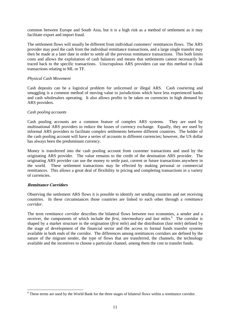common between Europe and South Asia, but it is a high risk as a method of settlement as it may facilitate export and import fraud.

The settlement flows will usually be different from individual customers' remittances flows. The ARS provider may pool the cash from the individual remittance transactions, and a large single transfer may then be made at a later date in order to settle all the previous remittance transactions. This both limits costs and allows the exploitation of cash balances and means that settlements cannot necessarily be traced back to the specific transactions. Unscrupulous ARS providers can use this method to cloak transactions relating to ML or TF.

#### *Physical Cash Movement*

Cash deposits can be a logistical problem for unlicensed or illegal ARS. Cash couriering and smuggling is a common method of moving value to jurisdictions which have less experienced banks and cash wholesalers operating. It also allows profits to be taken on currencies in high demand by ARS providers.

#### *Cash pooling accounts*

Cash pooling accounts are a common feature of complex ARS systems. They are used by multinational ARS providers to reduce the losses of currency exchange. Equally, they are used by informal ARS providers to facilitate complex settlements between different countries. The holder of the cash pooling account will have a series of accounts in different currencies; however, the US dollar has always been the predominant currency.

Money is transferred into the cash pooling account from customer transactions and used by the originating ARS provider. The value remains to the credit of the destination ARS provider. The originating ARS provider can use the money to settle past, current or future transactions anywhere in the world. These settlement transactions may be effected by making personal or commercial remittances. This allows a great deal of flexibility in pricing and completing transactions in a variety of currencies.

# **Remittance Corridors**

Observing the settlement ARS flows it is possible to identify net sending countries and net receiving countries. In these circumstances those countries are linked to each other through a *remittance corridor*.

The term *remittance corridor* describes the bilateral flows between two economies, a sender and a receiver, the components of which include the *first*, *intermediary* and *last miles*. 6 The corridor is shaped by a market structure in the origination (*first mile*) and the distribution (*last mile*) defined by the stage of development of the financial sector and the access to formal funds transfer systems available in both ends of the corridor. The differences among remittances corridors are defined by the nature of the migrant sender, the type of flows that are transferred, the channels, the technology available and the incentives to choose a particular channel, among them the cost to transfer funds.

 $\overline{a}$ <sup>6</sup> These terms are used by the World Bank for the three stages of bilateral flows within a remittance corridor.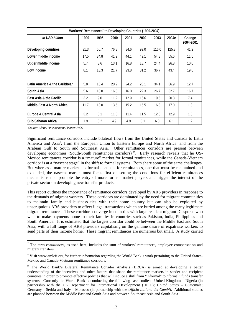| Workers' Remittances <sup>7</sup> to Developing Countries (1990-2004) |      |      |      |      |      |       |       |                     |
|-----------------------------------------------------------------------|------|------|------|------|------|-------|-------|---------------------|
| In USD billion                                                        | 1990 | 1995 | 2000 | 2001 | 2002 | 2003  | 2004e | Change<br>2004-2001 |
| Developing countries                                                  | 31.3 | 56.7 | 76.8 | 84.6 | 99.0 | 116.0 | 125.8 | 41.2                |
| Lower middle income                                                   | 17.5 | 34.8 | 41.9 | 44.1 | 49.1 | 54.8  | 55.6  | 11.5                |
| Upper middle income                                                   | 5.7  | 8.6  | 13.1 | 16.8 | 18.7 | 24.4  | 26.8  | 10.0                |
| Low income                                                            | 8.1  | 13.3 | 21.7 | 23.8 | 31.2 | 36.7  | 43.4  | 19.6                |
|                                                                       |      |      |      |      |      |       |       |                     |
| Latin America & the Caribbean                                         | 5.8  | 13.4 | 20.2 | 24.2 | 28.1 | 34.1  | 36.9  | 12.7                |
| <b>South Asia</b>                                                     | 5.6  | 10.0 | 16.0 | 16.0 | 22.3 | 26.7  | 32.7  | 16.7                |
| <b>East Asia &amp; the Pacific</b>                                    | 3.2  | 9.0  | 11.2 | 12.9 | 16.6 | 19.5  | 20.3  | 7.4                 |
| Middle-East & North Africa                                            | 11.7 | 13.0 | 13.5 | 15.2 | 15.5 | 16.8  | 17.0  | 1.8                 |
| <b>Europe &amp; Central Asia</b>                                      | 3.2  | 8.1  | 11.0 | 11.4 | 11.5 | 12.8  | 12.9  | 1.5                 |
| Sub-Saharan Africa                                                    | 1.9  | 3.2  | 4.9  | 4.9  | 5.1  | 6.0   | 6.1   | 1.2                 |

 *Source: Global Development Finance 2005.*

 $\overline{a}$ 

Significant remittance corridors include bilateral flows from the United States and Canada to Latin America and Asia<sup>8</sup>; from the European Union to Eastern Europe and North Africa; and from the Arabian Gulf to South and Southeast Asia. Other remittances corridors are present between developing economies (South-South remittances corridors)<sup>9</sup>. Early research reveals that he US-Mexico remittances corridor is a "mature" market for formal remittances, while the Canada-Vietnam corridor is at a "nascent stage" in the shift to formal systems. Both share some of the same challenges. But whereas a mature market has formal channels for remittances, one that must be maintained and expanded, the nascent market must focus first on setting the conditions for efficient remittances mechanisms that promote the entry of more formal market players and trigger the interest of the private sector on developing new transfer products.

This report outlines the importance of remittance corridors developed by ARS providers in response to the demands of migrant workers. These corridors are dominated by the need for migrant communities to maintain family and business ties with their home country but can also be exploited by unscrupulous ARS providers to effect illegal transactions which are buried among the many legitimate migrant remittances. These corridors converge in countries with large resident migrant Diasporas who wish to make payments home to their families in countries such as Pakistan, India, Philippines and South America. It is estimated that the largest corridor could be between the Middle East and South Asia, with a full range of ARS providers capitalising on the genuine desire of expatriate workers to send parts of their income home. These migrant remittances are numerous but small. A study carried

<sup>&</sup>lt;sup>7</sup> The term *remittances*, as used here, includes the sum of workers' remittances, employee compensation and migrant transfers.

<sup>&</sup>lt;sup>8</sup> Visit www.amlcft.org for further information regarding the World Bank's work pertaining to the United States-Mexico and Canada-Vietnam remittance corridors.

<sup>&</sup>lt;sup>9</sup> The World Bank's Bilateral Remittance Corridor Analysis (BRCA) is aimed at developing a better understanding of the incentives and other factors that shape the remittance markets in sender and recipient countries in order to promote effective policies that will induce a shift from "informal" to "formal" funds transfer systems. Currently the World Bank is conducting the following case studies: United Kingdom – Nigeria (in partnership with the UK Department for International Development (DFID); United States – Guatemala; Germany – Serbia and Italy – Morocco (in partnership with the *Ufficio Italiano dei Cambi*). Additional studies are planned between the Middle East and South Asia and between Southeast Asia and South Asia.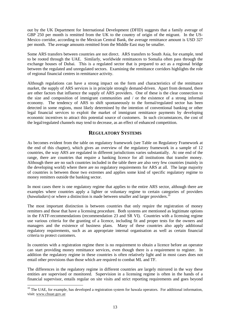out by the UK Department for International Development (DFID) suggests that a family average of GBP 250 per month is remitted from the UK to the country of origin of the migrant. In the US-Mexico corridor, according to the Mexican Central Bank, the average remittance amount is USD 327 per month. The average amounts remitted from the Middle East may be smaller.

Some ARS transfers between countries are not direct. ARS transfers to South Asia, for example, tend to be rooted through the UAE. Similarly, worldwide remittances to Somalia often pass through the exchange houses of Dubai. This is a regulated sector that is prepared to act as a regional bridge between the regulated and unregulated sectors. Examining the remittance corridors highlights the role of regional financial centres in remittance activity.

Although regulations can have a strong impact on the form and characteristics of the remittance market, the supply of ARS services is in principle strongly demand-driven. Apart from demand, there are other factors that influence the supply of ARS providers. One of these is the clear connection to the size and composition of immigrant communities and / or the existence of a strong informal economy. The tendency of ARS to shift spontaneously to the formal/regulated sector has been detected in some regions, most likely determined by the intention of conventional banking or other legal financial services to exploit the market of immigrant remittance payments by developing economic incentives to attract this potential source of customers. In such circumstances, the cost of the legal/regulated channels may tend to decrease, as an effect of enhanced competition.

# **REGULATORY SYSTEMS**

As becomes evident from the table on regulatory framework (see Table on Regulatory Framework at the end of this chapter), which gives an overview of the regulatory framework in a sample of 12 countries, the way ARS are regulated in different jurisdictions varies substantially. At one end of the range, there are countries that require a banking licence for all institutions that transfer money. Although there are no such countries included in the table there are also very few countries (mainly in the developing world) where there are no regulatory requirements for ARS at all. The large majority of countries is between those two extremes and applies some kind of specific regulatory regime to money remitters outside the banking sector.

In most cases there is one regulatory regime that applies to the entire ARS sector, although there are examples where countries apply a lighter or voluntary regime to certain categories of providers (*hawaladars*) or where a distinction is made between smaller and larger providers.<sup>10</sup>

The most important distinction is between countries that only require the registration of money remitters and those that have a licensing procedure. Both systems are mentioned as legitimate options in the FATF-recommendations (recommendation 23 and SR VI). Countries with a licensing regime use various criteria for the granting of a licence, including fit and proper tests for the owners and managers and the existence of business plans. Many of these countries also apply additional regulatory requirements, such as an appropriate internal organisation as well as certain financial criteria to protect customers.

In countries with a registration regime there is no requirement to obtain a licence before an operator can start providing money remittance services, even though there is a requirement to register. In addition the regulatory regime in these countries is often relatively light and in most cases does not entail other provisions than those which are required to combat ML and TF.

The differences in the regulatory regime in different countries are largely mirrored in the way these entities are supervised or monitored. Supervision in a licensing regime is often in the hands of a financial supervisor, entails regular on site visits and strict reporting requirements and goes beyond

 $\overline{a}$ 

 $10$  The UAE, for example, has developed a registration system for hawala operators. For additional information, visit: www.cbuae.gov.ae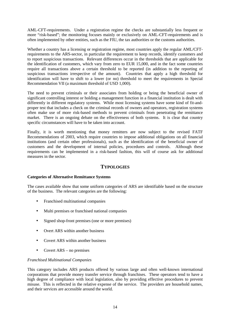AML-CFT-requirements. Under a registration regime the checks are substantially less frequent or more "risk-based"; the monitoring focuses mainly or exclusively on AML-CFT-requirements and is often implemented by other entities, such as the FIU, the tax authorities or the customs authorities.

Whether a country has a licensing or registration regime, most countries apply the regular AML/CFTrequirements to the ARS-sector, in particular the requirement to keep records, identify customers and to report suspicious transactions. Relevant differences occur in the thresholds that are applicable for the identification of customers, which vary from zero to EUR 15,000, and in the fact some countries require all transactions above a certain threshold to be reported (in addition to the reporting of suspicious transactions irrespective of the amount). Countries that apply a high threshold for identification will have to shift to a lower (or no) threshold to meet the requirements in Special Recommendation VII (a maximum threshold of USD 1,000).

The need to prevent criminals or their associates from holding or being the beneficial owner of significant controlling interest or holding a management function in a financial institution is dealt with differently in different regulatory systems. While most licensing systems have some kind of fit-andproper test that includes a check on the criminal records of owners and operators, registration systems often make use of more risk-based methods to prevent criminals from penetrating the remittance market. There is an ongoing debate on the effectiveness of both systems. It is clear that country specific circumstances will have to be taken into account.

Finally, it is worth mentioning that money remitters are now subject to the revised FATF Recommendations of 2003, which require countries to impose additional obligations on all financial institutions (and certain other professionals), such as the identification of the beneficial owner of customers and the development of internal policies, procedures and controls. Although these requirements can be implemented in a risk-based fashion, this will of course ask for additional measures in the sector.

# **TYPOLOGIES**

# **Categories of Alternative Remittance Systems**

The cases available show that some uniform categories of ARS are identifiable based on the structure of the business. The relevant categories are the following:

- Franchised multinational companies
- Multi premises or franchised national companies
- Signed shop-front premises (one or more premises)
- Overt ARS within another business
- Covert ARS within another business
- Covert ARS no premises

# *Franchised Multinational Companies*

This category includes ARS products offered by various large and often well-known international corporations that provide money transfer service through franchises. These operators tend to have a high degree of compliance with local legislation, also by providing effective procedures to prevent misuse. This is reflected in the relative expense of the service. The providers are household names, and their services are accessible around the world.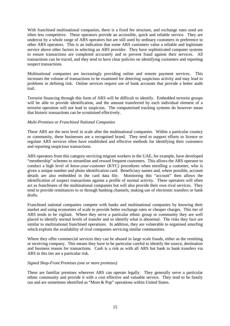With franchised multinational companies, there is a fixed fee structure, and exchange rates used are often less competitive. These operators provide an accessible, quick and reliable service. They are undercut by a whole range of ARS operators but are still used by ordinary customers in preference to other ARS operators. This is an indication that some ARS customers value a reliable and legitimate service above other factors in selecting an ARS provider. They have sophisticated computer systems to ensure transactions are completed accurately and to prevent fraud against their services. All transactions can be traced, and they tend to have clear policies on identifying customers and reporting suspect transactions.

Multinational companies are increasingly providing online and remote payment services. This increases the volume of transactions to be examined for detecting suspicious activity and may lead to problems in defining risk. Online services require use of bank accounts that provide a better audit trail.

Terrorist financing through this form of ARS will be difficult to identify. Embedded terrorist groups will be able to provide identification, and the amount transferred by each individual element of a terrorist operation will not lead to suspicion. The computerised tracking systems do however mean that historic transactions can be scrutinised effectively.

#### *Multi-Premises or Franchised National Companies*

These ARS are the next level in scale after the multinational companies. Within a particular country or community, these businesses are a recognised brand. They tend to support efforts to licence or regulate ARS services often have established and effective methods for identifying their customers and reporting suspicious transactions.

ARS operators from this category servicing migrant workers in the UAE, for example, have developed "membership" schemes to streamline and reward frequent customers. This allows the ARS operator to conduct a high level of *know-your-customer* (KYC) procedures when enrolling a customer, who is given a unique number and photo identification card. Beneficiary names and, where possible, account details are also embedded in the card data file. Monitoring this "account" then allows the identification of suspect transactions against a profile of normal activity. These operators will often act as franchisees of the multinational companies but will also provide their own rival services. They tend to provide remittances to or through banking channels, making use of electronic transfers or bank drafts.

Franchised national companies compete with banks and multinational companies by knowing their market and using economies of scale to provide better exchange rates or cheaper charges. This tier of ARS tends to be vigilant. Where they serve a particular ethnic group or community they are well placed to identify normal levels of transfer and so identify what is abnormal. The risks they face are similar to multinational franchised operations. In addition, they are vulnerable to organised smurfing which exploits the availability of rival companies servicing similar communities.

Where they offer commercial services they can be abused in large scale frauds, either as the remitting or receiving company. This means they have to be particular careful to identify the source, destination and business reason for transactions. Cash is a risk as with all ARS but bank to bank transfers via ARS in this tier are a particular risk.

#### *Signed Shop-Front Premises (one or more premises)*

These are familiar premises wherever ARS can operate legally. They generally serve a particular ethnic community and provide it with a cost effective and valuable service. They tend to be family run and are sometimes identified as "Mom & Pop" operations within United States.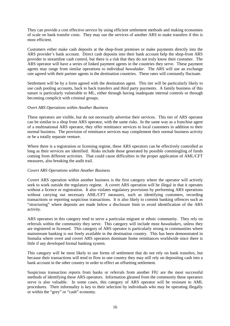They can provide a cost effective service by using efficient settlement methods and making economies of scale on bank transfer costs. They may use the services of another ARS to make transfers if this is most efficient.

Customers either make cash deposits at the shop-front premises or make payments directly into the ARS provider's bank account. Direct cash deposits into their bank account help the shop-front ARS provider to streamline cash control, but there is a risk that they do not truly know their customer. The ARS operator will have a series of linked payment agents in the countries they serve. These payment agents may range from similar operations to individual *hawaladar*. The ARS will use an exchange rate agreed with their partner agents in the destination countries. These rates will constantly fluctuate.

Settlement will be by a form agreed with the destination agent. This tier will be particularly likely to use cash pooling accounts, back to back transfers and third party payments. A family business of this nature is particularly vulnerable to ML, either through having inadequate internal controls or through becoming complicit with criminal groups.

# *Overt ARS Operations within Another Business*

These operators are visible, but do not necessarily advertise their services. This tier of ARS operator can be similar to a shop front ARS operator, with the same risks. In the same way as a franchise agent of a multinational ARS operator, they offer remittance services to local customers in addition to their normal business. The provision of remittance services may complement their normal business activity or be a totally separate venture.

Where there is a registration or licensing regime, these ARS operators can be effectively controlled as long as their services are identified. Risks include those generated by possible commingling of funds coming from different activities. That could cause difficulties in the proper application of AML/CFT measures, also breaking the audit trail.

#### *Covert ARS Operations within Another Business*

Covert ARS operation within another business is the first category where the operator will actively seek to work outside the regulatory regime. A covert ARS operation will be illegal in that it operates without a licence or registration. It also violates regulatory provisions by performing ARS operations without carrying out necessary AML/CFT measures, such as identifying customers, recording transactions or reporting suspicious transactions. It is also likely to commit banking offences such as "structuring" where deposits are made below a disclosure limit to avoid identification of the ARS activity.

ARS operators in this category tend to serve a particular migrant or ethnic community. They rely on referrals within the community they serve. This category will include most *hawaladars*, unless they are registered or licensed. This category of ARS operator is particularly strong in communities where mainstream banking is not freely available in the destination country. This has been demonstrated in Somalia where overt and covert ARS operators dominate home remittances worldwide since there is little if any developed formal banking system.

This category will be most likely to use forms of settlement that do not rely on bank transfers, but because their transactions will tend to flow to one country they may still rely on depositing cash into a bank account in the other country in order to effect an offsetting settlement.

Suspicious transaction reports from banks or referrals from another FIU are the most successful methods of identifying these ARS operators. Information gleaned from the community these operators serve is also valuable. In some cases, this category of ARS operator will be resistant to AML procedures. Their informality is key to their selection by individuals who may be operating illegally or within the "grey" or "cash" economy.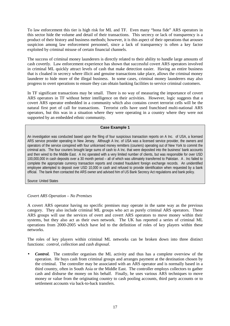To law enforcement this tier is high risk for ML and TF. Even many "bona fide" ARS operators in this sector hide the volume and detail of their transactions. This secrecy or lack of transparency is a product of their history and business methods; however, it is this aspect of their operations that arouses suspicion among law enforcement personnel, since a lack of transparency is often a key factor exploited by criminal misuse of certain financial channels.

The success of criminal money launderers is directly related to their ability to handle large amounts of cash covertly. Law enforcement experience has shown that successful covert ARS operators involved in criminal ML quickly attract levels of cash that make detection easier. Having an entire business that is cloaked in secrecy where illicit and genuine transactions take place, allows the criminal money launderer to hide more of the illegal business. In some cases, criminal money launderers may also progress to overt operations to ensure they can obtain banking facilities to service criminal customers.

In TF significant transactions may be small. There is no way of measuring the importance of covert ARS operators in TF without better intelligence on their activities. However, logic suggests that a covert ARS operator embedded in a community which also contains covert terrorist cells will be the natural first port of call for transactions. Terrorist cells have used franchised multi-national ARS operators, but this was in a situation where they were operating in a country where they were not supported by an embedded ethnic community.

# **Case Example 1**

An investigation was conducted based upon the filing of four suspicious transaction reports on A Inc. of USA, a licensed ARS service provider operating in New Jersey. Although A Inc. of USA was a licensed service provider, the owners and operators of the service conspired with four unlicensed money remitters (couriers) operating out of New York to commit the criminal acts. The four couriers brought large sums of cash to A Inc. that were deposited into the business' bank accounts and then wired to the Middle East. A Inc operated with a very limited number of clients, but was responsible for over USD 100,000,000 in cash deposits over a 30 month period – all of which was ultimately transferred to Pakistan. A . Inc failed to complete the appropriate currency transaction reports and created fraudulent foreign exchange records. An unidentified employee attempted to deposit over USD 10,000 in cash and refused to provide identification when requested by a bank official. The bank then contacted the ARS owner and advised him of US Bank Secrecy Act regulations and bank policy.

Source: United States

*Covert ARS Operation – No Premises* 

A covert ARS operator having no specific premises may operate in the same way as the previous category. They also include criminal ML groups who act as purely criminal ARS operators. These ARS groups will use the services of overt and covert ARS operators to move money within their systems, but they also act as their own network. The UK has reported a series of criminal ML operations from 2000-2005 which have led to the definition of roles of key players within these networks.

The roles of key players within criminal ML networks can be broken down into three distinct functions: *control*, *collection* and *cash disposal*.

• *Control.* The controller organises the ML activity and thus has a complete overview of the operation. He buys cash from criminal groups and arranges payment at the destination chosen by the criminal. The controller may be associated with an ARS operator and is normally based in a third country, often in South Asia or the Middle East. The controller employs collectors to gather cash and disburse the money on his behalf. Finally, he uses various ARS techniques to move money or value from the originating country to cash pooling accounts, third party accounts or to settlement accounts via back-to-back transfers.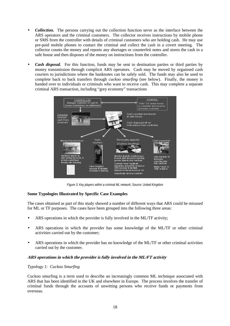- *Collection.* The persons carrying out the collection function serve as the interface between the ARS operators and the criminal customers. The collector receives instructions by mobile phone or SMS from the controller with details of criminal customers who are holding cash. He may use pre-paid mobile phones to contact the criminal and collect the cash in a covert meeting. The collector counts the money and reports any shortages or counterfeit notes and stores the cash in a safe house and then disposes of the money on instructions from the controller.
- *Cash disposal.* For this function, funds may be sent to destination parties or third parties by money transmission through complicit ARS operators. Cash may be moved by organised cash couriers to jurisdictions where the banknotes can be safely sold. The funds may also be used to complete back to back transfers through *cuckoo smurfing* (see below). Finally, the money is handed over to individuals or criminals who want to receive cash. This may complete a separate criminal ARS transaction, including "grey economy" transactions



*Figure 3: Key players within a criminal ML network; Source: United Kingdom* 

# **Some Typologies Illustrated by Specific Case Examples**

The cases obtained as part of this study showed a number of different ways that ARS could be misused for ML or TF purposes. The cases have been grouped into the following three areas:

- ARS operations in which the provider is fully involved in the ML/TF activity;
- ARS operations in which the provider has some knowledge of the ML/TF or other criminal activities carried out by the customer;
- ARS operations in which the provider has no knowledge of the ML/TF or other criminal activities carried out by the customer.

# **ARS operations in which the provider is fully involved in the ML/FT activity**

# *Typology 1: Cuckoo Smurfing*

Cuckoo smurfing is a term used to describe an increasingly common ML technique associated with ARS that has been identified in the UK and elsewhere in Europe. The process involves the transfer of criminal funds through the accounts of unwitting persons who receive funds or payments from overseas.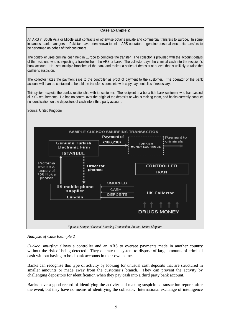#### **Case Example 2**

An ARS in South Asia or Middle East contracts or otherwise obtains private and commercial transfers to Europe. In some instances, bank managers in Pakistan have been known to sell – ARS operators – genuine personal electronic transfers to be performed on behalf of their customers.

The controller uses criminal cash held in Europe to complete the transfer. The collector is provided with the account details of the recipient, who is expecting a transfer from the ARS or bank. The collector pays the criminal cash into the recipient's bank account. He uses multiple branches of the bank and makes a series of deposits at a level that is unlikely to raise the cashier's suspicion.

The collector faxes the payment slips to the controller as proof of payment to the customer. The operator of the bank account will than be contacted to be told the transfer is complete with copy payment slips if necessary.

This system exploits the bank's relationship with its customer. The recipient is a bona fide bank customer who has passed all KYC requirements. He has no control over the origin of the deposits or who is making them, and banks currently conduct no identification on the depositors of cash into a third party account.





#### *Analysis of Case Example 2*

*Cuckoo smurfing* allows a controller and an ARS to oversee payments made in another country without the risk of being detected. They operate the system to dispose of large amounts of criminal cash without having to hold bank accounts in their own names.

Banks can recognise this type of activity by looking for unusual cash deposits that are structured in smaller amounts or made away from the customer's branch. They can prevent the activity by challenging depositors for identification when they pay cash into a third party bank account.

Banks have a good record of identifying the activity and making suspicious transaction reports after the event, but they have no means of identifying the collector. International exchange of intelligence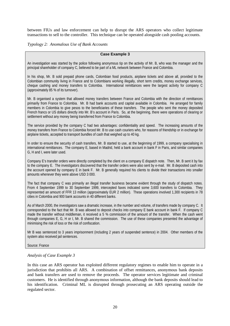between FIUs and law enforcement can help to disrupt the ARS operators who collect legitimate transactions to sell to the controller. This technique can be operated alongside cash pooling accounts.

*Typology 2: Anomalous Use of Bank Accounts* 

#### **Case Example 3**

An investigation was started by the police following anonymous tip on the activity of Mr. B, who was the manager and the principal shareholder of company C, believed to be part of a ML network between France and Colombia.

In his shop, Mr. B sold prepaid phone cards, Colombian food products, airplane tickets and above all, provided to the Colombian community living in France and to Colombians working illegally, short term credits, money exchange services, cheque cashing and money transfers to Colombia. International remittances were the largest activity for company C (approximately 85 % of its turnover).

Mr. B organised a system that allowed money transfers between France and Colombia with the direction of remittances primarily from France to Colombia. Mr. B had bank accounts and capital available in Colombia. He arranged for family members in Colombia to give pesos to the beneficiaries of these transfers. The people who sent the money deposited French francs or US dollars directly into Mr. B's account in Paris. So, at the beginning, there were operations of clearing or settlement without any money being transferred from France to Colombia.

The service provided by the company C had two advantages: confidentiality and speed. The increasing amounts of the money transfers from France to Colombia forced Mr. B to use cash couriers who, for reasons of friendship or in exchange for airplane tickets, accepted to transport bundles of cash that weighed up to 40 kg.

In order to ensure the security of cash transfers, Mr. B started to use, at the beginning of 1999, a company specialising in international remittances. The company E, based in Madrid, held a bank account in bank F in Paris, and similar companies G, H and I, were later used.

Company E's transfer orders were directly completed by the client on a company E dispatch note. Then, Mr. B sent it by fax to the company E. The investigators discovered that the transfer orders were also sent by e-mail. Mr. B deposited cash into the account opened by company E in bank F. Mr. B generally required his clients to divide their transactions into smaller amounts whenever they were above USD 3 000.

The fact that company C was primarily an illegal transfer business became evident through the study of dispatch notes. From 4 September 1999 to 30 September 1999, intercepted faxes indicated some 3,600 transfers to Colombia. They represented an amount of FFR 13 million (approximately EUR 2 million). These operations involved 1,300 recipients in 78 cities in Colombia and 900 bank accounts in 40 different banks.

As of March 2000, the investigators saw a dramatic increase, in the number and volume, of transfers made by company C. It corresponded to the fact that Mr. B was allowed to deposit checks into company E bank account in bank F. If company C made the transfer without middleman, it received a 5 % commission of the amount of the transfer. When the cash went through companies E, G, H or I, Mr. B shared the commission. The use of these companies presented the advantage of minimising the risk of loss or the risk of confiscation.

Mr B was sentenced to 3 years imprisonment (including 2 years of suspended sentence) in 2004. Other members of the system also received jail sentences.

Source: France

#### *Analysis of Case Example 3*

In this case an ARS operator has exploited different regulatory regimes to enable him to operate in a jurisdiction that prohibits all ARS. A combination of offset remittances, anonymous bank deposits and bank transfers are used to remove the proceeds. The operator services legitimate and criminal customers. He is identified through anonymous information, although the bank deposits should lead to his identification. Criminal ML is disrupted through prosecuting an ARS operating outside the regulated sector.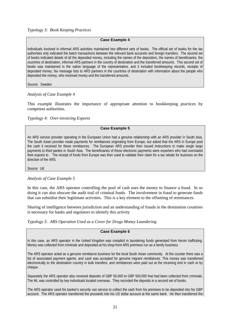# *Typology 3: Book Keeping Practices*

#### **Case Example 4**

Individuals involved in informal ARS activities maintained two different sets of books. The official set of books for the tax authorities only indicated the batch transactions between the relevant bank accounts and foreign transfers. The second set of books indicated details of all the deposited money, including the names of the depositors, the names of beneficiaries, the countries of destination, informal ARS partners in the country of destination and the transferred amounts. This second set of books was maintained in the native language of the representative, and it included bookkeeping records, receipts of deposited money, fax message lists to ARS partners in the countries of destination with information about the people who deposited the money, who received money and the transferred amounts.

#### Source: Sweden

#### *Analysis of Case Example 4*

This example illustrates the importance of appropriate attention to bookkeeping practices by competent authorities.

#### *Typology 4: Over-invoicing Exports*

#### **Case Example 5**

An ARS service provider operating in the European Union had a genuine relationship with an ARS provider in South Asia. The South Asian provider made payments for remittances originating from Europe, but asked that the ARS in Europe pool the cash it received for these remittances. The European ARS provider then issued instructions to make single large payments to third parties in South Asia. The beneficiaries of these electronic payments were exporters who had overstated their exports to . The receipt of funds from Europe was then used to validate their claim for a tax rebate for business on the direction of the ARS.

Source: UK

*Analysis of Case Example 5* 

In this case, the ARS operator controlling the pool of cash uses the money to finance a fraud. In so doing it can also obscure the audit trail of criminal funds. The involvement in fraud to generate funds that can subsidise their legitimate activities. This is a key element to the offsetting of remittances.

Sharing of intelligence between jurisdiction and an understanding of frauds in the destination countries is necessary for banks and regulators to identify this activity

#### *Typology 5: ARS Operation Used as a Cover for Drugs Money Laundering*

#### **Case Example 6**

In this case, an ARS operator in the United Kingdom was complicit in laundering funds generated from heroin trafficking. Money was collected from criminals and deposited at his shop-front ARS premises run as a family business.

The ARS operator acted as a genuine remittance business for the local South Asian community. At the counter there was a list of associated payment agents, and cash was accepted for genuine migrant remittances. This money was transferred electronically to the destination country in bulk transfers, and remittances were paid out at the receiving end in cash or by cheque.

Separately the ARS operator also received deposits of GBP 50,000 to GBP 500,000 that had been collected from criminals. The ML was controlled by key individuals located overseas. They recorded the deposits in a second set of books.

The ARS operator used his banker's security van service to collect the cash from his premises to be deposited into his GBP account. The ARS operator transferred the proceeds into his US dollar account at the same bank. He then transferred the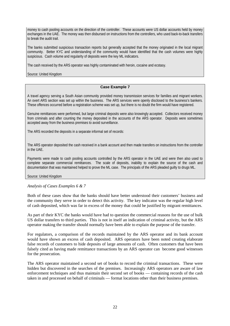money to cash pooling accounts on the direction of the controller. These accounts were US dollar accounts held by money exchanges in the UAE. The money was then disbursed on instructions from the controllers, who used back-to-back transfers to break the audit trail.

The banks submitted suspicious transaction reports but generally accepted that the money originated in the local migrant community. Better KYC and understanding of the community would have identified that the cash volumes were highly suspicious. Cash volume and regularity of deposits were the key ML indicators.

The cash received by the ARS operator was highly contaminated with heroin, cocaine and ecstasy.

Source: United Kingdom

#### **Case Example 7**

A travel agency serving a South Asian community provided money transmission services for families and migrant workers. An overt ARS section was set up within the business. The ARS services were openly disclosed to the business's bankers. These offences occurred before a registration scheme was set up, but there is no doubt the firm would have registered.

Genuine remittances were performed, but large criminal deposits were also knowingly accepted. Collectors received money from criminals and after counting the money deposited in the accounts of the ARS operator. Deposits were sometimes accepted away from the business premises to avoid surveillance.

The ARS recorded the deposits in a separate informal set of records:

The ARS operator deposited the cash received in a bank account and then made transfers on instructions from the controller in the UAE.

Payments were made to cash pooling accounts controlled by the ARS operator in the UAE and were then also used to complete separate commercial remittances. The scale of deposits, inability to explain the source of the cash and documentation that was maintained helped to prove the ML case. The principals of the ARS pleaded guilty to drugs ML.

Source: United Kingdom

#### *Analysis of Cases Examples 6 & 7*

Both of these cases show that the banks should have better understood their customers' business and the community they serve in order to detect this activity. The key indicator was the regular high level of cash deposited, which was far in excess of the money that could be justified by migrant remittances.

As part of their KYC the banks would have had to question the commercial reasons for the use of bulk US dollar transfers to third parties. This is not in itself an indication of criminal activity, but the ARS operator making the transfer should normally have been able to explain the purpose of the transfer.

For regulators, a comparison of the records maintained by the ARS operator and its bank account would have shown an excess of cash deposited. ARS operators have been noted creating elaborate false records of customers to hide deposits of large amounts of cash. Often customers that have been falsely cited as having made remittance transactions by an ARS operator can become good witnesses for the prosecution.

The ARS operator maintained a second set of books to record the criminal transactions. These were hidden but discovered in the searches of the premises. Increasingly ARS operators are aware of law enforcement techniques and thus maintain their second set of books — containing records of the cash taken in and processed on behalf of criminals — format locations other than their business premises.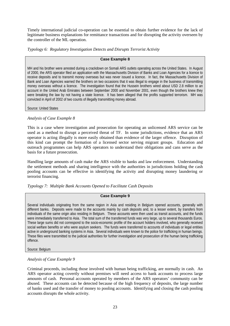Timely international judicial co-operation can be essential to obtain further evidence for the lack of legitimate business explanations for remittance transactions and for disrupting the activity overseen by the controller of the ML operation.

*Typology 6: Regulatory Investigation Detects and Disrupts Terrorist Activity* 

#### **Case Example 8**

MH and his brother were arrested during a crackdown on Somali ARS outlets operating across the United States. In August of 2000, the ARS operator filed an application with the Massachusetts Division of Banks and Loan Agencies for a licence to receive deposits and to transmit money overseas but was never issued a licence. In fact, the Massachusetts Division of Bank and Loan Agencies warned the brothers on two occasions that it was illegal to engage in the business of transmitting money overseas without a licence. The investigation found that the Hussein brothers wired about USD 2.8 million to an account in the United Arab Emirates between September 2000 and November 2001, even though the brothers knew they were breaking the law by not having a state licence. It has been alleged that the profits supported terrorism. MH was convicted in April of 2002 of two counts of illegally transmitting money abroad.

Source: United States

# *Analysis of Case Example 8*

This is a case where investigation and prosecution for operating an unlicensed ARS service can be used as a method to disrupt a perceived threat of TF. In some jurisdictions, evidence that an ARS operator is acting illegally is more easily obtained than evidence of the larger offence. Disruption of this kind can prompt the formation of a licensed sector serving migrant groups. Education and outreach programmes can help ARS operators to understand their obligations and cans serve as the basis for a future prosecution.

Handling large amounts of cash make the ARS visible to banks and law enforcement. Understanding the settlement methods and sharing intelligence with the authorities in jurisdictions holding the cash pooling accounts can be effective in identifying the activity and disrupting money laundering or terrorist financing.

# *Typology 7: Multiple Bank Accounts Opened to Facilitate Cash Deposits*

#### **Case Example 9**

Several individuals originating from the same region in Asia and residing in Belgium opened accounts, generally with different banks. Deposits were made to the accounts mainly by cash deposits and, to a lesser extent, by transfers from individuals of the same origin also residing in Belgium. These accounts were then used as transit accounts, and the funds were immediately transferred to Asia. The total sum of the transferred funds was very large, up to several thousands Euros. These large sums did not correspond to the socio-economic profile of the account holders involved, who generally received social welfare benefits or who were asylum seekers. The funds were transferred to accounts of individuals or legal entities active in underground banking systems in Asia. Several individuals were known to the police for trafficking in human beings. These files were transmitted to the judicial authorities for further investigation and prosecution of the human being trafficking offence.

#### Source: Belgium

#### *Analysis of Case Example 9*

Criminal proceeds, including those involved with human being trafficking, are normally in cash. An ARS operator acting covertly without premises will need access to bank accounts to process large amounts of cash. Personal accounts operated by members of the ARS operators' community can be abused. These accounts can be detected because of the high frequency of deposits, the large number of banks used and the transfer of money to pooling accounts. Identifying and closing the cash pooling accounts disrupts the whole activity.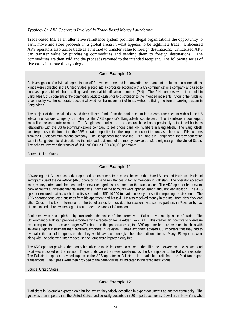# *Typology 8: ARS Operators Involved in Trade-Based Money Laundering*

Trade-based ML as an alternative remittance system provides illegal organisations the opportunity to earn, move and store proceeds in a global arena in what appears to be legitimate trade. Unlicensed ARS operators also utilise trade as a method to transfer value to foreign destinations. Unlicensed ARS can transfer value by purchasing commodities and sending them to foreign destinations. The commodities are then sold and the proceeds remitted to the intended recipient. The following series of five cases illustrate this typology.

#### **Case Example 10**

An investigation of individuals operating an ARS revealed a method for converting large amounts of funds into commodities. Funds were collected in the United States, placed into a corporate account with a US communications company and used to purchase pre-paid telephone calling card personal identification numbers (PIN). The PIN numbers were then sold in Bangladesh, thus converting the commodity back to cash prior to distribution to the intended recipients. Storing the funds as a commodity via the corporate account allowed for the movement of funds without utilising the formal banking system in Bangladesh.

The subject of the investigation wired the collected funds from the bank account into a corporate account with a large US telecommunications company on behalf of the ARS operator's Bangladeshi counterpart. The Bangladeshi counterpart controlled the corporate account. The Bangladeshi had set up the account based on a previously established business relationship with the US telecommunications company to sell phone card PIN numbers in Bangladesh. The Bangladeshi counterpart used the funds that the ARS operator deposited into the corporate account to purchase phone card PIN numbers from the US telecommunications company. The Bangladeshi then sold the PIN numbers in Bangladesh, thereby generating cash in Bangladesh for distribution to the intended recipients of the money service transfers originating in the United States. The scheme involved the transfer of USD 200,000 to USD 400,000 per month.

Source: United States

#### **Case Example 11**

A Washington DC based cab driver operated a money transfer business between the United States and Pakistan. Pakistani immigrants used the *hawaladar* (ARS operator) to send remittances to family members in Pakistan. The operator accepted cash, money orders and cheques, and he never charged his customers for the transactions. The ARS operator had several bank accounts at different financial institutions. Some of the accounts were opened using fraudulent identification. The ARS operator ensured that his cash deposits were under USD 10,000 to avoid currency transaction reporting requirements. The ARS operator conducted business from his apartment and his taxi. He also received money in the mail from New York and other Cities in the US. Information on the beneficiaries for individual transactions was sent to partners in Pakistan by fax. He maintained a handwritten log in Urdu to record customer information.

Settlement was accomplished by transferring the value of the currency to Pakistan via manipulation of trade. The Government of Pakistan provides exporters with a rebate on Value Added Tax (VAT). This creates an incentive to overvalue export shipments to receive a larger VAT rebate. In this particular case, the ARS operator had business relationships with several surgical instrument manufacturers/exporters in Pakistan. These exporters advised US Importers that they had to overvalue the cost of the goods but that they would have someone give them the additional funds. Many US exporters went along with the scheme primarily because the items were imported duty free.

The ARS operator provided the money he collected to US importers to make up the difference between what was owed and what was indicated on the invoice. These funds were then wire transferred by the US importer to the Pakistani exporter. The Pakistani exporter provided rupees to the ARS operator in Pakistan. He made his profit from the Pakistani export transactions. The rupees were then provided to the beneficiaries as indicated in the faxed instructions.

Source: United States

#### **Case Example 12**

Traffickers in Colombia exported gold bullion, which they falsely described in export documents as another commodity. The gold was then imported into the United States, and correctly described in US import documents. Jewellers in New York, who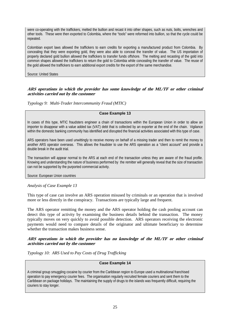were co-operating with the traffickers, melted the bullion and recast it into other shapes, such as nuts, bolts, wrenches and other tools. These were then exported to Colombia, where the "tools" were reformed into bullion, so that the cycle could be repeated.

Colombian export laws allowed the traffickers to earn credits for exporting a manufactured product from Colombia. By concealing that they were exporting gold, they were also able to conceal the transfer of value. The US importation of properly declared gold bullion allowed the traffickers to transfer funds offshore. The melting and recasting of the gold into common shapes allowed the traffickers to return the gold to Colombia while concealing the transfer of value. The reuse of the gold allowed the traffickers to earn additional export credits for the export of the same merchandise.

Source: United States

# **ARS operations in which the provider has some knowledge of the ML/TF or other criminal activities carried out by the customer**

*Typology 9: Multi-Trader Intercommunity Fraud (MTIC)* 

#### **Case Example 13**

In cases of this type, MTIC fraudsters engineer a chain of transactions within the European Union in order to allow an importer to disappear with a value added tax (VAT) debt that is collected by an exporter at the end of the chain. Vigilance within the domestic banking community has identified and disrupted the financial activities associated with this type of case.

ARS operators have been used unwittingly to receive money on behalf of a missing trader and then to remit the money to another ARS operator overseas. This allows the fraudster to use the ARS operation as a "client account" and provide a double break in the audit trial.

The transaction will appear normal to the ARS at each end of the transaction unless they are aware of the fraud profile. Knowing and understanding the nature of business performed by the remitter will generally reveal that the size of transaction can not be supported by the purported commercial activity.

Source: European Union countries

#### *Analysis of Case Example 13*

This type of case can involve an ARS operation misused by criminals or an operation that is involved more or less directly in the conspiracy. Transactions are typically large and frequent.

The ARS operator remitting the money and the ARS operator holding the cash pooling account can detect this type of activity by examining the business details behind the transaction. The money typically moves on very quickly to avoid possible detection. ARS operators receiving the electronic payments would need to compare details of the originator and ultimate beneficiary to determine whether the transaction makes business sense.

#### **ARS operations in which the provider has no knowledge of the ML/TF or other criminal activities carried out by the customer**

*Typology 10: ARS Used to Pay Costs of Drug Trafficking* 

#### **Case Example 14**

A criminal group smuggling cocaine by courier from the Caribbean region to Europe used a multinational franchised operation to pay emergency courier fees. The organisation regularly recruited female couriers and sent them to the Caribbean on package holidays. The maintaining the supply of drugs to the islands was frequently difficult, requiring the couriers to stay longer.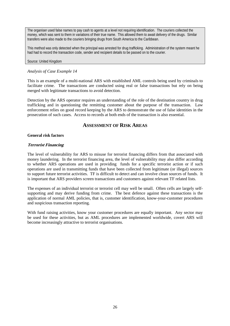The organiser used false names to pay cash to agents at a level not requiring identification. The couriers collected the money, which was sent to them in variations of their true name. This allowed them to await delivery of the drugs. Similar transfers were also made to the couriers bringing drugs from South America to the Caribbean.

This method was only detected when the principal was arrested for drug trafficking. Administration of the system meant he had had to record the transaction code, sender and recipient details to be passed on to the courier.

#### Source: United Kingdom

#### *Analysis of Case Example 14*

This is an example of a multi-national ARS with established AML controls being used by criminals to facilitate crime. The transactions are conducted using real or false transactions but rely on being merged with legitimate transactions to avoid detection.

Detection by the ARS operator requires an understanding of the role of the destination country in drug trafficking and in questioning the remitting customer about the purpose of the transaction. Law enforcement relies on good record keeping by the ARS to demonstrate the use of false identities in the prosecution of such cases. Access to records at both ends of the transaction is also essential.

# **ASSESSMENT OF RISK AREAS**

#### **General risk factors**

#### **Terrorist Financing**

The level of vulnerability for ARS to misuse for terrorist financing differs from that associated with money laundering. In the terrorist financing area, the level of vulnerability may also differ according to whether ARS operations are used in providing funds for a specific terrorist action or if such operations are used in transmitting funds that have been collected from legitimate (or illegal) sources to support future terrorist activities. TF is difficult to detect and can involve clean sources of funds. It is important that ARS providers screen transactions and customers against relevant TF related lists.

The expenses of an individual terrorist or terrorist cell may well be small. Often cells are largely selfsupporting and may derive funding from crime. The best defence against these transactions is the application of normal AML policies, that is, customer identification, know-your-customer procedures and suspicious transaction reporting.

With fund raising activities, know your customer procedures are equally important. Any sector may be used for these activities, but as AML procedures are implemented worldwide, covert ARS will become increasingly attractive to terrorist organisations.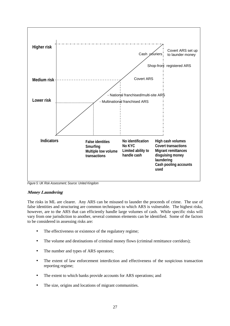

*Figure 5: UK Risk Assessment; Source: United Kingdom* 

#### **Money Laundering**

The risks in ML are clearer. Any ARS can be misused to launder the proceeds of crime. The use of false identities and structuring are common techniques to which ARS is vulnerable. The highest risks, however, are to the ARS that can efficiently handle large volumes of cash. While specific risks will vary from one jurisdiction to another, several common elements can be identified. Some of the factors to be considered in assessing risks are:

- The effectiveness or existence of the regulatory regime:
- The volume and destinations of criminal money flows (criminal remittance corridors);
- The number and types of ARS operators;
- The extent of law enforcement interdiction and effectiveness of the suspicious transaction reporting regime;
- The extent to which banks provide accounts for ARS operations; and
- The size, origins and locations of migrant communities.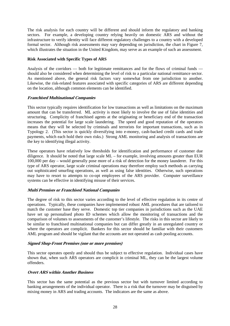The risk analysis for each country will be different and should inform the regulatory and banking sectors. For example, a developing country relying heavily on domestic ARS and without the infrastructure to verify identity will face different regulatory challenges to a country with a developed formal sector. Although risk assessments may vary depending on jurisdiction, the chart in Figure 7, which illustrates the situation in the United Kingdom, may serve as an example of such an assessment.

# **Risk Associated with Specific Types of ARS**

Analysis of the corridors — both for legitimate remittances and for the flows of criminal funds should also be considered when determining the level of risk to a particular national remittance sector. As mentioned above, the general risk factors vary somewhat from one jurisdiction to another. Likewise, the risk-related features associated with specific categories of ARS are different depending on the location, although common elements can be identified.

# **Franchised Multinational Companies**

This sector typically requires identification for low transactions as well as limitations on the maximum amount that can be transferred. ML activity is most likely to involve the use of false identities and structuring. Complicity of franchised agents at the originating or beneficiary end of the transaction increases the potential for large scale laundering. The speed and good reputation of the operators means that they will be selected by criminals and terrorists for important transactions, such as in Typology 2. (This sector is quickly diversifying into e-money, cash-backed credit cards and trade payments, which each hold their own risks.) Strong AML monitoring and analysis of transactions are the key to identifying illegal activity.

These operators have relatively low thresholds for identification and performance of customer due diligence. It should be noted that large scale ML – for example, involving amounts greater than EUR 100,000 per day – would generally pose more of a risk of detection for the money launderer. For this type of ARS operator, large scale criminal operations may therefore employ such methods as carrying out sophisticated smurfing operations, as well as using false identities. Otherwise, such operations may have to resort to attempts to co-opt employees of the ARS provider. Computer surveillance systems can be effective in identifying misuse of their services.

# **Multi Premises or Franchised National Companies**

The degree of risk to this sector varies according to the level of effective regulation in its centre of operations. Typically, these companies have implemented robust AML procedures that are tailored to match the customer base they serve. Domestic top tier companies in jurisdictions such as the UAE have set up personalised photo ID schemes which allow the monitoring of transactions and the comparison of volumes to assessments of the customer's lifestyle. The risks in this sector are likely to be similar to franchised multinational companies but can differ greatly in an unregulated country or where the operators are complicit. Bankers for this sector should be familiar with their customers AML program and should be vigilant that the accounts are not operated as cash pooling accounts.

#### **Signed Shop-Front Premises (one or more premises)**

This sector operates openly and should thus be subject to effective regulation. Individual cases have shown that, when such ARS operators are complicit in criminal ML, they can be the largest volume offenders.

# **Overt ARS within Another Business**

This sector has the same potential as the previous sector but with turnover limited according to banking arrangements of the individual operator. There is a risk that the turnover may be disguised by mixing money in ARS and trading accounts. The indicators are the same as above.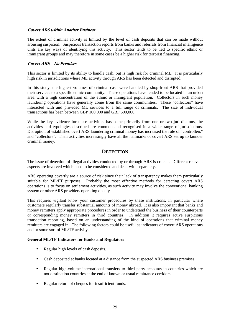#### **Covert ARS within Another Business**

The extent of criminal activity is limited by the level of cash deposits that can be made without arousing suspicion. Suspicious transaction reports from banks and referrals from financial intelligence units are key ways of identifying this activity. This sector tends to be tied to specific ethnic or immigrant groups and may therefore in some cases be a higher risk for terrorist financing.

# **Covert ARS – No Premises**

This sector is limited by its ability to handle cash, but is high risk for criminal ML. It is particularly high risk in jurisdictions where ML activity through ARS has been detected and disrupted.

In this study, the highest volumes of criminal cash were handled by shop-front ARS that provided their services to a specific ethnic community. These operations have tended to be located in an urban area with a high concentration of the ethnic or immigrant population. Collectors in such money laundering operations have generally come from the same communities. These "collectors" have interacted with and provided ML services to a full range of criminals. The size of individual transactions has been between GBP 100,000 and GBP 500,000.

While the key evidence for these activities has come primarily from one or two jurisdictions, the activities and typologies described are common and recognised in a wider range of jurisdictions. Disruption of established overt ARS laundering criminal money has increased the role of "controllers" and "collectors". Their activities increasingly have all the hallmarks of covert ARS set up to launder criminal money.

# **DETECTION**

The issue of detection of illegal activities conducted by or through ARS is crucial. Different relevant aspects are involved which need to be considered and dealt with separately.

ARS operating covertly are a source of risk since their lack of transparency makes them particularly suitable for ML/FT purposes. Probably the most effective methods for detecting covert ARS operations is to focus on settlement activities, as such activity may involve the conventional banking system or other ARS providers operating openly.

This requires vigilant know your customer procedures by these institutions, in particular where customers regularly transfer substantial amounts of money abroad. It is also important that banks and money remitters apply appropriate procedures in order to understand the business of their counterparts or corresponding money remitters in third countries. In addition it requires active suspicious transaction reporting, based on an understanding of the kind of operations that criminal money remitters are engaged in. The following factors could be useful as indicators of covert ARS operations and or some sort of ML/TF activity.

#### **General ML/TF Indicators for Banks and Regulators**

- Regular high levels of cash deposits.
- Cash deposited at banks located at a distance from the suspected ARS business premises.
- Regular high-volume international transfers to third party accounts in countries which are not destination countries at the end of known or usual remittance corridors.
- Regular return of cheques for insufficient funds.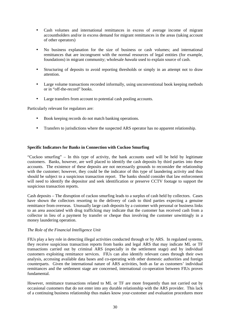- Cash volumes and international remittances in excess of average income of migrant accountholders and/or in excess demand for migrant remittances in the areas (taking account of other operators)
- No business explanation for the size of business or cash volumes; and international remittances that are incongruent with the normal resources of legal entities (for example, foundations) in migrant community; wholesale *hawala* used to explain source of cash.
- Structuring of deposits to avoid reporting thresholds or simply in an attempt not to draw attention.
- Large volume transactions recorded informally, using unconventional book keeping methods or in "off-the-record" books.
- Large transfers from account to potential cash pooling accounts.

Particularly relevant for regulators are:

- Book keeping records do not match banking operations.
- Transfers to jurisdictions where the suspected ARS operator has no apparent relationship.

#### **Specific Indicators for Banks in Connection with Cuckoo Smurfing**

"Cuckoo smurfing" – In this type of activity, the bank accounts used will be held by legitimate customers. Banks, however, are well placed to identify the cash deposits by third parties into these accounts. The existence of these deposits are not necessarily grounds to reconsider the relationship with the customer; however, they could be the indicator of this type of laundering activity and thus should be subject to a suspicious transaction report. The banks should consider that law enforcement will need to identify the depositor and seek identification or preserve CCTV footage to support the suspicious transaction reports.

Cash deposits – The disruption of cuckoo smurfing leads to a surplus of cash held by collectors. Cases have shown the collectors resorting to the delivery of cash to third parties expecting a genuine remittance from overseas. Unusually large cash deposits by a customer with personal or business links to an area associated with drug trafficking may indicate that the customer has received cash from a collector in lieu of a payment by transfer or cheque thus involving the customer unwittingly in a money laundering operation.

#### *The Role of the Financial Intelligence Unit*

FIUs play a key role in detecting illegal activities conducted through or by ARS. In regulated systems, they receive suspicious transaction reports from banks and legal ARS that may indicate ML or TF transactions carried out by criminal ARS (especially in the settlement stage) and by individual customers exploiting remittance services. FIUs can also identify relevant cases through their own analysis, accessing available data bases and co-operating with other domestic authorities and foreign counterparts. Given the international nature of ARS activities, both as far as customers' individual remittances and the settlement stage are concerned, international co-operation between FIUs proves fundamental.

However, remittance transactions related to ML or TF are more frequently than not carried out by occasional customers that do not enter into any durable relationship with the ARS provider. This lack of a continuing business relationship thus makes know your-customer and evaluation procedures more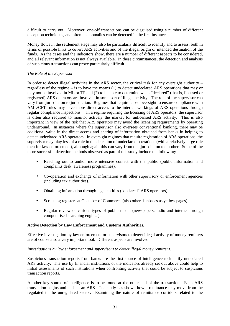difficult to carry out. Moreover, one-off transactions can be disguised using a number of different deception techniques, and often no anomalies can be detected in the first instance.

Money flows in the settlement stage may also be particularly difficult to identify and to assess, both in terms of possible links to covert ARS activities and of the illegal origin or intended destination of the funds. As the cases and the indicators show, there are a number of different aspects to be considered, and all relevant information is not always available. In these circumstances, the detection and analysis of suspicious transactions can prove particularly difficult.

#### *The Role of the Supervisor*

In order to detect illegal activities in the ARS sector, the critical task for any oversight authority – regardless of the regime – is to have the means (1) to detect undeclared ARS operations that may or may not be involved in ML or TF and (2) to be able to determine when "declared" (that is, licensed or registered) ARS operators are involved in some sort of illegal activity. The role of the supervisor can vary from jurisdiction to jurisdiction. Regimes that require close oversight to ensure compliance with AML/CFT rules may have more direct access to the internal workings of ARS operations through regular compliance inspections. In a regime requiring the licensing of ARS operators, the supervisor is often also required to monitor actively the market for unlicensed ARS activity. This is also important in view of the risk that ARS operators may avoid the licensing requirements by operating underground. In instances where the supervisor also oversees conventional banking, there may be additional value in the direct access and sharing of information obtained from banks in helping to detect undeclared ARS operators. In oversight regimes that require registration of ARS operations, the supervisor may play less of a role in the detection of undeclared operations (with a relatively large role then for law enforcement), although again this can vary from one jurisdiction to another. Some of the more successful detection methods observed as part of this study include the following:

- Reaching out to and/or more intensive contact with the public (public information and complaints desk; awareness programmes).
- Co-operation and exchange of information with other supervisory or enforcement agencies (including tax authorities).
- Obtaining information through legal entities ("declared" ARS operators).
- Screening registers at Chamber of Commerce (also other databases as yellow pages).
- Regular review of various types of public media (newspapers, radio and internet through computerised searching engines).

#### **Active Detection by Law Enforcement and Customs Authorities.**

Effective investigation by law enforcement or supervisors to detect illegal activity of money remitters are of course also a very important tool. Different aspects are involved:

#### *Investigations by law enforcement and supervisors to detect illegal money remitters.*

Suspicious transaction reports from banks are the first source of intelligence to identify undeclared ARS activity. The use by financial institutions of the indicators already set out above could help to initial assessments of such institutions when confronting activity that could be subject to suspicious transaction reports.

Another key source of intelligence is to be found at the other end of the transaction. Each ARS transaction begins and ends at an ARS. The study has shown how a remittance may move from the regulated to the unregulated sector. Examining the nature of remittance corridors related to the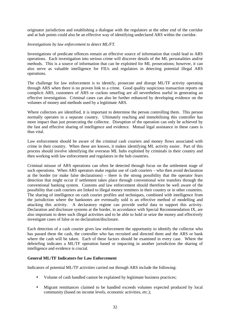originator jurisdiction and establishing a dialogue with the regulators at the other end of the corridor and at hub points could also be an effective way of identifying undeclared ARS within the corridor.

# *Investigations by law enforcement to detect ML/FT.*

Investigations of predicate offences remain an effective source of information that could lead to ARS operations. Each investigation into serious crime will discover details of the ML personalities and/or methods. This is a source of information that can be exploited for ML prosecutions; however, it can also serve as valuable intelligence for FIUs and regulators in detecting potential illegal ARS operations.

The challenge for law enforcement is to identify, prosecute and disrupt ML/TF activity operating through ARS when there is no proven link to a crime. Good quality suspicious transaction reports on complicit ARS, customers of ARS or cuckoo smurfing are all nevertheless useful in generating an effective investigation. Criminal cases can also be further enhanced by developing evidence on the volumes of money and methods used by a legitimate ARS.

Where collectors are identified, it is important to determine the person controlling them. This person normally operates in a separate country. Ultimately reaching and immobilising this controller has more impact than just prosecuting the collector. Disruption of the operation can only be achieved by the fast and effective sharing of intelligence and evidence. Mutual legal assistance in these cases is thus vital.

Law enforcement should be aware of the criminal cash couriers and money flows associated with crime in their country. When these are known, it makes identifying ML activity easier. Part of this process should involve identifying the overseas ML hubs exploited by criminals in their country and then working with law enforcement and regulators in the hub countries.

Criminal misuse of ARS operations can often be detected through focus on the settlement stage of such operations. When ARS operators make regular use of cash couriers – who then avoid declaration at the border (or make false declarations) – there is the strong possibility that the operator fears detection that might occur if settlement takes place through conventional wire transfers through the conventional banking system. Customs and law enforcement should therefore be well aware of the possibility that cash couriers are linked to illegal money remitters in their country or in other countries. The sharing of intelligence on cash courier profiles and techniques, combined with intelligence from the jurisdiction where the banknotes are eventually sold is an effective method of modelling and attacking this activity. A declaratory regime can provide useful data to support this activity. Declaration and disclosure systems at the border, in accordance with Special Recommendation IX, are also important to deter such illegal activities and to be able to hold or seize the money and effectively investigate cases of false or no declaration/disclosure.

Each detection of a cash courier gives law enforcement the opportunity to identify the collector who has passed them the cash, the controller who has recruited and directed them and the ARS or bank where the cash will be taken. Each of these factors should be examined in every case. Where the debriefing indicates a ML/TF operation based or impacting in another jurisdiction the sharing of intelligence and evidence is crucial.

#### **General ML/TF Indicators for Law Enforcement**

Indicators of potential ML/TF activities carried out through ARS include the following:

- Volume of cash handled cannot be explained by legitimate business practices;
- Migrant remittances claimed to be handled exceeds volumes expected produced by local community (based on income levels, economic activities, etc.);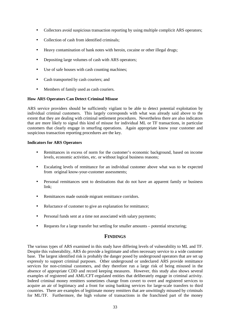- Collectors avoid suspicious transaction reporting by using multiple complicit ARS operators;
- Collection of cash from identified criminals;
- Heavy contamination of bank notes with heroin, cocaine or other illegal drugs;
- Depositing large volumes of cash with ARS operators;
- Use of safe houses with cash counting machines;
- Cash transported by cash couriers; and
- Members of family used as cash couriers.

# **How ARS Operators Can Detect Criminal Misuse**

ARS service providers should be sufficiently vigilant to be able to detect potential exploitation by individual criminal customers. This largely corresponds with what was already said above to the extent that they are dealing with criminal settlement procedures. Nevertheless there are also indicators that are more likely to signal this kind of misuse for individual ML or TF transactions, in particular customers that clearly engage in smurfing operations. Again appropriate know your customer and suspicious transaction reporting procedures are the key.

# **Indicators for ARS Operators**

- Remittances in excess of norm for the customer's economic background, based on income levels, economic activities, etc. or without logical business reasons;
- Escalating levels of remittance for an individual customer above what was to be expected from original know-your-customer assessments;
- Personal remittances sent to destinations that do not have an apparent family or business link;
- Remittances made outside migrant remittance corridors.
- Reluctance of customer to give an explanation for remittance;
- Personal funds sent at a time not associated with salary payments;
- Requests for a large transfer but settling for smaller amounts potential structuring;

# **FINDINGS**

The various types of ARS examined in this study have differing levels of vulnerability to ML and TF. Despite this vulnerability, ARS do provide a legitimate and often necessary service to a wide customer base. The largest identified risk is probably the danger posed by underground operators that are set up expressly to support criminal purposes. Other underground or undeclared ARS provide remittance services for non-criminal customers, and they therefore run a large risk of being misused in the absence of appropriate CDD and record keeping measures. However, this study also shows several examples of registered and AML/CFT-regulated entities that deliberately engage in criminal activity. Indeed criminal money remitters sometimes change from covert to overt and registered services to acquire an air of legitimacy and a front for using banking services for large-scale transfers to third countries. There are examples of legitimate money remitters that are unwittingly misused by criminals for ML/TF. Furthermore, the high volume of transactions in the franchised part of the money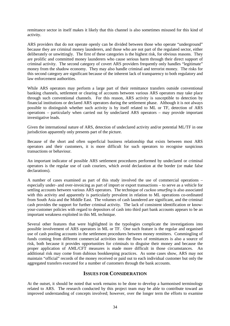remittance sector in itself makes it likely that this channel is also sometimes misused for this kind of activity.

ARS providers that do not operate openly can be divided between those who operate "underground" because they are criminal money launderers, and those who are not part of the regulated sector, either deliberately or unwittingly. The first of these categories is the highest risk, for obvious reasons. They are prolific and committed money launderers who cause serious harm through their direct support of criminal activity. The second category of covert ARS providers frequently only handles "legitimate" money from the shadow economy. They may also handle criminal and terrorist money. The risks for this second category are significant because of the inherent lack of transparency to both regulatory and law enforcement authorities.

While ARS operators may perform a large part of their remittance transfers outside conventional banking channels, settlement or clearing of accounts between various ARS operators may take place through such conventional channels. For this reason, ARS activity is susceptible to detection by financial institutions or declared ARS operators during the settlement phase. Although it is not always possible to distinguish whether such activity is by itself related to ML or TF, detection of ARS operations – particularly when carried out by undeclared ARS operators – may provide important investigative leads.

Given the international nature of ARS, detection of undeclared activity and/or potential ML/TF in one jurisdiction apparently only presents part of the picture.

Because of the short and often superficial business relationship that exists between most ARS operators and their customers, it is more difficult for such operators to recognise suspicious transactions or behaviour.

An important indicator of possible ARS settlement procedures performed by undeclared or criminal operators is the regular use of cash couriers, which avoid declaration at the border (or make false declarations).

A number of cases examined as part of this study involved the use of commercial operations – especially under- and over-invoicing as part of import or export transactions – to serve as a vehicle for settling accounts between various ARS operators. The technique of *cuckoo smurfing* is also associated with this activity and apparently is particularly prevalent in relation to ML operations co-ordinated from South Asia and the Middle East. The volumes of cash laundered are significant, and the criminal cash provides the support for further criminal activity. The lack of consistent identification or knowyour-customer policies with regard to depositors of cash into third part bank accounts appears to be an important weakness exploited in this ML technique.

Several other features that were highlighted in the typologies complicate the investigations into possible involvement of ARS operators in ML or TF. One such feature is the regular and organised use of cash pooling accounts in the settlement procedures between money remitters. Commingling of funds coming from different commercial activities into the flows of remittances is also a source of risk, both because it provides opportunities for criminals to disguise their money and because the proper application of AML/CFT measures is made more difficult in those circumstances. An additional risk may come from dubious bookkeeping practices. As some cases show, ARS may not maintain "official" records of the money received or paid out to each individual customer but only the aggregated transfers executed for a number of customers through the bank accounts.

# **ISSUES FOR CONSIDERATION**

At the outset, it should be noted that work remains to be done to develop a harmonised terminology related to ARS. The research conducted by this project team may be able to contribute toward an improved understanding of concepts involved; however, over the longer term the efforts to examine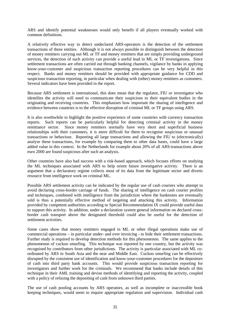ARS and identify potential weaknesses would only benefit if all players eventually worked with common definitions.

A relatively effective way to detect undeclared ARS-operators is the detection of the settlement transactions of these entities. Although it is not always possible to distinguish between the detection of money remitters carrying out ML or TF and money remitters that are simply providing underground services, the detection of such activity can provide a useful lead in ML or TF investigations. Since settlement transactions are often carried out through banking channels, vigilance by banks in applying know-your-customer and suspicious transaction reporting procedures can be very helpful in this respect. Banks and money remitters should be provided with appropriate guidance for CDD and suspicious transaction reporting, in particular when dealing with (other) money remitters as customers. Several indicators have been provided in the report.

Because ARS settlement is international, this does mean that the regulator, FIU or investigator who identifies the activity will need to communicate their suspicions to their equivalent bodies in the originating and receiving countries. This emphasises how important the sharing of intelligence and evidence between countries is to the effective disruption of criminal ML or TF groups using ARS.

It is also worthwhile to highlight the positive experience of some countries with currency transaction reports. Such reports can be particularly helpful for detecting criminal activity in the money remittance sector. Since money remitters normally have very short and superficial business relationships with their customers, it is more difficult for them to recognise suspicious or unusual transactions or behaviour. Reporting all large transactions and allowing the FIU to (electronically) analyse these transactions, for example by comparing them to other data bases, could have a large added value in this context. In the Netherlands for example about 20% of all ARS-transactions above euro 2000 are found suspicious after such an analysis.

Other countries have also had success with a risk-based approach, which focuses efforts on studying the ML techniques associated with ARS to help orient future investigative activity. There is an argument that a declaratory regime collects most of its data from the legitimate sector and diverts resource from intelligence work on criminal ML.

Possible ARS settlement activity can be indicated by the regular use of cash couriers who attempt to avoid declaring cross-border carriage of funds. The sharing of intelligence on cash courier profiles and techniques, combined with intelligence from the jurisdiction where the banknotes are eventually sold is thus a potentially effective method of targeting and attacking this activity. Information provided by competent authorities according to Special Recommendation IX could provide useful data to support this activity. In addition, under a declaration system general information on declared crossborder cash transport above the designated threshold could also be useful for the detection of settlement activities.

Some cases show that money remitters engaged in ML or other illegal operations make use of commercial operations – in particular under- and over invoicing - to hide their settlement transactions. Further study is required to develop detection methods for this phenomenon. The same applies to the phenomenon of cuckoo smurfing. This technique was reported by one country, but the activity was recognised by contributors from other jurisdictions. The activity is particular associated with ML coordinated by ARS in South Asia and the near and Middle East. Cuckoo smurfing can be effectively disrupted by the consistent use of identification and know-your-customer procedures for the depositors of cash into third party bank accounts. This would provide suspicious transaction reporting for investigators and further work for the criminals. We recommend that banks include details of this technique in their AML training and devise methods of identifying and reporting the activity, coupled with a policy of refusing the depositing of cash from unknown third parties.

The use of cash pooling accounts by ARS operators, as well as incomplete or inaccessible book keeping techniques, would seem to require appropriate regulation and supervision. Individual cash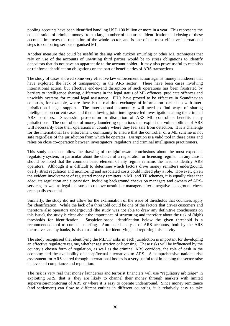pooling accounts have been identified handling USD 100 billion or more in a year. This represents the concentration of criminal money from a large number of countries. Identification and closing of these accounts improves the reputation of the whole sector, and is one of the most effective international steps to combating serious organised ML.

Another measure that could be useful in dealing with cuckoo smurfing or other ML techniques that rely on use of the accounts of unwitting third parties would be to stress obligations to identify depositors that do not have an apparent tie to the account holder. It may also prove useful to establish or reinforce identification obligations on the part of beneficiaries of ARS transactions.

The study of cases showed some very effective law enforcement action against money launderers that have exploited the lack of transparency in the ARS sector. There have been cases involving international action, but effective end-to-end disruption of such operations has been frustrated by barriers to intelligence sharing, differences in the legal status of ML offences, predicate offences and unwieldy systems for mutual legal assistance. FIUs have proved to be effective in Scandinavian countries, for example, where there is the real-time exchange of information backed up with interjurisdictional legal support. The international community will need to find ways of sharing intelligence on current cases and then allowing joint intelligence-led investigations along the criminal ARS corridors. Successful prosecution or disruption of ARS ML controllers benefits many jurisdictions. The controllers of money laundering operations that exploit the vulnerabilities of ARS will necessarily base their operations in country where they feel safe from detection. It is a challenge for the international law enforcement community to ensure that the controller of a ML scheme is not safe regardless of the jurisdiction from which he operates. Disruption is a valid tool in these cases and relies on close co-operation between investigators, regulators and criminal intelligence practitioners.

This study does not allow the drawing of straightforward conclusions about the most expedient regulatory system, in particular about the choice of a registration or licensing regime. In any case it should be noted that the common basic element of any regime remains the need to identify ARS operators. Although it is difficult to determine which factors drive money remitters underground, overly strict regulation and monitoring and associated costs could indeed play a role. However, given the evident involvement of registered money remitters in ML and TF schemes, it is equally clear that adequate regulation and supervision, including background checks on managers and owners of ARSservices, as well as legal measures to remove unsuitable managers after a negative background check are equally essential.

Similarly, the study did not allow for the examination of the issue of thresholds that countries apply for identification. While the lack of a threshold could be one of the factors that drives customers and therefore also operators underground (the study was not able to draw any definitive conclusions on this issue), the study is clear about the importance of structuring and therefore about the risk of (high) thresholds for identification. Suspicion-based identification below the given threshold is a recommended tool to combat smurfing. Automated analysis of ARS accounts, both by the ARS themselves and by banks, is also a useful tool for identifying and reporting this activity.

The study recognised that identifying the ML/TF risks in each jurisdiction is important for developing an effective regulatory regime, whether registration or licensing. These risks will be influenced by the country's chosen form of regulation, as well as the criminal ARS corridors, the role of cash in the economy and the availability of cheap/formal alternatives to ARS. A comprehensive national risk assessment for ARS shared through international bodies is a very useful tool in helping the sector raise its levels of compliance and reputation.

The risk is very real that money launderers and terrorist financiers will use "regulatory arbitrage" in exploiting ARS, that is, they are likely to channel their money through markets with limited supervision/monitoring of ARS or where it is easy to operate underground. Since money remittance (and settlement) can flow to different entities in different countries, it is relatively easy to take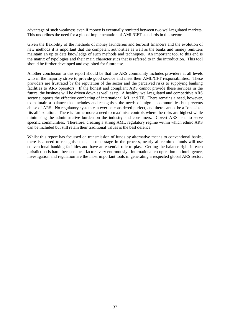advantage of such weakness even if money is eventually remitted between two well-regulated markets. This underlines the need for a global implementation of AML/CFT standards in this sector.

Given the flexibility of the methods of money launderers and terrorist financers and the evolution of new methods it is important that the competent authorities as well as the banks and money remitters maintain an up to date knowledge of such methods and techniques. An important tool to this end is the matrix of typologies and their main characteristics that is referred to in the introduction. This tool should be further developed and exploited for future use.

Another conclusion to this report should be that the ARS community includes providers at all levels who in the majority strive to provide good service and meet their AML/CFT responsibilities. These providers are frustrated by the reputation of the sector and the perceived risks to supplying banking facilities to ARS operators. If the honest and compliant ARS cannot provide these services in the future, the business will be driven down as well as up. A healthy, well-regulated and competitive ARS sector supports the effective combating of international ML and TF. There remains a need, however, to maintain a balance that includes and recognises the needs of migrant communities but prevents abuse of ARS. No regulatory system can ever be considered perfect, and there cannot be a "one-sizefits-all" solution. There is furthermore a need to maximise controls where the risks are highest while minimising the administrative burden on the industry and consumers. Covert ARS tend to serve specific communities. Therefore, creating a strong AML regulatory regime within which ethnic ARS can be included but still retain their traditional values is the best defence.

Whilst this report has focussed on transmission of funds by alternative means to conventional banks, there is a need to recognise that, at some stage in the process, nearly all remitted funds will use conventional banking facilities and have an essential role to play. Getting the balance right in each jurisdiction is hard, because local factors vary enormously. International co-operation on intelligence, investigation and regulation are the most important tools in generating a respected global ARS sector.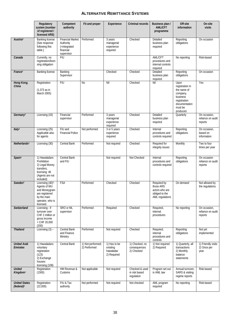# **ALTERNATIVE REMITTANCE SYSTEMS**

|                                                | <b>Regulatory</b><br>system (number<br>of registered /<br>licensed ARS)                                                          | Competent<br>authority                                                          | Fit and proper                    | <b>Experience</b>                                    | <b>Criminal records</b>                       | <b>Business plan /</b><br><b>AML/CFT</b><br>programme                           | Off-site<br>information                                                                                                 | On-site<br>visits                            |
|------------------------------------------------|----------------------------------------------------------------------------------------------------------------------------------|---------------------------------------------------------------------------------|-----------------------------------|------------------------------------------------------|-----------------------------------------------|---------------------------------------------------------------------------------|-------------------------------------------------------------------------------------------------------------------------|----------------------------------------------|
| Austria <sup>1</sup>                           | <b>Banking license</b><br>[See response<br>following this<br>table.]                                                             | <b>Financial Market</b><br>Authority<br>(=integrated<br>financial<br>supervisor | Performed                         | 3 years<br>managerial<br>experience<br>required      | Checked                                       | Detailed<br>business plan<br>required                                           | Reporting<br>obligations                                                                                                | On occasion                                  |
| Canada                                         | Currently, no<br>registration/licen<br>sing obligation                                                                           | F1U                                                                             |                                   |                                                      |                                               | AML/CFT<br>procedures and<br>internal controls<br>required                      | No reporting                                                                                                            | Risk-based                                   |
| France <sup>1</sup>                            | <b>Banking license</b>                                                                                                           | Banking<br>Supervisor                                                           |                                   | Checked                                              | Checked                                       | Detailed<br>business plan<br>required                                           | Reporting<br>obligations                                                                                                | On occasion                                  |
| Hong Kong,<br>China                            | Registration<br>$(1,373$ as in<br>March 2005)                                                                                    | <b>FIU</b>                                                                      | <b>No</b>                         | $\overline{N}$                                       | Checked                                       | Nil                                                                             | Upon<br>registration in<br>the name of<br>company,<br>business<br>registration<br>documentation<br>must be<br>produced. | Yes                                          |
| Germany <sup>1</sup>                           | Licensing (43)                                                                                                                   | Financial<br>supervisor                                                         | Performed                         | 3 years<br>managerial<br>experience<br>required      | Checked                                       | Detailed<br>business plan<br>required                                           | Quarterly                                                                                                               | On occasion,<br>reliance on audit<br>reports |
| Italy <sup>1</sup>                             | Licensing (25)<br>Applicable also<br>for agents                                                                                  | FIU and<br><b>Financial Police</b>                                              | Not performed                     | 3 or 5 years<br>experience<br>required               | Checked                                       | Internal<br>procedures and<br>controls required                                 | Reporting<br>obligations                                                                                                | On occasion,<br>based on<br>information      |
| Netherlands <sup>1</sup>                       | Licensing (30)                                                                                                                   | <b>Central Bank</b>                                                             | Performed                         | Not required                                         | Checked                                       | Required for<br>integrity issues                                                | Monthly                                                                                                                 | Two to four<br>times per year                |
| Spain <sup>1</sup>                             | 1) Hawaladars:<br>Prohibition<br>2) Legal Money<br>transfers,<br>licensing: 46<br>(Agents are not<br>included)                   | Central Bank<br>and FIU                                                         |                                   | Not required                                         | Not Checked                                   | Internal<br>procedures and<br>controls required                                 | Reporting<br>obligations                                                                                                | On occasion<br>reliance on audit<br>reports  |
| Sweden <sup>1</sup>                            | Licensing (40) <sup>4</sup> .<br>Agents of WU<br>and Moneygram<br>are registered<br>by the main<br>operator, who is<br>licensed. | <b>FSA</b>                                                                      | Performed                         | Checked                                              | Checked                                       | Required by<br>those ARS<br>actors who are<br>obliged to the<br>AML regulations | On demand                                                                                                               | Not allowed by<br>the regulations.           |
| <b>Switzerland</b>                             | Licensing - if<br>turnover over<br>CHF 2 million or<br>gross income<br>+ CHF 20,000<br>(200)                                     | SRO or ML<br>supervisor                                                         | Performed                         | Required                                             | Checked                                       | Required,<br>internal<br>procedures                                             | No reporting                                                                                                            | On occasion,<br>reliance on audit<br>reports |
| <b>Thailand</b>                                | Licensing $(3)$ –                                                                                                                | <b>Central Bank</b><br>and Finance<br>Ministry                                  | Performed                         | Not required                                         | Checked                                       | Required,<br>internal<br>procedures and<br>controls                             | Reporting<br>obligations                                                                                                | Not yet<br>implemented                       |
| <b>United Arab</b><br><b>Emirates</b>          | 1) Hawaladars:<br>voluntary<br>registration<br>(123)<br>2) Exchange<br>houses:<br>licensing (108)                                | Central Bank                                                                    | 1) Not performed;<br>2) Performed | 1) Has to be<br>existing<br>hawaladar<br>2) Required | 1) Checked, no<br>consequences<br>2) Checked  | 1) Not required<br>2) Required                                                  | 1) Quarterly, all<br>transactions<br>2) Monthly<br>balance<br>statements                                                | 1) Friendly visits<br>2) Once per<br>year    |
| <b>United</b><br>Kingdom <sup>1</sup>          | Registration<br>(1500)                                                                                                           | HM Revenue &<br>Customs                                                         | Not applicable                    | Not required                                         | Checked & used<br>in risk based<br>regulation | Program set out<br>in AML law                                                   | Annual turnover,<br>SARS & visiting<br>regime reports                                                                   | Risk-based                                   |
| <b>United States</b><br>(federal) <sup>2</sup> | Registration<br>(22,000)                                                                                                         | FIU & Tax<br>authority                                                          | Not performed                     | Not required                                         | Not checked                                   | AML program<br>required                                                         | No reporting                                                                                                            | Risk-based                                   |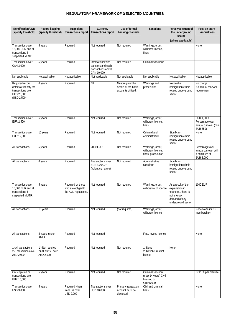# **REGULATORY FRAMEWORK OF SELECTED COUNTRIES**

| <b>Identification/CDD</b><br>(specify threshold)                                             | <b>Record keeping</b><br>(specify threshold)       | <b>Suspicious</b><br>transactions report                        | Currency<br>transactions report                                              | Use of formal<br>banking channels                              | <b>Sanctions</b>                                                      | Perceived extent of<br>the underground<br>sector<br>(where applicable)                                             | Fees on entry /<br><b>Annual fees</b>                                |
|----------------------------------------------------------------------------------------------|----------------------------------------------------|-----------------------------------------------------------------|------------------------------------------------------------------------------|----------------------------------------------------------------|-----------------------------------------------------------------------|--------------------------------------------------------------------------------------------------------------------|----------------------------------------------------------------------|
| Transactions over<br>15,000 EUR and all<br>transactions if<br>suspected ML/TF                | $\overline{5}$ years                               | Required                                                        | Not required                                                                 | Not required                                                   | Warnings, order,<br>withdraw licence,<br>fines                        |                                                                                                                    | None                                                                 |
| <b>Transactions over</b><br>CAN 3,000                                                        | 5 years                                            | Required                                                        | International wire<br>transfers and cash<br>transactions above<br>CAN 10,000 | Not required                                                   | Criminal sanctions                                                    |                                                                                                                    |                                                                      |
| Not applicable                                                                               | Not applicable                                     | Not applicable                                                  | Not applicable                                                               | Not applicable                                                 | Not applicable                                                        | Not applicable                                                                                                     | Not applicable                                                       |
| Required record<br>details of identity for<br>transactions over<br>HKD 20,000<br>(USD 2,500) | 6 years                                            | Required                                                        | Nil                                                                          | Must register the<br>details of the bank<br>accounts utilised. | Warnings and<br>prosecution                                           | Noticeable<br>immigration/ethnic<br>related underground<br>sector                                                  | No charge<br>No annual renewal<br>requirement                        |
| <b>Transactions over</b><br>EUR 2,500                                                        | 6 years                                            | Required                                                        | Not required                                                                 | Not required                                                   | Warnings, order,<br>withdraw licence,<br>fines                        |                                                                                                                    | EUR 1,000/<br>Percentage over<br>annual turnover (min<br>EUR 650)    |
| Transactions over<br>EUR 12,500                                                              | 10 years                                           | Required                                                        | Not required                                                                 | Not required                                                   | Criminal and<br>administrative                                        | Significant<br>immigration/ethnic<br>related underground<br>sector                                                 | None                                                                 |
| All transactions                                                                             | $\overline{5}$ years                               | Required                                                        | 2000 EUR                                                                     | Not required                                                   | Warnings, order,<br>withdraw licence,<br>fines, prosecution           |                                                                                                                    | Percentage over<br>annual turnover with<br>a minimum of<br>EUR 3,000 |
| All transactions                                                                             | 6 years                                            | Required                                                        | Transactions over<br>EUR 3,005.07<br>(voluntary nature)                      | Not required                                                   | Administrative<br>sanctions                                           | Significant<br>immigration/ethnic<br>related underground<br>sector                                                 |                                                                      |
| Transactions over<br>15,000 EUR and all<br>transactions if<br>suspected ML/TF.               | 5 years                                            | Required by those<br>who are obliged to<br>the AML regulations. | Not required                                                                 | Not required                                                   | Warnings, order,<br>withdrawal of licence                             | As a result of the<br>explanation in<br>footnote 1 there is<br>not a known<br>demand of any<br>underground sector. | <b>1000 EUR</b>                                                      |
| All transactions                                                                             | 10 years                                           | Required                                                        | Not required                                                                 | (not required)                                                 | Warnings, order,<br>withdraw licence                                  |                                                                                                                    | None/None (SRO<br>membership)                                        |
| All transactions                                                                             | 5 years, under<br>AMLA                             | Required                                                        | Not required                                                                 |                                                                | Fine, revoke licence                                                  |                                                                                                                    | None                                                                 |
| 1) All transactions<br>2) Transactions over<br>AED 2,000                                     | 1) Not required<br>2) All trans. over<br>AED 2,000 | Required                                                        | Not required                                                                 | Not required                                                   | 1) None<br>2) Revoke, restrict<br>licence                             | None                                                                                                               |                                                                      |
| On suspicion or<br>transactions over<br>EUR 15,000                                           | 5 years                                            | Required                                                        | Not required                                                                 | Not required                                                   | Criminal sanction<br>(max 14 years) Civil<br>fines up to<br>GBP 5,000 |                                                                                                                    | GBP 60 per premise                                                   |
| Transactions over<br>USD 3,000                                                               | 5 years                                            | Required when<br>trans. is over<br><b>USD 2,000</b>             | Transactions over<br>USD 10,000                                              | Primary transaction<br>account must be<br>disclosed            | Civil and criminal<br>fines                                           |                                                                                                                    | None                                                                 |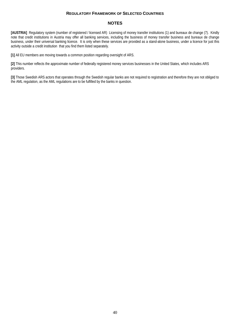# **REGULATORY FRAMEWORK OF SELECTED COUNTRIES**

## **NOTES**

**[AUSTRIA]** Regulatory system (number of registered / licensed AR) Licensing of money transfer institutions (1) and bureaux de change (7). Kindly note that credit institutions in Austria may offer all banking services, including the business of money transfer business and bureaux de change business, under their universal banking licence. It is only when these services are provided as a stand-alone business, under a licence for just this activity outside a credit institution that you find them listed separately.

**[1]** All EU members are moving towards a common position regarding oversight of ARS.

**[2]** This number reflects the approximate number of federally registered money services businesses in the United States, which includes ARS providers.

**[3]** Those Swedish ARS actors that operates through the Swedish regular banks are not required to registration and therefore they are not obliged to the AML regulation, as the AML regulations are to be fulfilled by the banks in question.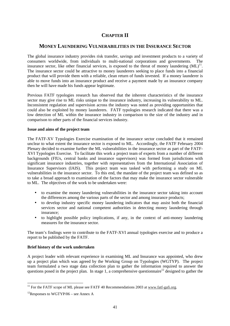# **CHAPTER II**

# **MONEY LAUNDERING VULNERABILITIES IN THE INSURANCE SECTOR**

The global insurance industry provides risk transfer, savings and investment products to a variety of consumers worldwide, from individuals to multi-national corporations and governments. The insurance sector, like other financial services, is exposed to the threat of money laundering  $(ML)^{11}$ . The insurance sector could be attractive to money launderers seeking to place funds into a financial product that will provide them with a reliable, clean return of funds invested. If a money launderer is able to move funds into an insurance product and receive a payment made by an insurance company then he will have made his funds appear legitimate.

Previous FATF typologies research has observed that the inherent characteristics of the insurance sector may give rise to ML risks unique to the insurance industry, increasing its vulnerability to ML. Inconsistent regulation and supervision across the industry was noted as providing opportunities that could also be exploited by money launderers. FATF typologies research indicated that there was a low detection of ML within the insurance industry in comparison to the size of the industry and in comparison to other parts of the financial services industry.

## **Issue and aims of the project team**

The FATF-XV Typologies Exercise examination of the insurance sector concluded that it remained unclear to what extent the insurance sector is exposed to ML. Accordingly, the FATF February 2004 Plenary decided to examine further the ML vulnerabilities in the insurance sector as part of the FATF-XVI Typologies Exercise. To facilitate this work a project team of experts from a number of different backgrounds (FIUs, central banks and insurance supervisors) was formed from jurisdictions with significant insurance industries, together with representatives from the International Association of Insurance Supervisors (IAIS). This project team was tasked with performing a study on ML vulnerabilities in the insurance sector. To this end, the mandate of the project team was defined so as to take a broad approach to examination of the factors that may make the insurance sector vulnerable to ML. The objectives of the work to be undertaken were:

- to examine the money laundering vulnerabilities in the insurance sector taking into account the differences among the various parts of the sector and among insurance products;
- to develop industry specific money laundering indicators that may assist both the financial services sector and national competent authorities in detecting money laundering through insurance;
- to highlight possible policy implications, if any, in the context of anti-money laundering measures for the insurance sector.

The team's findings were to contribute to the FATF-XVI annual typologies exercise and to produce a report to be published by the FATF.

# **Brief history of the work undertaken**

A project leader with relevant experience in examining ML and Insurance was appointed, who drew up a project plan which was agreed by the Working Group on Typologies (WGTYP). The project team formulated a two stage data collection plan to gather the information required to answer the questions posed in the project plan. In stage 1, a comprehensive questionnaire<sup>12</sup> designed to gather the

 $\overline{a}$  $11$  For the FATF scope of ML please see FATF 40 Recommendations 2003 at  $\frac{www.fatf-gafi.org}{}$ .

 $12$ Responses to WGTYP/06 – see Annex A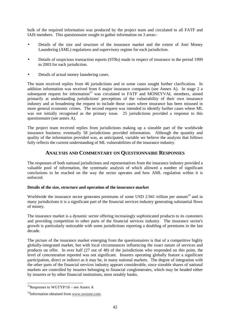bulk of the required information was produced by the project team and circulated to all FATF and IAIS members. This questionnaire sought to gather information on 3 areas:-

- Details of the size and structure of the insurance market and the extent of Anti Money Laundering (AML) regulations and supervisory regime for each jurisdiction.
- Details of suspicious transaction reports (STRs) made in respect of insurance in the period 1999 to 2003 for each jurisdiction.
- Details of actual money laundering cases.

The team received replies from 46 jurisdictions and in some cases sought further clarification. In addition information was received from 6 major insurance companies (see Annex A). In stage 2 a subsequent request for information $13$  was circulated to FATF and MONEYVAL members, aimed primarily at understanding jurisdictions' perceptions of the vulnerability of their own insurance industry and at broadening the request to include those cases where insurance has been misused in more general economic crimes. The second request was intended to identify further cases where ML was not initially recognised as the primary issue. 25 jurisdictions provided a response to this questionnaire (see annex A).

The project team received replies from jurisdictions making up a sizeable part of the worldwide insurance business: eventually 58 jurisdictions provided information. Although the quantity and quality of the information provided was, as anticipated, variable we believe the analysis that follows fully reflects the current understanding of ML vulnerabilities of the insurance industry.

# **ANALYSIS AND COMMENTARY ON QUESTIONNAIRE RESPONSES**

The responses of both national jurisdictions and representatives from the insurance industry provided a valuable pool of information, the systematic analysis of which allowed a number of significant conclusions to be reached on the way the sector operates and how AML regulation within it is enforced.

#### **Details of the size, structure and operation of the insurance market**

Worldwide the insurance sector generates premiums of some USD 2.941 trillion per annum<sup>14</sup> and in many jurisdictions it is a significant part of the financial services industry generating substantial flows of money.

The insurance market is a dynamic sector offering increasingly sophisticated products to its customers and providing competition to other parts of the financial services industry. The insurance sector's growth is particularly noticeable with some jurisdictions reporting a doubling of premiums in the last decade.

The picture of the insurance market emerging from the questionnaires is that of a competitive highly globally-integrated market, but with local circumstances influencing the exact nature of services and products on offer. In over half (27 out of 48) of the jurisdictions who responded on this point, the level of concentration reported was not significant. Insurers operating globally feature a significant participation, direct or indirect as it may be, in many national markets. The degree of integration with the other parts of the financial services industry appears considerable, since sizeable shares of national markets are controlled by insurers belonging to financial conglomerates, which may be headed either by insurers or by other financial institutions, most notably banks.

 $\overline{a}$ 

 $^{13}$ Responses to WGTYP/16 – see Annex A

<sup>&</sup>lt;sup>14</sup>Information obtained from www.swissre.com.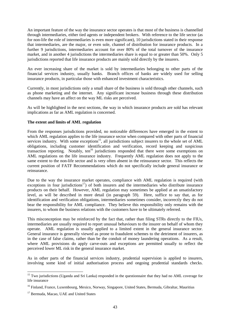An important feature of the way the insurance sector operates is that most of the business is channelled through intermediaries, either tied agents or independent brokers. With reference to the life sector (as for non-life the role of intermediaries is even more significant), 10 jurisdictions stated in their response that intermediaries, are the major, or even sole, channel of distribution for insurance products. In a further 9 jurisdictions, intermediaries account for over 80% of the total turnover of the insurance market, and in another 4 jurisdictions the intermediaries share is equal to or greater than 50%. Only 5 jurisdictions reported that life insurance products are mainly sold directly by the insurers.

An ever increasing share of the market is sold by intermediaries belonging to other parts of the financial services industry, usually banks. Branch offices of banks are widely used for selling insurance products, in particular those with enhanced investment characteristics.

Currently, in most jurisdictions only a small share of the business is sold through other channels, such as phone marketing and the internet. Any significant increase business through these distribution channels may have an affect on the way ML risks are perceived.

As will be highlighted in the next sections, the way in which insurance products are sold has relevant implications as far as AML regulation is concerned.

#### **The extent and limits of AML regulation**

From the responses jurisdictions provided, no noticeable differences have emerged in the extent to which AML regulation applies to the life insurance sector when compared with other parts of financial services industry. With some exceptions<sup>15</sup>, all jurisdictions subject insurers to the whole set of AML obligations, including customer identification and verification, record keeping and suspicious transaction reporting. Notably, ten<sup>16</sup> jurisdictions responded that there were some exemptions on AML regulations on the life insurance industry. Frequently AML regulation does not apply to the same extent to the non-life sector and is very often absent in the reinsurance sector. This reflects the current position of FATF Recommendations which do not specifically include general insurance or reinsurance.

Due to the way the insurance market operates, compliance with AML regulation is required (with exceptions in four jurisdictions<sup>17</sup>) of both insurers and the intermediaries who distribute insurance products on their behalf. However, AML regulation may sometimes be applied at an unsatisfactory level, as will be described in more detail (in paragraph 59). Here, suffice to say that, as for identification and verification obligations, intermediaries sometimes consider, incorrectly they do not bear the responsibility for AML compliance. They believe this responsibility only remains with the insurers, to whom the business relations with the customers have to be ultimately referred.

This misconception may be reinforced by the fact that, rather than filing STRs directly to the FIUs, intermediaries are usually required to report unusual behaviours to the insurer on behalf of whom they operate. AML regulation is usually applied to a limited extent in the general insurance sector. General insurance is generally viewed as prone to fraudulent schemes to the detriment of insurers, as in the case of false claims, rather than be the conduit of money laundering operations. As a result, where AML provisions do apply carve-outs and exceptions are permitted usually to reflect the perceived lower ML risk in the general insurance market.

As in other parts of the financial services industry, prudential supervision is applied to insurers, involving some kind of initial authorisation process and ongoing prudential standards checks.

 $\overline{a}$ 

<sup>&</sup>lt;sup>15</sup> Two jurisdictions (Uganda and Sri Lanka) responded in the questionnaire that they had no AML coverage for life insurance

<sup>&</sup>lt;sup>16</sup> Finland, France, Luxembourg, Mexico, Norway, Singapore, United States, Bermuda, Gibraltar, Mauritius

<sup>&</sup>lt;sup>17</sup> Bermuda, Macao, UAE and United States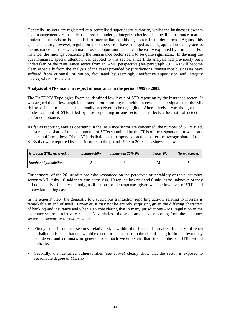Generally insurers are registered at a centralised supervisory authority, whilst the businesses owners and management are usually required to undergo integrity checks. In the life insurance market prudential supervision is extended to intermediaries, although often in milder forms. Against this general picture, however, regulation and supervision have emerged as being applied unevenly across the insurance industry which may provide opportunities that can be easily exploited by criminals. For instance, the findings concerning the reinsurance sector seem to be quite significant. In devising the questionnaires, special attention was devoted to this sector, since little analysis had previously been undertaken of the reinsurance sector from an AML perspective (see paragraph 79). As will become clear, especially from the analysis of the cases provided by jurisdictions, reinsurance businesses have suffered from criminal infiltration, facilitated by seemingly ineffective supervision and integrity checks, where these exist at all.

## **Analysis of STRs made in respect of insurance in the period 1999 to 2003.**

The FATF-XV Typologies Exercise identified low levels of STR reporting by the insurance sector. It was argued that a low suspicious transaction reporting rate within a certain sector signals that the ML risk associated to that sector is broadly perceived to be negligible. Alternatively it was thought that a modest amount of STRs filed by those operating in one sector just reflects a low rate of detection and/or compliance.

As far as reporting entities operating in the insurance sector are concerned, the number of STRs filed, measured as a share of the total amount of STRs submitted by the FIUs of the respondent jurisdictions, appears uniformly low: Of the 37 jurisdictions that responded on this matter the average share of total STRs that were reported by their insurers in the period 1999 to 2003 is as shown below:

| % of total STRs received       | above 20% | between 20%-3% | $$ below 3% | None received |
|--------------------------------|-----------|----------------|-------------|---------------|
| <b>Number of jurisdictions</b> |           |                |             |               |

Furthermore, of the 26 jurisdictions who responded on the perceived vulnerability of their insurance sector to ML risks, 10 said there was some risk, 10 replied low risk and 6 said it was unknown or they did not specify. Usually the only justification for the responses given was the low level of STRs and money laundering cases.

In the experts' view, the generally low suspicious transaction reporting activity relating to insurers is remarkable in and of itself. However, it may not be entirely surprising given the differing characters of banking and insurance and when also considering that in many jurisdictions AML regulation in the insurance sector is relatively recent. Nevertheless, the small amount of reporting from the insurance sector is noteworthy for two reasons:

- Firstly, the insurance sector's relative size within the financial services industry of each jurisdiction is such that one would expect it to be exposed to the risk of being infiltrated by money launderers and criminals in general to a much wider extent than the number of STRs would indicate.
- Secondly, the identified vulnerabilities (see above) clearly show that the sector is exposed to reasonable degree of ML risk.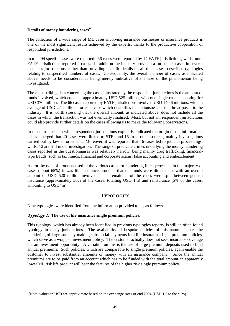### Details of money laundering cases<sup>18</sup>

The collection of a wide range of ML cases involving insurance businesses or insurance products is one of the most significant results achieved by the experts, thanks to the productive cooperation of respondent jurisdictions.

In total 94 specific cases were reported. 66 cases were reported by 14 FATF jurisdictions, whilst non-FATF jurisdictions reported 4 cases. In addition the industry provided a further 24 cases In several instances jurisdictions, rather than providing specific details on all their cases, described typologies relating to unspecified numbers of cases. Consequently, the overall number of cases, as indicated above, needs to be considered as being merely indicative of the size of the phenomenon being investigated.

The most striking data concerning the cases illustrated by the respondent jurisdictions is the amount of funds involved, which equalled approximately USD 525 million, with one single case accounting for USD 370 million. The 66 cases reported by FATF jurisdictions involved USD 140.6 millions, with an average of USD 2.1 millions for each case which quantifies the seriousness of the threat posed to the industry. It is worth stressing that the overall amount, as indicated above, does not include all the cases in which the transaction was not eventually finalised. Most, but not all, respondent jurisdictions could also provide further details on the cases allowing us to make the following observations.

In those instances in which respondent jurisdictions explicitly indicated the origin of the information, it has emerged that 20 cases were linked to STRs and 15 from other sources, mainly investigations carried out by law enforcement. Moreover, it was reported that 16 cases led to judicial proceedings, whilst 12 are still under investigation. The range of predicate crimes underlying the money laundering cases reported in the questionnaires was relatively narrow, being mainly drug trafficking, financialtype frauds, such as tax frauds, financial and corporate scams, false accounting and embezzlement.

As for the type of products used in the various cases for laundering illicit proceeds, in the majority of cases (about 65%) it was life insurance products that the funds were directed to, with an overall amount of USD 520 million involved. The remainder of the cases were split between general insurance (approximately 30% of the cases, totalling USD 1m) and reinsurance (5% of the cases, amounting to USD4m).

# **TYPOLOGIES**

Nine typologies were identified from the information provided to us, as follows.

# **Typology 1: The use of life insurance single premium policies.**

This typology, which has already been identified in previous typologies reports, is still an often found typology in many jurisdictions. The availability of bespoke policies of this nature enables the laundering of large sums by making substantial payments into life insurance single premium policies, which serve as a wrapped investment policy. The customer actually does not seek insurance coverage but an investment opportunity. A variation on this is the use of large premium deposits used to fund annual premiums. Such policies, which are comparable to single premium policies, again enable the customer to invest substantial amounts of money with an insurance company. Since the annual premiums are to be paid from an account which has to be funded with the total amount an apparently lower ML risk life product will bear the features of the higher risk single premium policy.

 $\overline{a}$  $18$ Note: values in USD are approximate based on the exchange rates of end 2004 (USD 1.3 to the euro).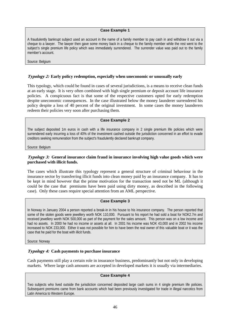#### **Case Example 1**

A fraudulently bankrupt subject used an account in the name of a family member to pay cash in and withdraw it out via a cheque to a lawyer. The lawyer then gave some money back in a cheque to the family member while the rest went to the subject's single premium life policy which was immediately surrendered. The surrender value was paid out to the family member's account.

Source: Belgium

### **Typology 2: Early policy redemption, especially when uneconomic or unusually early**

This typology, which could be found in cases of several jurisdictions, is a means to receive clean funds at an early stage. It is very often combined with high single premium or deposit account life insurance policies. A conspicuous fact is that some of the respective customers opted for early redemption despite uneconomic consequences. In the case illustrated below the money launderer surrendered his policy despite a loss of 40 percent of the original investment. In some cases the money launderers redeem their policies very soon after purchasing them.

#### **Case Example 2**

The subject deposited 1m euros in cash with a life insurance company in 2 single premium life policies which were surrendered early incurring a loss of 40% of the investment cashed outside the jurisdiction concerned in an effort to evade creditors seeking remuneration from the subject's fraudulently declared bankrupt company.

Source: Belgium

### **Typology 3: General insurance claim fraud in insurance involving high value goods which were purchased with illicit funds.**

The cases which illustrate this typology represent a general structure of criminal behaviour in the insurance sector by transferring illicit funds into clean money paid by an insurance company. It has to be kept in mind however that the prime motivation for the transaction need not be ML (although it could be the case that premiums have been paid using dirty money, as described in the following case). Only these cases require special attention from an AML perspective.

### **Case Example 3**

In Norway in January 2004 a person reported a break-in in his house to his insurance company. The person reported that some of the stolen goods were jewellery worth NOK 110,000. Pursuant to his report he had sold a boat for NOK2.7m and received jewellery worth NOK 500,000 as part of the payment for the sales amount. This person was on a low income and had no assets. In 2000 he had no income or assets at all. In 2001 his income was NOK 43,000 and in 2002 his income increased to NOK 233,000. Either it was not possible for him to have been the real owner of this valuable boat or it was the case that he paid for the boat with illicit funds.

Source: Norway

#### **Typology 4: Cash payments to purchase insurance**

Cash payments still play a certain role in insurance business, predominantly but not only in developing markets. Where large cash amounts are accepted in developed markets it is usually via intermediaries.

## **Case Example 4**

Two subjects who lived outside the jurisdiction concerned deposited large cash sums in 4 single premium life policies. Subsequent premiums came from bank accounts which had been previously investigated for trade in illegal narcotics from Latin America to Western Europe.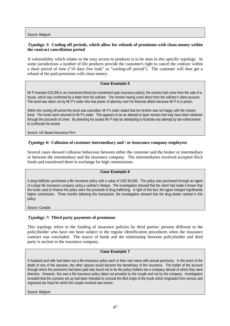Source: Belgium

### **Typology 5: Cooling off periods, which allow for refunds of premiums with clean money within the contract cancellation period**

A vulnerability which relates to the easy access to products is to be seen in this specific typology. In some jurisdictions a number of life products provide the customer's right to cancel the contract within a short period of time ("10 days free look" or "cooling-off period"). The customer will then get a refund of the paid premiums with clean money.

#### **Case Example 5**

Mr P invested £25,000 in an Investment Bond [an investment type insurance policy], the monies had come from the sale of a house, which was confirmed by a letter from his solicitor. The monies having come direct from the solicitor's client account. The bond was taken out by Mr P's sister who has power of attorney over his financial affairs because Mr P is in prison.

Within the cooling off period the bond was cancelled, Mr P's sister stated that her brother was not happy with the chosen bond. The funds were returned to Mr P's sister. This appears to be an attempt to layer monies that may have been obtained through the proceeds of crime. By divesting his assets Mr P may be attempting to frustrate any attempt by law enforcement to confiscate his assets

Source: UK Based Insurance Firm

## **Typology 6: Collusion of customer intermediary and / or insurance company employees**

Several cases showed collusive behaviour between either the customer and the broker or intermediary or between the intermediary and the insurance company. The intermediaries involved accepted illicit funds and transferred them in exchange for high commissions.

#### **Case Example 6**

A drug trafficker purchased a life insurance policy with a value of USD 80,000. The policy was purchased through an agent of a large life insurance company using a cashier's cheque. The investigation showed that the client had made it known that the funds used to finance the policy were the proceeds of drug trafficking. In light of this fact, the agent charged significantly higher commission. Three months following this transaction, the investigation showed that the drug dealer cashed in this policy.

Source: Canada

#### **Typology 7: Third party payments of premiums**

This typology refers to the funding of insurance policies by third parties/ persons different to the policyholder who have not been subject to the regular identification procedures when the insurance contract was concluded. The source of funds and the relationship between policyholder and third party is unclear to the insurance company.

#### **Case Example 7**

A husband and wife had taken out a life-insurance policy each in their own name with annual premiums. In the event of the death of one of the spouses, the other spouse would become the beneficiary of the insurance. The holder of the account through which the premiums had been paid was found not to be the policy-holders but a company abroad of which they were directors. However, this was a life-insurance policy taken out privately by the couple and not by the company. Investigation revealed that the scenario set up had been intended to conceal the illicit origin of the funds which originated from serious and organized tax fraud for which the couple involved was known.

Source: Belgium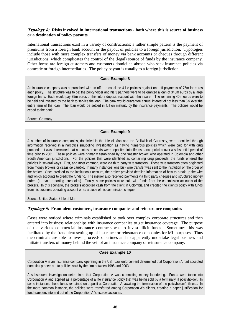### **Typology 8: Risks involved in international transactions - both where this is source of business or a destination of policy payouts.**

International transactions exist in a variety of constructions: a rather simple pattern is the payment of premiums from a foreign bank account or the payout of policies to a foreign jurisdiction. Typologies include those with more complex transfers of money via bank accounts or cheques through different jurisdictions, which complicates the control of the (legal) source of funds by the insurance company. Other forms are foreign customers and customers domiciled abroad who seek insurance policies via domestic or foreign intermediaries. The policy payout is usually to a foreign jurisdiction.

#### **Case Example 8**

An insurance company was approached with an offer to conclude 4 life policies against one-off payments of 75m for euros each policy. The structure was to be: the policyholder and his 3 partners were to be granted a loan of 340m euros by a large foreign bank. Each would pay 75m euros of this into a deposit account with the insurer. The remaining 40m euros were to be held and invested by the bank to service the loan. The bank would guarantee annual interest of not less than 6% over the entire term of the loan. The loan would be settled in full on maturity by the insurance payments. The policies would be ceded to the bank.

Source: Germany

#### **Case Example 9**

A number of insurance companies, domiciled in the Isle of Man and the Bailiwick of Guernsey, were identified through information received in a narcotics smuggling investigation as having numerous policies which were paid for with drug proceeds. It was determined that narcotics proceeds were deposited into life insurance policies over a substantial period of time prior to 2001. These policies were primarily established by one "master broker" who operated in Colombia and other South American jurisdictions. For the policies that were identified as containing drug proceeds, the funds entered the policies in several ways. First, and most common, were via third party wire transfers. These wire transfers often originated from money brokers or *casas de cambio*. In many instances, one bulk wire transfer was sent to the institution on the order of the broker. Once credited to the institution's account, the broker provided detailed information of how to break up the wire and which accounts to credit the funds to. The insurer also received payments via third party cheques and structured money orders (to avoid reporting thresholds). Finally, some policies were paid with funds from the commission accounts of the brokers. In this scenario, the brokers accepted cash from the client in Colombia and credited the client's policy with funds from his business operating account or as a piece of his commission cheque.

Source: United States / Isle of Man

#### **Typology 9: Fraudulent customers, insurance companies and reinsurance companies**

Cases were noticed where criminals established or took over complex corporate structures and then entered into business relationships with insurance companies to get insurance coverage. The purpose of the various commercial insurance contracts was to invest illicit funds. Sometimes this was facilitated by the fraudulent setting-up of insurance or reinsurance companies for ML purposes. Thus the criminals are able to invest proceeds of crimes and to apparently undertake legal business and initiate transfers of money behind the veil of an insurance company or reinsurance company.

#### **Case Example 10**

Corporation A is an insurance company operating in the US. Law enforcement determined that Corporation A had accepted narcotics proceeds into policies sold by the firm between 1995 and 2003.

A subsequent investigation determined that Corporation A was committing money laundering. Funds were taken into Corporation A and applied as a percentage of a life insurance policy that was being sold by a terminally ill policyholder. In some instances, these funds remained on deposit at Corporation A, awaiting the termination of the policyholder's illness. In the more common instance, the policies were transferred among Corporation A's clients, creating a paper justification for fund transfers into and out of the Corporation A 's escrow accounts.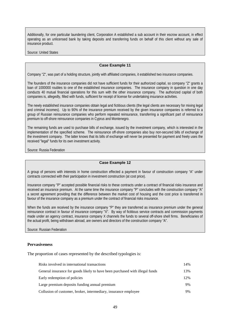Additionally, for one particular laundering client, Corporation A established a sub account in their escrow account, in effect operating as an unlicensed bank by taking deposits and transferring funds on behalf of this client without any sale of insurance product.

Source: United States

#### **Case Example 11**

Company "Z", was part of a holding structure, jointly with affiliated companies, it established two insurance companies.

The founders of the insurance companies did not have sufficient funds for their authorized capital, so company "Z" grants a loan of 1000000 roubles to one of the established insurance companies. The insurance company in question in one day conducts 40 mutual financial operations for this sum with the other insurance company. The authorized capital of both companies is, allegedly, filled with funds, sufficient for receipt of license for undertaking insurance activities.

The newly established insurance companies obtain legal and fictitious clients (the legal clients are necessary for mixing legal and criminal incomes). Up to 90% of the insurance premium received by the given insurance companies is referred to a group of Russian reinsurance companies who perform repeated reinsurance, transferring a significant part of reinsurance premium to off-shore reinsurance companies in Cyprus and Montenegro.

The remaining funds are used to purchase bills of exchange, issued by the investment company, which is interested in the implementation of the specified scheme. The reinsurance off-shore companies also buy non-secured bills of exchange of the investment company. The latter knows that its bills of exchange will never be presented for payment and freely uses the received "legal" funds for its own investment activity.

Source: Russia Federation

#### **Case Example 12**

A group of persons with interests in home construction effected a payment in favour of construction company "A" under contracts connected with their participation in investment construction (at cost price).

Insurance company "P" accepted possible financial risks to these contracts under a contract of financial risks insurance and received an insurance premium. At the same time the insurance company "P" concludes with the construction company "A" a secret agreement providing that the difference between the market cost of housing and the cost price is transferred in favour of the insurance company as a premium under the contract of financial risks insurance.

When the funds are received by the insurance company "P" they are transferred as insurance premium under the general reinsurance contract in favour of insurance company "X". By way of fictitious service contracts and commission payments made under an agency contract, insurance company X channels the funds to several off-shore shell firms. Beneficiaries of the actual profit, being withdrawn abroad, are owners and directors of the construction company "A".

Source: Russian Federation

#### **Pervasiveness**

The proportion of cases represented by the described typologies is:

| Risks involved in international transactions                                 | 14% |
|------------------------------------------------------------------------------|-----|
| General insurance for goods likely to have been purchased with illegal funds | 13% |
| Early redemption of policies                                                 | 12% |
| Large premium deposits funding annual premium                                | 9%  |
| Collusion of customer, broker, intermediary, insurance employee              | 9%  |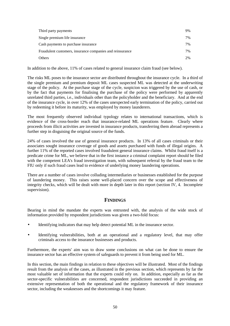| Third party payments                                      | 9% |
|-----------------------------------------------------------|----|
| Single premium life insurance                             | 7% |
| Cash payments to purchase insurance                       | 7% |
| Fraudulent customers, insurance companies and reinsurance | 7% |
| Others                                                    | 2% |

In addition to the above, 11% of cases related to general insurance claim fraud (see below).

The risks ML poses to the insurance sector are distributed throughout the insurance cycle. In a third of the single premium and premium deposit ML cases suspected ML was detected at the underwriting stage of the policy. At the purchase stage of the cycle, suspicion was triggered by the use of cash, or by the fact that payments for finalising the purchase of the policy were performed by apparently unrelated third parties, i.e., individuals other than the policyholder and the beneficiary. And at the end of the insurance cycle, in over 12% of the cases unexpected early termination of the policy, carried out by redeeming it before its maturity, was employed by money launderers.

The most frequently observed individual typology relates to international transactions, which is evidence of the cross-border reach that insurance-related ML operations feature. Clearly where proceeds from illicit activities are invested in insurance products, transferring them abroad represents a further step in disguising the original source of the funds.

24% of cases involved the use of general insurance products. In 13% of all cases criminals or their associates sought insurance coverage of goods and assets purchased with funds of illegal origins. A further 11% of the reported cases involved fraudulent general insurance claims. Whilst fraud itself is a predicate crime for ML, we believe that in the first instance a criminal complaint report should be filed with the competent LEA's fraud investigation team, with subsequent referral by the fraud team to the FIU only if such fraud cases lead to evidence of underlying money laundering operations.

There are a number of cases involve colluding intermediaries or businesses established for the purpose of laundering money. This raises some well-placed concern over the scope and effectiveness of integrity checks, which will be dealt with more in depth later in this report (section IV, 4. Incomplete supervision).

# **FINDINGS**

Bearing in mind the mandate the experts was entrusted with, the analysis of the wide stock of information provided by respondent jurisdictions was given a two-fold focus:

- Identifying indicators that may help detect potential ML in the insurance sector.
- Identifying vulnerabilities, both at an operational and a regulatory level, that may offer criminals access to the insurance businesses and products.

Furthermore, the experts' aim was to draw some conclusions on what can be done to ensure the insurance sector has an effective system of safeguards to prevent it from being used for ML.

In this section, the main findings in relation to these objectives will be illustrated. Most of the findings result from the analysis of the cases, as illustrated in the previous section, which represents by far the most valuable set of information that the experts could rely on. In addition, especially as far as the sector-specific vulnerabilities are concerned, respondent jurisdictions succeeded in providing an extensive representation of both the operational and the regulatory framework of their insurance sector, including the weaknesses and the shortcomings it may feature.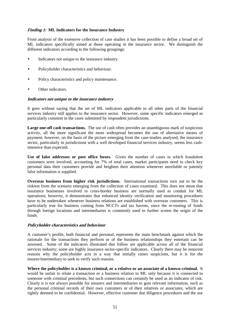# **Finding 1: ML Indicators for the Insurance Industry**

From analysis of the extensive collection of case studies it has been possible to define a broad set of ML indicators specifically aimed at those operating in the insurance sector. We distinguish the different indicators according to the following groupings:

- Indicators not unique to the insurance industry.
- Policyholder characteristics and behaviour.
- Policy characteristics and policy maintenance.
- Other indicators.

#### **Indicators not unique to the insurance industry**

It goes without saying that the set of ML indicators applicable to all other parts of the financial services industry still applies to the insurance sector. However, some specific indicators emerged as particularly common in the cases submitted by respondent jurisdictions.

Large one-off cash transactions. The use of cash often provides an unambiguous mark of suspicious activity, all the more significant the more widespread becomes the use of alternative means of payment; however, on the basis of the picture emerging from the case-studies analysed, the insurance sector, particularly in jurisdictions with a well developed financial services industry, seems less cashintensive than expected.

**Use of false addresses or post office boxes.** Given the number of cases in which fraudulent customers were involved, accounting for 7% of total cases, market participants need to check key personal data their customers provide and heighten their attention whenever unreliable or patently false information is supplied.

**Overseas business from higher risk jurisdictions.** International transactions turn out to be the riskiest from the scenario emerging from the collection of cases examined. This does not mean that insurance businesses involved in cross-border business are normally used as conduit for ML operations; however, it demonstrates that enhanced identity verification and monitoring procedures have to be undertaken whenever business relations are established with overseas customers. This is particularly true for business coming from NCCTs and tax havens, since the re-routing of funds through foreign locations and intermediaries is commonly used to further screen the origin of the funds.

#### **Policyholder characteristics and behaviour**

A customer's profile, both financial and personal, represents the main benchmark against which the rationale for the transactions they perform or of the business relationships they entertain can be assessed. Some of the indicators illustrated that follow are applicable across all of the financial services industry; some are highly insurance sector-specific indicators. Clearly there may be innocent reasons why the policyholder acts in a way that initially raises suspicions, but it is for the insurer/intermediary to seek to verify such reasons.

**Where the policyholder is a known criminal, or a relative or an associate of a known criminal.** It would be unfair to relate a transaction or a business relation to ML only because it is connected to someone with criminal precedents, but such connections can certainly be used as an indicator of risk. Clearly it is not always possible for insurers and intermediaries to gain relevant information, such as the personal criminal records of their own customers or of their relatives or associates, which are rightly deemed to be confidential. However, effective customer due diligence procedures and the use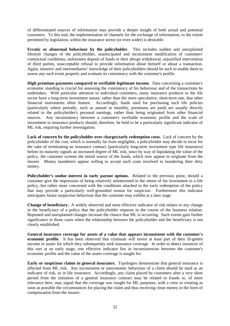of differentiated sources of information may provide a deeper insight of both actual and potential customers. To this end, the implementation of channels for the exchange of information, to the extent permitted by legislation, within the insurance sector (or even wider) is desirable.

**Erratic or abnormal behaviour by the policyholder**. This includes sudden and unexplained lifestyle changes of the policyholder, unanticipated and inconsistent modification of customers' contractual conditions, unforeseen deposit of funds or their abrupt withdrawal, unjustified intervention of third parties, unacceptable refusal to provide information about himself or about a transaction. Again, insurers' and intermediaries' knowledge of their policyholders should be such to enable them to assess any such event properly and evaluate its consistency with the customer's profile.

**High premium payments compared to verifiable legitimate income**. Data concerning a customer's economic standing is crucial for assessing the consistency of his behaviour and of the transactions he undertakes. With particular attention to individual customers, many insurance products in the life sector have a long-term investment nature, rather than the more speculative, short-term one, that other financial instruments often feature. Accordingly, funds used for purchasing such life policies (particularly where periodic, such as annual or monthly, premiums are paid) are usually directly related to the policyholder's personal earnings, rather than being originated from other financial sources. Any inconsistency between a customer's verifiable economic profile and the scale of investment in insurance products should, therefore, be held to be a particularly significant indicator of ML risk, requiring further investigation.

**Lack of concern by the policyholder over charges/early redemption costs.** Lack of concern by the policyholder of the cost, which is normally far from negligible, a policyholder may decide to incur for the sake of terminating an insurance contract (particularly long-term investment type life insurance) before its maturity signals an increased degree of ML risk, since by way of liquidating the value of the policy, the customer screens the initial source of the funds, which now appear to originate from the insurer. Money launderers appear willing to accept such costs involved in laundering their dirty money.

**Policyholder's undue interest in early payout options.** Related to the previous point, should a customer give the impression of being relatively uninterested in the return of his investment in a life policy, but rather more concerned with the conditions attached to the early redemption of the policy that may provide a particularly well-grounded reason for suspicion. Furthermore this indicator anticipates future suspicious behaviour that the customer may exhibit at a later stage.

**Change of beneficiary.** A widely observed and most effective indicator of risk relates to any change in the beneficiary of a policy that the policyholder requests in the course of the business relation. Repeated and unexplained changes increase the chance that ML is occurring. Such events gain further significance in those cases when the relationship between the policyholder and the beneficiary is not clearly established.

**General insurance coverage for assets of a value that appears inconsistent with the customer's economic profile.** It has been observed that criminals will invest at least part of their ill-gotten income in assets for which they subsequently seek insurance coverage. In order to detect instances of this sort at an early stage, one effective indicator lies in inconsistencies between the customer's economic profile and the value of the assets coverage is sought for.

**Early or suspicious claims in general insurance.** Typologies demonstrate that general insurance is affected from ML risk. Any inconsistent or uneconomic behaviour of a client should be used as an indicator of risk, as in life insurance. Accordingly, any claim placed by customers after a very short period from the initiation of a general insurance contract may be related to frauds or, of more relevance here, may signal that the coverage was sought for ML purposes, with a view to creating as soon as possible the circumstances for placing the claim and thus receiving clean money in the form of compensation from the insurer.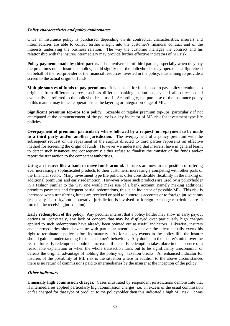#### **Policy characteristics and policy maintenance**

Once an insurance policy is purchased, depending on its contractual characteristics, insurers and intermediaries are able to collect further insight into the customer's financial conduct and of the interests underlying the business relation. The way the customer manages the contract and his relationship with the insurer/intermediary may provide further effective indicators of ML risk.

**Policy payments made by third parties.** The involvement of third parties, especially when they pay the premiums on an insurance policy, could signify that the policyholder may operate as a figurehead on behalf of the real provider of the financial resources invested in the policy, thus aiming to provide a screen to the actual origin of funds.

**Multiple sources of funds to pay premiums**. It is unusual for funds used to pay policy premiums to originate from different sources, such as different banking institutions, even if all sources could eventually be referred to the policyholder himself. Accordingly, the purchase of the insurance policy in this manner may indicate operations at the layering or integration stage of ML.

**Significant premium top-ups to a policy**. Sizeable or regular premium top-ups, particularly if not anticipated at the commencement of the policy is a key indicator of ML risk for investment type life policies.

**Overpayment of premium, particularly where followed by a request for repayment to be made to a third party and/or another jurisdiction.** The overpayment of a policy premium with the subsequent request of the repayment of the surplus directed to third parties represents an effective method for screening the origin of funds. However we understand that insurers, have in general learnt to detect such instances and consequently either refuse to finalise the transfer of the funds and/or report the transaction to the competent authorities.

**Using an insurer like a bank to move funds around.** Insurers are now in the position of offering ever increasingly sophisticated products to their customers, increasingly competing with other parts of the financial sector. Many investment type life policies offer considerable flexibility in the making of additional premiums and early redemption. However where such products are used by a policyholder in a fashion similar to the way one would make use of a bank account, namely making additional premium payments and frequent partial redemptions, this is an indicator of possible ML. This risk is increased when transferring funds are received or paid to numerous accounts or to foreign jurisdictions (especially if a risky/non cooperative jurisdiction is involved or foreign exchange restrictions are in force in the receiving jurisdiction).

**Early redemption of the policy.** Any peculiar interest that a policy holder may show in early payout options or, conversely, any lack of concern that may be displayed over particularly high charges applied to such redemptions have already been pointed out as useful indicators. Likewise, insurers and intermediaries should examine with particular attention whenever the client actually exerts his right to terminate a policy before its maturity. As for all key events in the policy life, the insurer should gain an understanding for the customer's behaviour. Any doubts in the insurer's mind over the reason for early redemption should be increased if the early redemption takes place in the absence of a reasonable explanation or when the whole transaction turns out to be significantly uneconomic, or defeats the original advantage of holding the policy e.g. taxation breaks. An enhanced indicator for insurers of the possibility of ML risk is the situation where in addition to the above circumstances there is no return of commissions paid to intermediaries by the insurer at the inception of the policy.

#### **Other indicators**

**Unusually high commission charges.** Cases illustrated by respondent jurisdictions demonstrate that if intermediaries applied particularly high commission charges, i.e. in excess of the usual commission or fee charged for that type of product, to the policyholder then this indicated a high ML risk. It was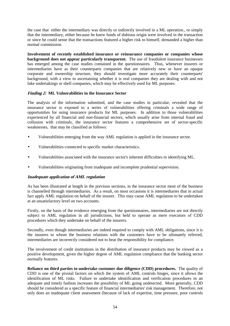the case that either the intermediary was directly or indirectly involved in a ML operation., or simply that the intermediary, either because he knew funds of dubious origin were involved in the transaction or since he could sense that the transactions featured a higher risk to himself, demanded a higher than normal commission.

**Involvement of recently established insurance or reinsurance companies or companies whose background does not appear particularly transparent.** The use of fraudulent insurance businesses has emerged among the case studies contained in the questionnaires. Thus, whenever insurers or intermediaries have as their counterparts companies that are relatively new or have an opaque corporate and ownership structure, they should investigate more accurately their counterparts' background, with a view to ascertaining whether it is real companies they are dealing with and not fake undertakings or shell companies, which may be effectively used for ML purposes.

## **Finding 2: ML Vulnerabilities in the Insurance Sector**

The analysis of the information submitted, and the case studies in particular, revealed that the insurance sector is exposed to a series of vulnerabilities offering criminals a wide range of opportunities for using insurance products for ML purposes. In addition to those vulnerabilities experienced by all financial and non-financial sectors, which usually arise from internal fraud and collusion with criminals, the insurance sector features a comprehensive set of sector-specific weaknesses, that may be classified as follows:

- Vulnerabilities emerging from the way AML regulation is applied in the insurance sector.
- Vulnerabilities connected to specific market characteristics.
- Vulnerabilities associated with the insurance sector's inherent difficulties in identifying ML.
- Vulnerabilities originating from inadequate and incomplete prudential supervision.

# **Inadequate application of AML regulation**

As has been illustrated at length in the previous sections, in the insurance sector most of the business is channelled through intermediaries. As a result, on most occasions it is intermediaries that in actual fact apply AML regulation on behalf of the insurer. This may cause AML regulation to be undertaken at an unsatisfactory level on two accounts.

Firstly, on the basis of the evidence emerging from the questionnaires, intermediaries are not directly subject to AML regulation in all jurisdictions, but held to operate as mere executors of CDD procedures which they undertake on behalf of the insurers.

Secondly, even though intermediaries are indeed required to comply with AML obligations, since it is the insurers to whom the business relations with the customers have to be ultimately referred, intermediaries are incorrectly considered not to bear the responsibility for compliance.

The involvement of credit institutions in the distribution of insurance products may be viewed as a positive development, given the higher degree of AML regulation compliance that the banking sector normally features.

**Reliance on third parties to undertake customer due diligence (CDD) procedures.** The quality of CDD is one of the pivotal factors on which the system of AML controls hinges, since it allows the identification of ML risks. Failure to undertake identification and verification procedures in an adequate and timely fashion increases the possibility of ML going undetected. More generally, CDD should be considered as a specific feature of financial intermediaries' risk management. Therefore, not only does an inadequate client assessment (because of lack of expertise, time pressure, poor controls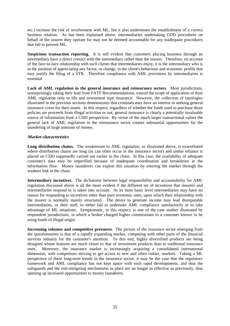etc.) increase the risk of involvement with ML, but it also undermines the establishment of a correct business relation. As has been explained above, intermediaries undertaking CDD procedures on behalf of the insurer they operate for may not be deemed accountable for any inadequate procedures that fail to prevent ML.

**Suspicious transaction reporting**. It is self evident that customers placing business through an intermediary have a direct contact with the intermediary rather than the insurer. Therefore, on account of the face-to-face relationship with such clients that intermediaries enjoy, it is the intermediary who is in the position of appreciating any factor, or change, in the client's behaviour and economic profile that may justify the filing of a STR. Therefore compliance with AML provisions by intermediaries is essential

**Lack of AML regulation in the general insurance and reinsurance sectors**. Most jurisdictions, unsurprisingly taking their lead from FATF Recommendations, extend the scope of application of their AML regulation only to life and investment type insurance. However, the collection of typologies illustrated in the previous sections demonstrates that criminals may have an interest in seeking general insurance cover for their assets. In this respect, regardless of whether the funds used to purchase those policies are proceeds from illegal activities or not, general insurance is clearly a potentially invaluable source of information from a CDD perspective. By virtue of the much larger transactional values the general lack of AML regulation in the reinsurance sector creates substantial opportunities for the laundering of large amounts of money.

## **Market characteristics**

Long distribution chains. The weaknesses in AML regulation, as illustrated above, is exacerbated where distribution chains are long (as can often occur in the insurance sector) and undue reliance is placed on CDD supposedly carried out earlier in the chain. In this case, the availability of adequate customer's data may be imperilled because of inadequate coordination and breakdown in the information flow. Money launderers can exploit this situation by entering the market through the weakest link in the chain.

**Intermediary incentives.** The dichotomy between legal responsibility and accountability for AML regulation discussed above is all the more evident if the different set of incentives that insurers and intermediaries respond to is taken into account. At its most basic level intermediaries may have no reason for responding to incentives other than pure economic ones, upon which their relationship with the insurer is normally mainly structured. The desire to generate income may lead disreputable intermediaries, or their staff, to either fail to undertake AML compliance satisfactorily or to take advantage of ML situations. Symptomatic, in this respect, is one of the case studies illustrated by respondent jurisdictions, in which a broker charged higher commissions to a customer known to be using funds of illegal origin.

**Increasing volumes and competitive pressures**. The picture of the insurance sector emerging from the questionnaires is that of a rapidly expanding market, competing with other parts of the financial services industry for the customer's attention. To this end, highly diversified products are being designed whose features are much closer to that of investment products than to traditional insurance ones. Moreover, the insurance market is increasingly acquiring a consolidated international dimension, with competitors striving to get access to new and often riskier, markets. Taking a ML perspective of these long-term trends in the insurance sector, it may be the case that the regulatory framework and AML compliance has not kept apace with such rapid developments, and thus the safeguards and the risk-mitigating mechanisms in place are no longer as effective as previously, thus opening up increased opportunities to money launderers.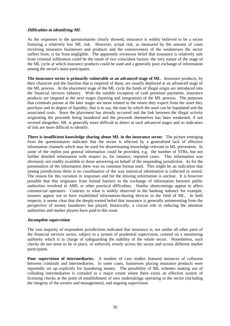#### **Difficulties in identifying ML**

As the responses to the questionnaires clearly showed, insurance is widely believed to be a sector featuring a relatively low ML risk. However, actual risk, as measured by the amount of cases involving insurance businesses and products and the extensiveness of the weaknesses the sector suffers from, is far from negligible. The apparently erroneous belief that insurance is relatively safe from criminal infiltration could be the result of two coincident factors: the very nature of the stage of the ML cycle at which insurance products could be used and a generally poor exchange of information among the sector's main participants.

**The insurance sector is primarily vulnerable at an advanced stage of ML**. Insurance products, by their character and the function that is required of them, are usually deployed at an advanced stage of the ML process. At the placement stage of the ML cycle the funds of illegal origin are introduced into the financial services industry. With the notable exception of cash premium payments, insurance products are targeted at the next stages (layering and integration) of the ML process. The purposes that criminals pursue at the later stages are more related to the return they expect from the asset they purchase and its degree of liquidity, that is to say, the ease by which the asset can be liquidated and the associated costs. Since the placement has already occurred and the link between the illegal activity originating the proceeds being laundered and the proceeds themselves has been weakened, if not severed altogether, ML is generally more difficult to detect at such advanced stages and so indicators of risk are more difficult to identify.

**There is insufficient knowledge sharing about ML in the insurance sector**. The picture emerging from the questionnaires indicates that the sector is affected by a generalised lack of effective information channels which may be used for disseminating knowledge relevant to ML prevention. In some of the replies just general information could be provided, e.g. the number of STRs, but not further detailed information with respect to, for instance, reported cases. This information was obviously not readily available to those answering on behalf of the responding jurisdiction. As for the presentation of the information there was no common format used. This might be an indication that among jurisdictions there is no coordination of the way statistical information is collected or stored. The reason for this variation in responses and for the missing information is unclear. It is however possible that this originates from formal barriers to the exchange of information between public authorities involved in AML or other practical difficulties. Similar shortcomings appear to affect commercial operators. Contrary to what is widely observed in the banking industry for example, insurers appear not to have established information-sharing devices in the field of ML. In both respects, it seems clear that the deeply-rooted belief that insurance is generally uninteresting from the perspective of money launderers has played, historically, a crucial role in reducing the attention authorities and market players have paid to this issue.

#### **Incomplete supervision**

The vast majority of respondent jurisdictions indicated that insurance is, not unlike all other parts of the financial services sector, subject to a system of prudential supervision, centred on a monitoring authority which is in charge of safeguarding the stability of the whole sector. Nonetheless, such checks do not seem to be in place, or enforced, evenly across the sector and across different market participants.

**Poor supervision of intermediaries.** A number of case studies featured instances of collusion between criminals and intermediaries. In some cases, businesses placing insurance products were reportedly set up explicitly for laundering money. The possibility of ML schemes making use of colluding intermediaries is curtailed to a major extent where there exists an effective system of licensing checks at the point of establishment of new undertakings operating in the sector (including the integrity of the owners and management), and ongoing supervision.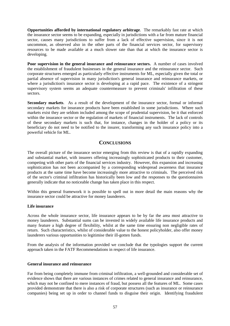**Opportunities afforded by international regulatory arbitrage**. The remarkably fast rate at which the insurance sector seems to be expanding, especially in jurisdictions with a far from mature financial sector, causes many jurisdictions to suffer from a lack of effective supervision, since it is not uncommon, as observed also in the other parts of the financial services sector, for supervisory resources to be made available at a much slower rate than that at which the insurance sector is developing.

**Poor supervision in the general insurance and reinsurance sectors.** A number of cases involved the establishment of fraudulent businesses in the general insurance and the reinsurance sector. Such corporate structures emerged as particularly effective instruments for ML, especially given the total or partial absence of supervision in many jurisdiction's general insurance and reinsurance markets, or where a jurisdiction's insurance sector is developing at a rapid pace. The existence of a stringent supervisory system seems an adequate countermeasure to prevent criminals' infiltration of these sectors.

**Secondary markets**. As a result of the development of the insurance sector, formal or informal secondary markets for insurance products have been established in some jurisdictions. Where such markets exist they are seldom included among the scope of prudential supervision, be it that enforced within the insurance sector or the regulation of markets of financial instruments. The lack of controls of these secondary markets is such that, for instance, changes in the holder of a policy or its beneficiary do not need to be notified to the insurer, transforming any such insurance policy into a powerful vehicle for ML.

# **CONCLUSIONS**

The overall picture of the insurance sector emerging from this review is that of a rapidly expanding and substantial market, with insurers offering increasingly sophisticated products to their customer, competing with other parts of the financial services industry. However, this expansion and increasing sophistication has not been accompanied by a corresponding widespread awareness that insurance products at the same time have become increasingly more attractive to criminals. The perceived risk of the sector's criminal infiltration has historically been low and the responses to the questionnaires generally indicate that no noticeable change has taken place in this respect.

Within this general framework it is possible to spell out in more detail the main reasons why the insurance sector could be attractive for money launderers.

#### **Life insurance**

Across the whole insurance sector, life insurance appears to be by far the area most attractive to money launderers. Substantial sums can be invested in widely available life insurance products and many feature a high degree of flexibility, whilst at the same time ensuring non negligible rates of return. Such characteristics, whilst of considerable value to the honest policyholder, also offer money launderers various opportunities to legitimise their ill-gotten funds.

From the analysis of the information provided we conclude that the typologies support the current approach taken in the FATF Recommendations in respect of life insurance.

#### **General insurance and reinsurance**

Far from being completely immune from criminal infiltration, a well-grounded and considerable set of evidence shows that there are various instances of crimes related to general insurance and reinsurance, which may not be confined to mere instances of fraud, but possess all the features of ML. Some cases provided demonstrate that there is also a risk of corporate structures (such as insurance or reinsurance companies) being set up in order to channel funds to disguise their origin. Identifying fraudulent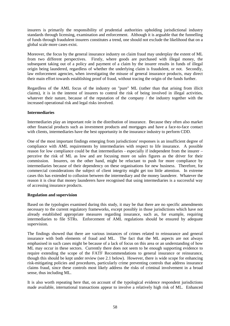insurers is primarily the responsibility of prudential authorities upholding jurisdictional industry standards through licensing, examination and enforcement. Although it is arguable that the funnelling of funds through fraudulent insurers constitutes a trend, one should not exclude the likelihood that on a global scale more cases exist.

Moreover, the focus by the general insurance industry on claim fraud may underplay the extent of ML from two different perspectives. Firstly, where goods are purchased with illegal money, the subsequent taking out of a policy and payment of a claim by the insurer results in funds of illegal origin being laundered, regardless of whether the underlying claim is fraudulent, or not. Secondly, law enforcement agencies, when investigating the misuse of general insurance products, may direct their main effort towards establishing proof of fraud, without tracing the origin of the funds further.

Regardless of the AML focus of the industry on "pure" ML (rather than that arising from illicit claims), it is in the interest of insurers to control the risk of being involved in illegal activities, whatever their nature, because of the reputation of the company / the industry together with the increased operational risk and legal risks involved.

## **Intermediaries**

Intermediaries play an important role in the distribution of insurance. Because they often also market other financial products such as investment products and mortgages and have a face-to-face contact with clients, intermediaries have the best opportunity in the insurance industry to perform CDD.

One of the most important findings emerging from jurisdictions' responses is an insufficient degree of compliance with AML requirements by intermediaries with respect to life insurance. A possible reason for low compliance could be that intermediaries - especially if independent from the insurer – perceive the risk of ML as low and are focusing more on sales figures as the driver for their commission. Insurers, on the other hand, might be reluctant to push for more compliance by intermediaries because of their dependency on these organisations for new business. Therefore, for commercial considerations the subject of client integrity might get too little attention. In extreme cases this has extended to collusion between the intermediary and the money launderer. Whatever the reason it is clear that money launderers have recognised that using intermediaries is a successful way of accessing insurance products.

## **Regulation and supervision**

Based on the typologies examined during this study, it may be that there are no specific amendments necessary to the current regulatory frameworks, except possibly in those jurisdictions which have not already established appropriate measures regarding insurance, such as, for example, requiring intermediaries to file STRs. Enforcement of AML regulations should be ensured by adequate supervision.

The findings showed that there are various instances of crimes related to reinsurance and general insurance with both elements of fraud and ML. The fact that the ML aspects are not always emphasised in such cases might be because of a lack of focus on this area or an understanding of how ML may occur in these sectors. Currently there does not seem to be enough supporting evidence to require extending the scope of the FATF Recommendations to general insurance or reinsurance, though this should be kept under review (see 2.1 below). However, there is wide scope for enhancing risk-mitigating policies and procedures, particularly crime preventing controls that address insurance claims fraud, since these controls most likely address the risks of criminal involvement in a broad sense, thus including ML.

It is also worth repeating here that, on account of the typological evidence respondent jurisdictions made available, international transactions appear to involve a relatively high risk of ML. Enhanced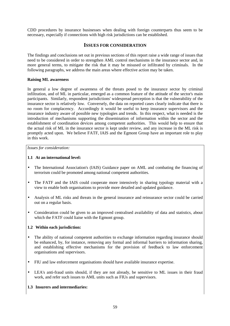CDD procedures by insurance businesses when dealing with foreign counterparts thus seem to be necessary, especially if connections with high risk jurisdictions can be established.

# **ISSUES FOR CONSIDERATION**

The findings and conclusions set out in previous sections of this report raise a wide range of issues that need to be considered in order to strengthen AML control mechanisms in the insurance sector and, in more general terms, to mitigate the risk that it may be misused or infiltrated by criminals. In the following paragraphs, we address the main areas where effective action may be taken.

#### **Raising ML awareness**

In general a low degree of awareness of the threats posed to the insurance sector by criminal infiltration, and of ML in particular, emerged as a common feature of the attitude of the sector's main participants. Similarly, respondent jurisdictions' widespread perception is that the vulnerability of the insurance sector is relatively low. Conversely, the data on reported cases clearly indicate that there is no room for complacency. Accordingly it would be useful to keep insurance supervisors and the insurance industry aware of possible new typologies and trends. In this respect, what is needed is the introduction of mechanisms supporting the dissemination of information within the sector and the establishment of coordination devices among competent authorities. This would help to ensure that the actual risk of ML in the insurance sector is kept under review, and any increase in the ML risk is promptly acted upon. We believe FATF, IAIS and the Egmont Group have an important role to play in this work.

*Issues for consideration:* 

# **1.1 At an international level:**

- The International Association's (IAIS) Guidance paper on AML and combating the financing of terrorism could be promoted among national competent authorities.
- The FATF and the IAIS could cooperate more intensively in sharing typology material with a view to enable both organisations to provide more detailed and updated guidance.
- Analysis of ML risks and threats in the general insurance and reinsurance sector could be carried out on a regular basis.
- Consideration could be given to an improved centralised availability of data and statistics, about which the FATF could liaise with the Egmont group.

# **1.2 Within each jurisdiction:**

- The ability of national competent authorities to exchange information regarding insurance should be enhanced, by, for instance, removing any formal and informal barriers to information sharing, and establishing effective mechanisms for the provision of feedback to law enforcement organisations and supervisors.
- FIU and law enforcement organisations should have available insurance expertise.
- LEA's anti-fraud units should, if they are not already, be sensitive to ML issues in their fraud work, and refer such issues to AML units such as FIUs and supervisors.

#### **1.3 Insurers and intermediaries:**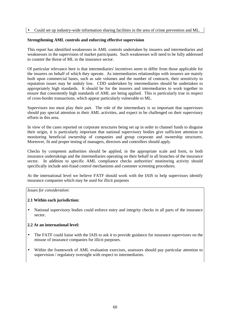## • Could set up industry-wide information sharing facilities in the area of crime prevention and ML.

### **Strengthening AML controls and enforcing effective supervision**

This report has identified weaknesses in AML controls undertaken by insurers and intermediaries and weaknesses in the supervision of market participants. Such weaknesses will need to be fully addressed to counter the threat of ML in the insurance sector.

Of particular relevance here is that intermediaries' incentives seem to differ from those applicable for the insurers on behalf of which they operate. As intermediaries relationships with insurers are mainly built upon commercial bases, such as sale volumes and the number of contracts, their sensitivity to reputation issues may be unduly low. CDD undertaken by intermediaries should be undertaken to appropriately high standards. It should be for the insurers and intermediaries to work together to ensure that consistently high standards of AML are being applied. This is particularly true in respect of cross-border transactions, which appear particularly vulnerable to ML.

Supervisors too must play their part. The role of the intermediary is so important that supervisors should pay special attention to their AML activities, and expect to be challenged on their supervisory efforts in this area.

In view of the cases reported on corporate structures being set up in order to channel funds to disguise their origin, it is particularly important that national supervisory bodies give sufficient attention to monitoring beneficial ownership of companies and group corporate and ownership structures. Moreover, fit and proper testing of managers, directors and controllers should apply.

Checks by competent authorities should be applied, in the appropriate scale and form, to both insurance undertakings and the intermediaries operating on their behalf in all branches of the insurance sector. In addition to specific AML compliance checks authorities' monitoring activity should specifically include anti-fraud control mechanisms and customer screening procedures.

At the international level we believe FATF should work with the IAIS to help supervisors identify insurance companies which may be used for illicit purposes

*Issues for consideration:* 

# **2.1 Within each jurisdiction:**

• National supervisory bodies could enforce entry and integrity checks in all parts of the insurance sector.

#### **2.2 At an international level:**

- The FATF could liaise with the IAIS to ask it to provide guidance for insurance supervisors on the misuse of insurance companies for illicit purposes.
- Within the framework of AML evaluation exercises, assessors should pay particular attention to supervision / regulatory oversight with respect to intermediaries.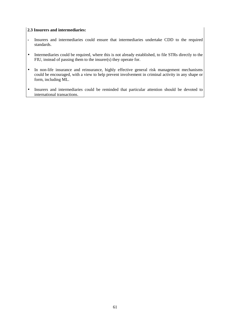### **2.3 Insurers and intermediaries:**

- Insurers and intermediaries could ensure that intermediaries undertake CDD to the required standards.
- Intermediaries could be required, where this is not already established, to file STRs directly to the FIU, instead of passing them to the insurer(s) they operate for.
- In non-life insurance and reinsurance, highly effective general risk management mechanisms could be encouraged, with a view to help prevent involvement in criminal activity in any shape or form, including ML.
- Insurers and intermediaries could be reminded that particular attention should be devoted to international transactions.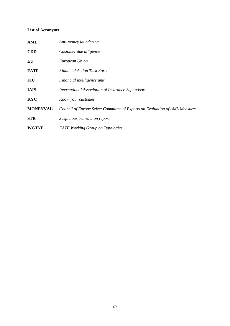# **List of Acronyms**

| AML             | Anti-money laundering                                                        |
|-----------------|------------------------------------------------------------------------------|
| <b>CDD</b>      | Customer due diligence                                                       |
| EU              | European Union                                                               |
| FATF            | <b>Financial Action Task Force</b>                                           |
| <b>FIU</b>      | Financial intelligence unit                                                  |
| <b>IAIS</b>     | <b>International Association of Insurance Supervisors</b>                    |
| <b>KYC</b>      | Know your customer                                                           |
| <b>MONEYVAL</b> | Council of Europe Select Committee of Experts on Evaluation of AML Measures. |
| <b>STR</b>      | Suspicious transaction report                                                |
| <b>WGTYP</b>    | <b>FATF Working Group on Typologies</b>                                      |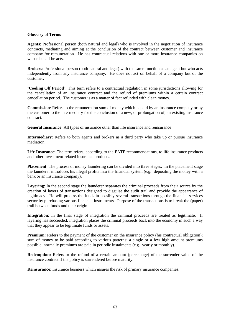#### **Glossary of Terms**

**Agents**: Professional person (both natural and legal) who is involved in the negotiation of insurance contracts, mediating and aiming at the conclusion of the contract between customer and insurance company for remuneration. He has contractual relations with one or more insurance companies on whose behalf he acts.

**Brokers**: Professional person (both natural and legal) with the same function as an agent but who acts independently from any insurance company. He does not act on behalf of a company but of the customer.

**'Cooling Off Period'**: This term refers to a contractual regulation in some jurisdictions allowing for the cancellation of an insurance contract and the refund of premiums within a certain contract cancellation period. The customer is as a matter of fact refunded with clean money.

**Commission**: Refers to the remuneration sum of money which is paid by an insurance company or by the customer to the intermediary for the conclusion of a new, or prolongation of, an existing insurance contract.

**General Insurance**: All types of insurance other than life insurance and reinsurance

**Intermediary**: Refers to both agents and brokers as a third party who take up or pursue insurance mediation

Life Insurance: The term refers, according to the FATF recommendations, to life insurance products and other investment-related insurance products.

**Placement**: The process of money laundering can be divided into three stages. In the placement stage the launderer introduces his illegal profits into the financial system (e.g. depositing the money with a bank or an insurance company).

**Layering**: In the second stage the launderer separates the criminal proceeds from their source by the creation of layers of transactions designed to disguise the audit trail and provide the appearance of legitimacy. He will process the funds in possibly several transactions through the financial services sector by purchasing various financial instruments. Purpose of the transactions is to break the (paper) trail between funds and their origin.

Integration: In the final stage of integration the criminal proceeds are treated as legitimate. If layering has succeeded, integration places the criminal proceeds back into the economy in such a way that they appear to be legitimate funds or assets.

**Premium:** Refers to the payment of the customer on the insurance policy (his contractual obligation); sum of money to be paid according to various patterns; a single or a few high amount premiums possible; normally premiums are paid in periodic instalments (e.g. yearly or monthly).

**Redemption:** Refers to the refund of a certain amount (percentage) of the surrender value of the insurance contract if the policy is surrendered before maturity.

**Reinsurance**: Insurance business which insures the risk of primary insurance companies.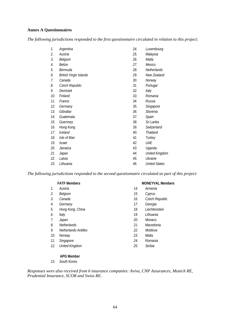# **Annex A Questionnaires**

| The following jurisdictions responded to the first questionnaire circulated in relation to this project: |  |  |  |
|----------------------------------------------------------------------------------------------------------|--|--|--|
|                                                                                                          |  |  |  |

| 1.  | Argentina              | 24. | Luxembourg            |
|-----|------------------------|-----|-----------------------|
| 2.  | Austria                | 25. | Malaysia              |
| 3.  | Belgium                | 26. | Malta                 |
| 4.  | Belize                 | 27. | Mexico                |
| 5.  | Bermuda                | 28. | Netherlands           |
| 6.  | British Virgin Islands | 29. | New Zealand           |
| 7.  | Canada                 | 30. | Norway                |
| 8.  | <b>Czech Republic</b>  | 31. | Portugal              |
| 9.  | Denmark                | 32. | Italy                 |
| 10. | Finland                | 33. | Romania               |
| 11. | France                 | 34. | Russia                |
| 12. | Germany                | 35. | Singapore             |
| 13. | Gibraltar              | 36. | Slovenia              |
| 14. | Guatemala              | 37. | Spain                 |
| 15. | Guernsey               | 38. | Sri Lanka             |
| 16. | Hong Kong              | 39. | Switzerland           |
| 17. | Iceland                | 40. | <b>Thailand</b>       |
| 18. | Isle of Man            | 41. | Turkey                |
| 19. | <i>Israel</i>          | 42. | <i><b>UAE</b></i>     |
| 20. | Jamaica                | 43. | Uganda                |
| 21. | Japan                  | 44. | <b>United Kingdom</b> |
| 22. | Latvia                 | 45. | Ukraine               |
| 23. | Lithuania              | 46. | <b>United States</b>  |

*The following jurisdictions responded to the second questionnaire circulated as part of this project:* 

|     | <b>FATF Members</b>         |     | <b>MONEYVAL Members</b> |
|-----|-----------------------------|-----|-------------------------|
| 1.  | Austria                     | 14. | Armenia                 |
| 2.  | Belgium                     | 15. | Cyprus                  |
| 3.  | Canada                      | 16. | <b>Czech Republic</b>   |
| 4.  | Germany                     | 17. | Georgia                 |
| 5.  | Hong Kong, China            | 18. | Liechtenstein           |
| 6.  | Italy                       | 19. | Lithuania               |
| 7.  | Japan                       | 20. | Monaco                  |
| 8.  | <b>Netherlands</b>          | 21. | Macedonia               |
| 9.  | <b>Netherlands Antilles</b> | 22. | Moldova                 |
| 10. | Norway                      | 23. | Malta                   |
| 11. | Singapore                   | 24. | Romania                 |

#### *12. United Kingdom 25. Serbia*

#### **APG Member**

*13. South Korea* 

*Responses were also received from 6 insurance companies: Aviva, CNP Assurances, Munich RE, Prudential Insurance, SCOR and Swiss RE.*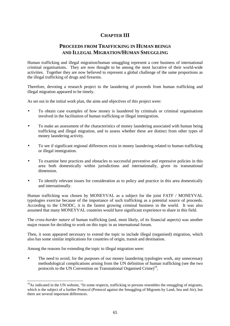# **CHAPTER III**

# **PROCEEDS FROM TRAFFICKING IN HUMAN BEINGS AND ILLEGAL MIGRATION/HUMAN SMUGGLING**

Human trafficking and illegal migration/human smuggling represent a core business of international criminal organisations. They are now thought to be among the most lucrative of their world-wide activities. Together they are now believed to represent a global challenge of the same proportions as the illegal trafficking of drugs and firearms.

Therefore, devoting a research project to the laundering of proceeds from human trafficking and illegal migration appeared to be timely.

As set out in the initial work plan, the aims and objectives of this project were:

- To obtain case examples of how money is laundered by criminals or criminal organisations involved in the facilitation of human trafficking or illegal immigration.
- To make an assessment of the characteristics of money laundering associated with human being trafficking and illegal migration, and to assess whether these are distinct from other types of money laundering activity.
- To see if significant regional differences exist in money laundering related to human trafficking or illegal immigration.
- To examine best practices and obstacles to successful preventive and repressive policies in this area both domestically within jurisdictions and internationally, given its transnational dimension.
- To identify relevant issues for consideration as to policy and practice in this area domestically and internationally.

Human trafficking was chosen by MONEYVAL as a subject for the joint FATF / MONEYVAL typologies exercise because of the importance of such trafficking as a potential source of proceeds. According to the UNODC, it is the fastest growing criminal business in the world. It was also assumed that many MONEYVAL countries would have significant experience to share in this field.

The *cross-border nature* of human trafficking (and, most likely, of its financial aspects) was another major reason for deciding to work on this topic in an international forum.

Then, it soon appeared necessary to extend the topic to include illegal (organised) migration, which also has some similar implications for countries of origin, transit and destination.

Among the reasons for extending the topic to illegal migration were:

 $\overline{a}$ 

The need to avoid, for the purposes of our money laundering typologies work, any unnecessary methodological complications arising from the UN definition of human trafficking (see the two protocols to the UN Convention on Transnational Organised Crime)<sup>19</sup>,

 $19\text{As}$  indicated in the UN website, "In some respects, trafficking in persons resembles the smuggling of migrants, which is the subject of a further Protocol (Protocol against the Smuggling of Migrants by Land, Sea and Air), but there are several important differences.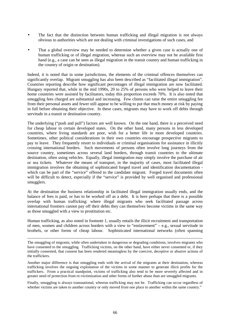- The fact that the distinction between human trafficking and illegal migration is not always obvious to authorities which are not dealing with criminal investigations of such cases, and
- That a global overview may be needed to determine whether a given case is actually one of human trafficking or of illegal migration, whereas such an overview may not be available first hand (e.g., a case can be seen as illegal migration in the transit country and human trafficking in the country of origin or destination).

Indeed, it is noted that in some jurisdictions, the elements of the criminal offences themselves can significantly overlap. Migrant smuggling has also been described as "facilitated illegal immigration". Countries reporting describe how significant percentages of illegal immigration are now facilitated. Hungary reported that, while in the mid 1990s, 20 to 25% of persons who were helped to leave their home countries were assisted by facilitators, today this proportion exceeds 70%. It is also noted that smuggling fees charged are substantial and increasing. Few clients can raise the entire smuggling fee from their personal assets and fewer still appear to be willing to put that much money at risk by paying in full before obtaining their objective. In these cases, migrants may have to work off debts through servitude in a transit or destination country.

The underlying ("push and pull") factors are well known. On the one hand, there is a perceived need for cheap labour in certain developed states. On the other hand, many persons in less developed countries, where living standards are poor, wish for a better life in more developed countries. Sometimes, other political considerations in their own countries encourage prospective migrants to pay to leave. They frequently resort to individuals or criminal organisations for assistance in illicitly crossing international borders. Such movements of persons often involve long journeys from the source country, sometimes across several land borders, through transit countries to the ultimate destination, often using vehicles. Equally, illegal immigration may simply involve the purchase of air or sea tickets. Whatever the means of transport, in the majority of cases, most facilitated illegal immigration involves the obtaining of sophisticated forged travel and identification documentation which can be part of the "service" offered to the candidate migrant. Forged travel documents often will be difficult to detect, especially if the "service" is provided by well organised and professional smugglers.

At the destination the business relationship in facilitated illegal immigration usually ends, and the balance of fees is paid, or has to be worked off as a debt. It is here perhaps that there is a possible overlap with human trafficking: where illegal migrants who seek facilitated passage across international frontiers cannot pay off their debts they can themselves become victims in the same way as those smuggled with a view to prostitution etc.

Human trafficking, as also noted in footnote 1, usually entails the illicit recruitment and transportation of men, women and children across borders with a view to "enslavement" – e.g., sexual servitude in brothels, or other forms of cheap labour. Sophisticated international networks (often spanning

 $\overline{a}$ 

Another major difference is that smuggling ends with the arrival of the migrants at their destination, whereas trafficking involves the ongoing exploitation of the victims in some manner to generate illicit profits for the traffickers. From a practical standpoint, victims of trafficking also tend to be more severely affected and in greater need of protection from re-victimization and other forms of further abuse than are smuggled migrants.

Finally, smuggling is always transnational, whereas trafficking may not be. Trafficking can occur regardless of whether victims are taken to another country or only moved from one place to another within the same country."

The smuggling of migrants, while often undertaken in dangerous or degrading conditions, involves migrants who have consented to the smuggling. Trafficking victims, on the other hand, have either never consented or, if they initially consented, that consent has been rendered meaningless by the coercive, deceptive or abusive actions of the traffickers.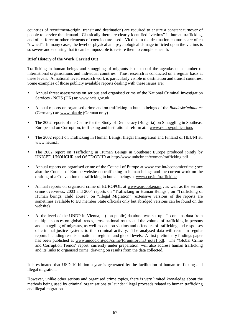countries of recruitment/origin, transit and destination) are required to ensure a constant turnover of people to service the demand. Classically there are clearly identified "victims" in human trafficking, and often force or other elements of coercion are used. Victims in the destination countries are often "owned". In many cases, the level of physical and psychological damage inflicted upon the victims is so severe and enduring that it can be impossible to restore them to complete health.

# **Brief History of the Work Carried Out**

Trafficking in human beings and smuggling of migrants is on top of the agendas of a number of international organisations and individual countries. Thus, research is conducted on a regular basis at these levels. At national level, research work is particularly visible in destination and transit countries. Some examples of those publicly available reports dealing with these issues are:

- Annual threat assessments on serious and organised crime of the National Criminal Investigation Services - NCIS (UK) at: www.ncis.gov.uk
- Annual reports on organised crime and on trafficking in human beings of the *Bundeskriminalamt* (Germany) at: www.bka.de (German only)
- The 2002 reports of the Centre for the Study of Democracy (Bulgaria) on Smuggling in Southeast Europe and on Corruption, trafficking and institutional reform at: www.csd.bg/publications
- The 2002 report on Trafficking in Human Beings, Illegal Immigration and Finland of HEUNI at: www.heuni.fi
- The 2002 report on Trafficking in Human Beings in Southeast Europe produced jointly by UNICEF, UNOHCHR and OSCE/ODHR at http://www.unhchr.ch/women/trafficking.pdf
- Annual reports on organised crime of the Council of Europe at www.coe.int/economiccrime; see also the Council of Europe website on trafficking in human beings and the current work on the drafting of a Convention on trafficking in human beings at www.coe.int/trafficking
- Annual reports on organised crime of EUROPOL at www.europol.eu.int , as well as the serious crime overviews: 2003 and 2004 reports on "Trafficking in Human Beings", on "Trafficking of Human beings: child abuse", on "Illegal Migration" (extensive versions of the reports are sometimes available to EU member State officials only but abridged versions can be found on the website).
- At the level of the UNDP in Vienna, a (non public) database was set up. It contains data from multiple sources on global trends, cross national routes and the volume of trafficking in persons and smuggling of migrants, as well as data on victims and offenders of trafficking and responses of criminal justice systems to this criminal activity. The analysed data will result in regular reports including results at national, regional and global levels. A first preliminary findings paper has been published at www.unodc.org/pdf/crime/forum/forum3\_note1.pdf. The "Global Crime and Corruption Trends" report, currently under preparation, will also address human trafficking and its links to organised crime, drawing on results from the data collected.

It is estimated that USD 10 billion a year is generated by the facilitation of human trafficking and illegal migration.

However, unlike other serious and organised crime topics, there is very limited knowledge about the methods being used by criminal organisations to launder illegal proceeds related to human trafficking and illegal migration.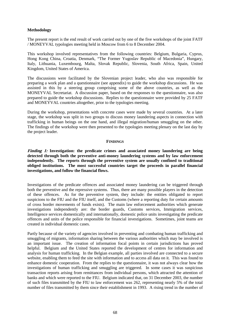#### **Methodology**

The present report is the end result of work carried out by one of the five workshops of the joint FATF / MONEYVAL typologies meeting held in Moscow from 6 to 8 December 2004.

This workshop involved representatives from the following countries: Belgium, Bulgaria, Cyprus, Hong Kong China, Croatia, Denmark, "The Former Yugoslav Republic of Macedonia", Hungary, Italy, Lithuania, Luxembourg, Malta, Slovak Republic, Slovenia, South Africa, Spain, United Kingdom, United States of America.

The discussions were facilitated by the Slovenian project leader, who also was responsible for preparing a work plan and a questionnaire (see appendix) to guide the workshop discussions. He was assisted in this by a steering group comprising some of the above countries, as well as the MONEYVAL Secretariat. A discussion paper, based on the responses to the questionnaire, was also prepared to guide the workshop discussions. Replies to the questionnaire were provided by 25 FATF and MONEYVAL countries altogether, prior to the typologies meeting.

During the workshop, presentations with concrete cases were made by several countries. At a later stage, the workshop was split in two groups to discuss money laundering aspects in connection with trafficking in human beings on the one hand, and illegal migration/human smuggling on the other. The findings of the workshop were then presented to the typologies meeting plenary on the last day by the project leader.

#### **FINDINGS**

**Finding 1: Investigation: the predicate crimes and associated money laundering are being detected through both the preventive anti-money laundering systems and by law enforcement independently. The reports through the preventive system are usually confined to traditional obliged institutions. The most successful countries target the proceeds in parallel financial investigations, and follow the financial flows.** 

Investigations of the predicate offences and associated money laundering can be triggered through both the preventive and the repressive systems. Thus, there are many possible players in the detection of these offences. As for the preventive system, they include: the entities obligated to report suspicions to the FIU and the FIU itself, and the Customs (where a reporting duty for certain amounts of cross border movements of funds exists). The main law enforcement authorities which generate investigations independently are: the border guards, Customs services, Immigration services, Intelligence services domestically and internationally, domestic police units investigating the predicate offences and units of the police responsible for financial investigations. Sometimes, joint teams are created in individual domestic cases.

Partly because of the variety of agencies involved in preventing and combating human trafficking and smuggling of migrants, information sharing between the various authorities which may be involved is an important issue. The creation of information focal points in certain jurisdictions has proved helpful. Belgium and the United States reported the development of centres for information and analysis for human trafficking. In the Belgian example, all parties involved are connected to a secure website, enabling them to feed the site with information and to access all data on it. This was found to enhance domestic cooperation. From the replies to the questionnaire, it was not always clear how the investigations of human trafficking and smuggling are triggered. In some cases it was suspicious transaction reports arising from remittances from individual persons, which attracted the attention of banks and which were reported to the FIU. Belgium indicated that, on 31 December 2003, the number of such files transmitted by the FIU to law enforcement was 262, representing nearly 5% of the total number of files transmitted by them since their establishment in 1993. A rising trend in the number of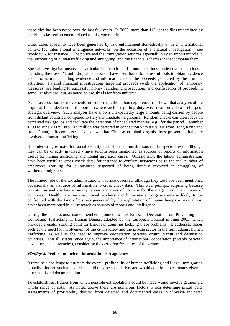these files has been noted over the last few years. In 2003, more than 11% of the files transmitted by the FIU to law enforcement related to this type of crime.

Other cases appear to have been generated by law enforcement domestically or in an international context (by international intelligence networks, on the occasion of a bilateral investigation – see typology 6, for instance). The police and the immigration services especially play an important role in the uncovering of human trafficking and smuggling, and the financial schemes that accompany them.

Special investigative means, in particular interceptions of communications, undercover operations – including the use of "front" shops/businesses – have been found to be useful tools to obtain evidence and information, including evidence and information about the proceeds generated by the criminal activities. Parallel financial investigations targeting proceeds (with the application of temporary measures) are leading to successful money laundering prosecutions and confiscation of proceeds in some jurisdictions, but, as noted below, this is far from universal.

As far as cross-border movements are concerned, the Italian experience has shown that analyses of the origin of funds declared at the border (where such a reporting duty exists) can provide a useful geostrategic overview. Such analyses have shown unexpectedly large amounts being carried by people from distant countries, compared to Italy's immediate neighbours. Random checks can then focus on perceived risk groups and facilitate the detection of undeclared monies (e.g., for the period December 1999 to June 2002: Euro 14,5 million was detected in connection with travellers from Hong Kong and from China). Recent cases have shown that Chinese criminal organisations present in Italy are involved in human trafficking.

It is interesting to note that social security and labour administrations (and inspectorates) – although they can be directly involved - have seldom been mentioned as sources of reports or information useful for human trafficking and illegal migration cases. Occasionally, the labour administrations have been useful to cross check data, for instance to confirm suspicions as to the real number of employees working for a business suspected of being directly involved in smuggling of workers/immigrants.

The limited role of the tax administrations was also observed, although they too have been mentioned occasionally as a source of information to cross check data. This was, perhaps, surprising because prostitution and shadow economy labour are areas of concern for these agencies in a number of countries. Health care systems, social workers and humanitarian organisations – likely to be confronted with the kind of distress generated by the exploitation of human beings – have almost never been mentioned in our research as sources of reports and intelligence.

During the discussions, some members pointed to the Brussels Declaration on Preventing and Combating Trafficking in Human Beings, adopted by the European Council in June 2003, which provides a useful starting point for European countries tackling these problems. It addresses issues such as the need for involvement of the civil society and the private sector in the fight against human trafficking, as well as the need to improve cooperation between origin, transit and destination countries. This illustrates, once again, the importance of international cooperation (notably between law enforcement agencies), considering the *cross-border nature* of the crimes.

#### **Finding 2: Profits and prices: information is fragmented**

It remains a challenge to estimate the overall profitability of human trafficking and illegal immigration globally. Indeed such an exercise could only be speculative, and would add little to estimates given in other published documentation.

To establish real figures from which possible extrapolations could be made would involve gathering a whole range of data. As noted above there are numerous factors which determine prices paid. Assessments of profitability derived from detected and documented cases in Slovakia indicated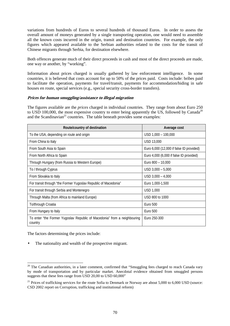variations from hundreds of Euros to several hundreds of thousand Euros. In order to assess the overall amount of moneys generated by a single transporting operation, one would need to assemble all the known costs incurred in the origin, transit and destination countries. For example, the only figures which appeared available to the Serbian authorities related to the costs for the transit of Chinese migrants through Serbia, for destination elsewhere.

Both offences generate much of their direct proceeds in cash and most of the direct proceeds are made, one way or another, by "working".

Information about prices charged is usually gathered by law enforcement intelligence. In some countries, it is believed that costs account for up to 50% of the prices paid. Costs include: bribes paid to facilitate the operation, payments for travel/transit, payments for accommodation/hiding in safe houses en route, special services (e.g., special security cross-border transfers).

## **Prices for human smuggling/assistance to illegal migration**

The figures available are the *prices* charged in individual countries. They range from about Euro 250 to USD 100,000, the most expensive country to enter being apparently the US, followed by Canada<sup>20</sup> and the Scandinavian<sup>21</sup> countries. The table beneath provides some examples:

| Route/country of destination                                                        | Average cost                             |
|-------------------------------------------------------------------------------------|------------------------------------------|
| To the USA, depending on route and origin                                           | $USD 1,000 - 100,000$                    |
| From China to Italy                                                                 | <b>USD 13,000</b>                        |
| From South Asia to Spain                                                            | Euro 6,000 (12,000 if false ID provided) |
| From North Africa to Spain                                                          | Euro 4,000 (6,000 if false ID provided)  |
| Through Hungary (from Russia to Western Europe)                                     | Euro 800 - 10,000                        |
| To / through Cyprus                                                                 | $USD 3,000 - 5,000$                      |
| From Slovakia to Italy                                                              | $USD 3,000 - 4,000$                      |
| For transit through "the Former Yugoslav Republic of Macedonia"                     | Euro 1,000-1,500                         |
| For transit through Serbia and Montenegro                                           | <b>USD 1,000</b>                         |
| Through Malta (from Africa to mainland Europe)                                      | USD 800 to 1000                          |
| To/through Croatia                                                                  | <b>Euro 500</b>                          |
| From Hungary to Italy                                                               | <b>Euro 500</b>                          |
| To enter "the Former Yugoslav Republic of Macedonia" from a neighbouring<br>country | Euro 250-300                             |

The factors determining the prices include:

 $\overline{a}$ 

The nationality and wealth of the prospective migrant.

<sup>&</sup>lt;sup>20</sup> The Canadian authorities, in a later comment, confirmed that "Smuggling fees charged to reach Canada vary by mode of transportation and by particular market. Anecdotal evidence obtained from smuggled persons suggests that these fees range from USD 20,00 to USD 60,000"

 $^{21}$  Prices of trafficking services for the route Sofia to Denmark or Norway are about 5,000 to 6,000 USD (source: CSD 2002 report on Corruption, trafficking and institutional reform)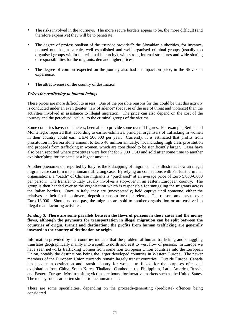- The risks involved in the journeys. The more secure borders appear to be, the more difficult (and therefore expensive) they will be to penetrate.
- The degree of professionalism of the "service provider": the Slovakian authorities, for instance, pointed out that, as a rule, well established and well organised criminal groups (usually top organised groups within the criminal hierarchy), with strong internal structures and wide sharing of responsibilities for the migrants, demand higher prices.
- The degree of comfort expected on the journey also had an impact on price, in the Slovakian experience.
- The attractiveness of the country of destination.

## **Prices for trafficking in human beings**

These prices are more difficult to assess. One of the possible reasons for this could be that this activity is conducted under an even greater "law of silence" (because of the use of threat and violence) than the activities involved in assistance to illegal migration. The price can also depend on the cost of the journey and the perceived "value" to the criminal groups of the victims.

Some countries have, nonetheless, been able to provide some overall figures. For example, Serbia and Montenegro reported that, according to earlier estimates, principal organisers of trafficking in women in their country could earn DEM 500,000 per year. Currently, it is estimated that profits from prostitution in Serbia alone amount to Euro 40 million annually, not including high class prostitution and proceeds from trafficking in women, which are considered to be significantly larger. Cases have also been reported where prostitutes were bought for 2,000 USD and sold after some time to another exploiter/pimp for the same or a higher amount.

Another phenomenon, reported by Italy, is the kidnapping of migrants. This illustrates how an illegal migrant case can turn into a human trafficking case. By relying on connections with Far East criminal organisations, a "batch" of Chinese migrants is "purchased" at an average price of Euro 5,000-6,000 per person. The transfer to Italy usually involves a stop-over in an eastern European country. The group is then handed over to the organisation which is responsible for smuggling the migrants across the Italian borders. Once in Italy, they are (unexpectedly) held captive until someone, either the relatives or their final employers, deposit a ransom for their release. The ransom amounts to over Euro 13,000. Should no one pay, the migrants are sold to another organisation or are enslaved in illegal manufacturing activities.

## *Finding 3:* **There are some parallels between the flows of persons in these cases and the money flows, although the payments for transportation in illegal migration can be split between the countries of origin, transit and destination; the profits from human trafficking are generally invested in the country of destination or origin**

Information provided by the countries indicate that the problem of human trafficking and smuggling translates geographically mainly into a south to north and east to west flow of persons. In Europe we have seen networks trafficking women from some non European Union countries into the European Union, notably the destinations being the larger developed countries in Western Europe. The newer members of the European Union currently remain largely transit countries. Outside Europe, Canada has become a destination and transit country for women trafficked for the purposes of sexual exploitation from China, South Korea, Thailand, Cambodia, the Philippines, Latin America, Russia, and Eastern Europe. Most transiting victims are bound for lucrative markets such as the United States. The money routes are often similar to the human ones.

There are some specificities, depending on the proceeds-generating (predicate) offences being considered.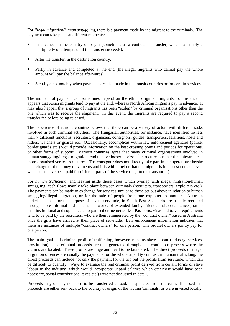For *illegal migration/human smuggling*, there is a payment made by the migrant to the criminals. The payment can take place at different moments:

- In advance, in the country of origin (sometimes as a contract on transfer, which can imply a multiplicity of attempts until the transfer succeeds).
- After the transfer, in the destination country.
- Partly in advance and completed at the end (the illegal migrants who cannot pay the whole amount will pay the balance afterwards).
- Step-by-step, notably when payments are also made in the transit countries or for certain services.

The moment of payment can sometimes depend on the ethnic origin of migrants: for instance, it appears that Asian migrants tend to pay at the end, whereas North African migrants pay in advance. It may also happen that a group of migrants has been "stolen" by criminal organisations other than the one which was to receive the shipment. In this event, the migrants are required to pay a second transfer fee before being released.

The experience of various countries shows that there can be a variety of actors with different tasks involved in such criminal activities. The Hungarian authorities, for instance, have identified no less than 7 different functions: recruiters, organisers, consignors, guides, transporters, falsifiers, hosts and hiders, watchers or guards etc. Occasionally, accomplices within law enforcement agencies (police, border guards etc.) would provide information on the best crossing points and periods for operations, or other forms of support. Various countries agree that many criminal organisations involved in human smuggling/illegal migration tend to have looser, horizontal structures - rather than hierarchical, more organised vertical structures. The consignor does not directly take part in the operations; he/she is in charge of the money movements and it is with him/her that the migrant is in closest contact, even when sums have been paid for different parts of the service (e.g., to the transporter).

For *human trafficking*, and leaving aside those cases which overlap with illegal migration/human smuggling, cash flows mainly take place between criminals (recruiters, transporters, exploiters etc.). The payments can be made in exchange for services similar to those set out above in relation to human smuggling/illegal migration, or for the sale of people from one exploiter to another. Australia underlined that, for the purpose of sexual servitude, in South East Asia girls are usually recruited through more informal and personal networks of extended family, friends and acquaintances, rather than institutional and sophisticated organised crime networks. Passports, visas and travel requirements tend to be paid by the recruiters, who are then remunerated by the "contract owner" based in Australia once the girls have arrived at their place of servitude. Law enforcement information indicates that there are instances of multiple "contract owners" for one person. The brothel owners jointly pay for one person.

The main goal and criminal profit of trafficking, however, remains slave labour (industry, services, prostitution). The criminal proceeds are thus generated throughout a continuous process where the victims are located. These profits are huge and need to be laundered. The direct proceeds of illegal migration offences are usually the payments for the whole trip. By contrast, in human trafficking, the direct proceeds can include not only the payment for the trip but the profits from servitude, which can be difficult to quantify. Ways to evaluate the real criminal profit derived from certain forms of slave labour in the industry (which would incorporate unpaid salaries which otherwise would have been necessary, social contributions, taxes etc.) were not discussed in detail.

Proceeds may or may not need to be transferred abroad. It appeared from the cases discussed that proceeds are either sent back to the country of origin of the victims/criminals, or were invested locally,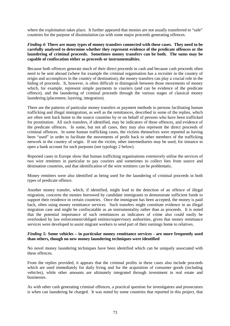where the exploitation takes place. It further appeared that monies are not usually transferred to "safe" countries for the purpose of dissimulation (as with some major proceeds generating offences.

## *Finding 4:* **There are many types of money transfers connected with these cases. They need to be carefully analysed to determine whether they represent evidence of the predicate offences or the laundering of criminal proceeds. Sometimes money transfers can be both. The sums may be capable of confiscation either as proceeds or instrumentalities.**

Because both offences generate much of their direct proceeds in cash and because cash proceeds often need to be sent abroad (where for example the criminal organisation has a recruiter in the country of origin and accomplices in the country of destination), the money transfers can play a crucial role in the hiding of proceeds. It, however, is often difficult to distinguish between those movements of money which, for example, represent simple payments to couriers (and can be evidence of the predicate offence), and the laundering of criminal proceeds through the various stages of classical money laundering (placement, layering, integration).

There are the patterns of particular money transfers or payment methods to persons facilitating human trafficking and illegal immigration, as well as the remittances, described in some of the replies, which are often sent back home to the source countries by or on behalf of persons who have been trafficked for prostitution. All such transfers, if identified, may be indicators of these offences, and evidence of the predicate offences. In some, but not all cases, they may also represent the direct proceeds of criminal offences. In some human trafficking cases, the victims themselves were reported as having been "used" in order to facilitate the movements of profit back to other members of the trafficking network in the country of origin. If not the victim, other intermediaries may be used, for instance to open a bank account for such purposes (see typology 2 below).

Reported cases in Europe show that human trafficking organisations extensively utilise the services of two wire remitters in particular to pay couriers and sometimes to collect fees from source and destination countries, and that identification of the wire remitters can be problematic.

Money remitters were also identified as being used for the laundering of criminal proceeds in both types of predicate offence.

Another money transfer, which, if identified, might lead to the detection of an offence of illegal migration, concerns the monies borrowed by candidate immigrants to demonstrate sufficient funds to support their residence in certain countries. Once the immigrant has been accepted, the money is paid back, often using money remittance services. Such transfers might constitute evidence in an illegal migration case and might be confiscatable as an instrumentality rather than as proceeds. It is noted that the potential importance of such remittances as indicators of crime also could easily be overlooked by law enforcement/obliged entities/supervisory authorities, given that money remittance services were developed to assist migrant workers to send part of their earnings home to relatives.

## *Finding 5:* **Some vehicles – in particular money remittance services - are more frequently used than others, though no new money laundering techniques were identified**

No novel money laundering techniques have been identified which can be uniquely associated with these offences.

From the replies provided, it appears that the criminal profits in these cases also include proceeds which are used immediately for daily living and for the acquisition of consumer goods (including vehicles), while other amounts are ultimately integrated through investment in real estate and businesses.

As with other cash generating criminal offences, a practical question for investigators and prosecutors is when can laundering be charged. It was noted by some countries that reported in this project, that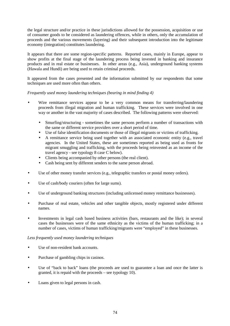the legal structure and/or practice in these jurisdictions allowed for the possession, acquisition or use of consumer goods to be considered as laundering offences, while in others, only the accumulation of proceeds and the various movements (layering) and their subsequent introduction into the legitimate economy (integration) constitutes laundering.

It appears that there are some region-specific patterns. Reported cases, mainly in Europe, appear to show profits at the final stage of the laundering process being invested in banking and insurance products and in real estate or businesses. In other areas (e.g., Asia), underground banking systems (Hawala and Hundi) are being used to retain criminal proceeds.

It appeared from the cases presented and the information submitted by our respondents that some techniques are used more often than others.

## *Frequently used money laundering techniques (bearing in mind finding 4)*

- Wire remittance services appear to be a very common means for transferring/laundering proceeds from illegal migration and human trafficking. These services were involved in one way or another in the vast majority of cases described. The following patterns were observed:
	- Smurfing/structuring sometimes the same persons perform a number of transactions with the same or different service providers over a short period of time.
	- Use of false identification documents or those of illegal migrants or victims of trafficking.
	- A remittance service being used together with an associated economic entity (e.g., travel agencies. In the United States, these are sometimes reported as being used as fronts for migrant smuggling and trafficking, with the proceeds being reinvested as an income of the travel agency - see typology 8 case C below).
	- Clients being accompanied by other persons (the real client).
	- Cash being sent by different senders to the same person abroad.
- Use of other money transfer services (e.g., telegraphic transfers or postal money orders).
- Use of cash/body couriers (often for large sums).
- Use of underground banking structures (including unlicensed money remittance businesses).
- Purchase of real estate, vehicles and other tangible objects, mostly registered under different names.
- Investments in legal cash based business activities (bars, restaurants and the like); in several cases the businesses were of the same ethnicity as the victims of the human trafficking; in a number of cases, victims of human trafficking/migrants were "employed" in these businesses.

## *Less frequently used money laundering techniques*

- Use of non-resident bank accounts.
- Purchase of gambling chips in casinos.
- Use of "back to back" loans (the proceeds are used to guarantee a loan and once the latter is granted, it is repaid with the proceeds – see typology 10).
- Loans given to legal persons in cash.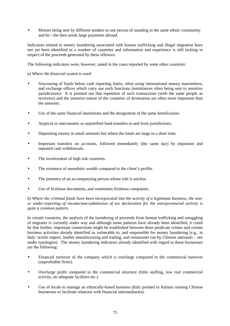• Monies being sent by different senders to one person of standing in the same ethnic community and he / she then sends large payments abroad.

Indicators related to money laundering associated with human trafficking and illegal migration have not yet been identified in a number of countries and information and experience is still lacking in respect of the proceeds generated by these offences.

The following indicators were, however, noted in the cases reported by some other countries:

*a) Where the financial system is used:* 

- Structuring of funds below cash reporting limits, often using international money transmitters, and exchange offices which carry out such functions (remittances often being sent to sensitive jurisdictions). It is pointed out that repetition of such transactions (with the same people as receivers) and the sensitive nature of the countries of destination are often more important than the amounts.
- Use of the same financial institutions and the designation of the same beneficiaries.
- Atypical or uneconomic or unjustified fund transfers to and from jurisdictions.
- Depositing money in small amounts but where the totals are large in a short time.
- Important transfers on accounts, followed immediately (the same day) by important and repeated cash withdrawals.
- The involvement of high risk countries.
- The existence of unrealistic wealth compared to the client's profile.
- The presence of an accompanying person whose role is unclear.
- Use of fictitious documents, and sometimes fictitious companies.

*b) Where the criminal funds have been incorporated into the activity of a legitimate business, the nonor under-reporting of income/non-submission of tax declaration for the entrepreneurial activity is quite a common pattern.* 

In certain countries, the analysis of the laundering of proceeds from human trafficking and smuggling of migrants is currently under way and although some patterns have already been identified, it could be that further, important connections might be established between these predicate crimes and certain business activities already identified as vulnerable to, and responsible for money laundering (e.g., in Italy: textile import, leather manufacturing and trading, and restaurants run by Chinese nationals – see under typologies). The money laundering indicators already identified with regard to these businesses are the following:

- Financial turnover of the company which is overlarge compared to the commercial turnover (unprofitable firms).
- Overlarge profit compared to the commercial structure (little staffing, low real commercial activity, no adequate facilities etc.).
- Use of locals to manage an ethnically-based business (Italy pointed to Italians running Chinese businesses to facilitate relations with financial intermediaries).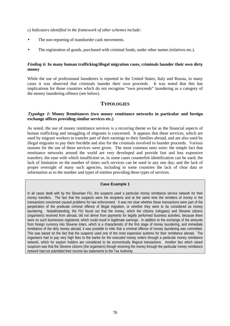*c) Indicators identified in the framework of other schemes include:* 

- The non reporting of transborder cash movements.
- The registration of goods, purchased with criminal funds, under other names (relatives etc.).

## *Finding 6:* **In many human trafficking/illegal migration cases, criminals launder their own dirty money**

While the use of professional launderers is reported in the United States, Italy and Russia, in many cases it was observed that criminals launder their own proceeds. It was noted that this has implications for those countries which do not recognise "own proceeds" laundering as a category of the money laundering offence (see below).

# **TYPOLOGIES**

## **Typology 1: Money Remittances (two money remittance networks in particular and foreign exchange offices providing similar services etc.)**

As noted, the use of money remittance services is a recurring theme so far as the financial aspects of human trafficking and smuggling of migrants is concerned. It appears that these services, which are used by migrant workers to transfer part of their earnings to their families abroad, and are also used by illegal migrants to pay their fee/debt and also for the criminals involved to launder proceeds. Various reasons for the use of these services were given. The most common ones were: the simple fact that remittance networks around the world are very developed and provide fast and less expensive transfers; the ease with which insufficient or, in some cases counterfeit identification can be used; the lack of limitation on the number of times such services can be used in any one day; and the lack of proper oversight of many such agencies, including in some countries the lack of clear data or information as to the number and types of entities providing these types of services.

## **Case Example 1**

In all cases dealt with by the Slovenian FIU, the suspects used a particular money remittance service network for their money transfers. The fact that the suspects were the recipients and at the same time the remitters of money in the transactions concerned caused problems for law enforcement. It was not clear whether these transactions were part of the perpetration of the predicate criminal offence of illegal migration, or whether they were to be considered as money laundering. Notwithstanding, the FIU found out that the money, which the citizens (refugees) and Slovene citizens (organisers) received from abroad, did not derive from payments for legally performed business activities, because there were no such businesses registered, which could result in legitimate earnings. In addition to the exchange of the amounts from foreign currency into Slovene *tolars*, which is a characteristic of the first stage of money laundering, and immediate remittance of the dirty money abroad, it was possible to infer that a criminal offence of money laundering was committed. This was based on the fact that the suspects used one of the most expensive systems for their remittance abroad. The organisers had to pay very high fees to the banks for the executed money orders through a particular money remittance network, which for asylum holders are considered to be economically illogical transactions. Another fact which raised suspicion was that the Slovene citizens (the organisers) though receiving the money through the particular money remittance network had not submitted their income tax statements to the Tax Authority.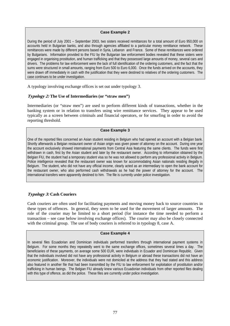#### **Case Example 2**

During the period of July 2001 – September 2003, two sisters received remittances for a total amount of Euro 950,000 on accounts held in Bulgarian banks, and also through agencies affiliated to a particular money remittance network. These remittances were made by different persons based in Syria, Lebanon and France. Some of these remittances were ordered by Bulgarians. Information provided to the FIU by the Bulgarian law enforcement bodies revealed that these sisters were engaged in organising prostitution, and human trafficking and that they possessed large amounts of money, several cars and drivers. The problems for law enforcement were the lack of full identification of the ordering customers, and the fact that the sums were structured in small amounts, ranging from Euro 500 to Euro 6,000. Once the funds arrived on the accounts, they were drawn off immediately in cash with the justification that they were destined to relatives of the ordering customers. The case continues to be under investigation.

A typology involving exchange offices is set out under typology 3.

## **Typology 2: The Use of Intermediaries (or "straw men")**

Intermediaries (or "straw men") are used to perform different kinds of transactions, whether in the banking system or in relation to transfers using wire remittance services. They appear to be used typically as a screen between criminals and financial operators, or for smurfing in order to avoid the reporting threshold.

#### **Case Example 3**

One of the reported files concerned an Asian student residing in Belgium who had opened an account with a Belgian bank. Shortly afterwards a Belgian restaurant owner of Asian origin was given power of attorney on the account. During one year the account exclusively showed international payments from Central Asia featuring the same clients. The funds were first withdrawn in cash, first by the Asian student and later by the restaurant owner. According to information obtained by the Belgian FIU, the student had a temporary student visa so he was not allowed to perform any professional activity in Belgium. Police intelligence revealed that the restaurant owner was known for accommodating Asian nationals residing illegally in Belgium. The student, who did not have any official income, clearly acted as an intermediary to open the bank account for the restaurant owner, who also performed cash withdrawals as he had the power of attorney for the account. The international transfers were apparently destined to him. The file is currently under police investigation.

# **Typology 3: Cash Couriers**

Cash couriers are often used for facilitating payments and moving money back to source countries in these types of offences. In general, they seem to be used for the movement of larger amounts. The role of the courier may be limited to a short period (for instance the time needed to perform a transaction – see case below involving exchange offices). The courier may also be closely connected with the criminal group. The use of body couriers is referred to in typology 8, case A.

## **Case Example 4**

In several files Ecuadorian and Dominican individuals performed transfers through international payment systems in Belgium. For some months they repeatedly went to the same exchange offices, sometimes several times a day. The beneficiaries of these payments, on average some 500 EUR, were individuals in Ecuador and Dominican Republic. Given that the individuals involved did not have any professional activity in Belgium or abroad these transactions did not have an economic justification. Moreover, the individuals were not domiciled at the address that they had stated and this address also featured in another file that had been transmitted by the FIU to law enforcement for exploitation of prostitution and/or trafficking in human beings. The Belgian FIU already knew various Ecuadorian individuals from other reported files dealing with this type of offence, as did the police. These files are currently under police investigation.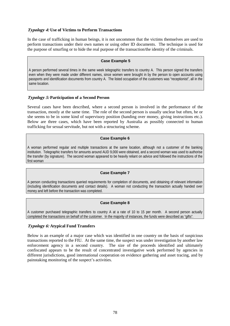## **Typology 4: Use of Victims to Perform Transactions**

In the case of trafficking in human beings, it is not uncommon that the victims themselves are used to perform transactions under their own names or using other ID documents. The technique is used for the purpose of smurfing or to hide the real purpose of the transaction/the identity of the criminals.

#### **Case Example 5**

A person performed several times in the same week telegraphic transfers to country A. This person signed the transfers even when they were made under different names, since women were brought in by the person to open accounts using passports and identification documents from country A. The listed occupation of the customers was "receptionist", all in the same location.

## **Typology 5: Participation of a Second Person**

Several cases have been described, where a second person is involved in the performance of the transaction, mostly at the same time. The role of the second person is usually unclear but often, he or she seems to be in some kind of supervisory position (handing over money, giving instructions etc.). Below are three cases, which have been reported by Australia as possibly connected to human trafficking for sexual servitude, but not with a structuring scheme.

## **Case Example 6**

A woman performed regular and multiple transactions at the same location, although not a customer of the banking institution. Telegraphic transfers for amounts around AUD 9,000 were obtained, and a second woman was used to authorise the transfer (by signature). The second woman appeared to be heavily reliant on advice and followed the instructions of the first woman

## **Case Example 7**

A person conducting transactions queried requirements for completion of documents, and obtaining of relevant information (including identification documents and contact details). A woman not conducting the transaction actually handed over money and left before the transaction was completed.

## **Case Example 8**

A customer purchased telegraphic transfers to country A at a rate of 10 to 15 per month. A second person actually completed the transactions on behalf of the customer. In the majority of instances, the funds were described as "gifts".

## **Typology 6: Atypical Fund Transfers**

Below is an example of a major case which was identified in one country on the basis of suspicious transactions reported to the FIU. At the same time, the suspect was under investigation by another law enforcement agency in a second country. The size of the proceeds identified and ultimately confiscated appears to be the result of concentrated investigative work performed by agencies in different jurisdictions, good international cooperation on evidence gathering and asset tracing, and by painstaking monitoring of the suspect's activities.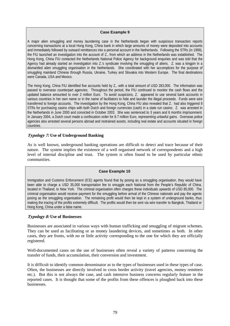#### **Case Example 9**

A major alien smuggling and money laundering case in the Netherlands began with suspicious transaction reports concerning transactions at a local Hong Kong, China bank in which large amounts of money were deposited into accounts and immediately followed by outward remittances into a personal account in the Netherlands. Following the STRs (in 1999), the FIU launched an investigation into the account of Z., from which an address in the Netherlands was established. The Hong Kong, China FIU contacted the Netherlands National Police Agency for background enquiries and was told that the Agency had already started an investigation into Z.'s syndicate involving the smuggling of aliens. Z. was a kingpin in a dismantled alien smuggling organisation in the Netherlands. She coordinated with her accomplices for the purpose of smuggling mainland Chinese through Russia, Ukraine, Turkey and Slovakia into Western Europe. The final destinations were Canada, USA and Mexico.

The Hong Kong, China FIU identified five accounts held by Z., with a total amount of USD 283,000. The information was passed to overseas counterpart agencies. Throughout the period, the FIU continued to monitor the cash flows and the updated balance amounted to over 2 million Euro. To avoid suspicions, Z. appeared to use several bank accounts in various countries in her own name or in the name of facilitators to hide and launder the illegal proceeds. Funds were wire transferred to foreign accounts. The investigation by the Hong Kong, China FIU also revealed that Z. had also triggered 8 STRs for purchasing casino chips with both Dutch and foreign currencies (cash) in a state run casino. Z. was arrested in the Netherlands in June 2000 and convicted in October 2003. She was sentenced to 3 years and 6 months imprisonment. In January 2004, a Dutch court made a confiscation order for 8.7 million Euro, representing unlawful gains. Overseas police agencies also arrested several persons abroad and restrained assets, including real estate and accounts situated in foreign countries.

# **Typology 7: Use of Underground Banking**

As is well known, underground banking operations are difficult to detect and trace because of their nature. The system implies the existence of a well organised network of correspondents and a high level of internal discipline and trust. The system is often found to be used by particular ethnic communities.

## **Case Example 10**

Immigration and Customs Enforcement (ICE) agents found that by posing as a smuggling organisation, they would have been able to charge a USD 35,000 transportation fee to smuggle each National from the People's Republic of China, located in Thailand, to New York. The criminal organisation often charges these individuals upwards of USD 85,000. The criminal organisation would receive payment for the smuggling before arrival of the Chinese nationals and pay the agents posing as the smuggling organisation. The remaining profit would then be kept in a system of underground banks, thus making the tracing of the profits extremely difficult. The profits would then be sent via wire transfer to Bangkok, Thailand or Hong Kong, China under a false name.

# **Typology 8: Use of Businesses**

Businesses are associated in various ways with human trafficking and smuggling of migrant schemes. They can be used as facilitating or as money laundering devices, and sometimes as both. In other cases, they are fronts, with no or little activity corresponding to the one for which they are officially registered.

Well-documented cases on the use of businesses often reveal a variety of patterns concerning the transfer of funds, their accumulation, their conversion and investment.

It is difficult to identify common denominator as to the types of businesses used in these types of case. Often, the businesses are directly involved in cross border activity (travel agencies, money remitters etc.). But this is not always the case, and cash intensive business concerns regularly feature in the reported cases. It is thought that some of the profits from these offences is ploughed back into these businesses.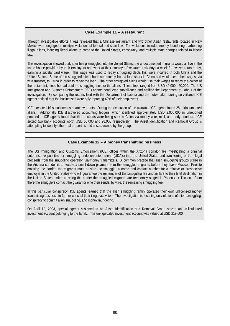#### **Case Example 11 – A restaurant**

Through investigative efforts it was revealed that a Chinese restaurant and two other Asian restaurants located in New Mexico were engaged in multiple violations of federal and state law. The violations included money laundering, harbouring illegal aliens, inducing illegal aliens to come to the United States, conspiracy, and multiple state charges related to labour law.

This investigation showed that, after being smuggled into the United States, the undocumented migrants would all live in the same house provided by their employers and work at their employers' restaurant six days a week for twelve hours a day, earning a substandard wage. This wage was used to repay smuggling debts that were incurred in both China and the United States. Some of the smuggled aliens borrowed money from a loan shark in China and would send their wages, via wire transfer, to China in order to repay the loan. The other smuggled aliens would use their wages to repay the owner of the restaurant, since he had paid the smuggling fees for the aliens. These fees ranged from USD 40,000 - 60,000. The US Immigration and Customs Enforcement (ICE) agents conducted surveillance and notified the Department of Labour of the investigation. By comparing the reports filed with the Department of Labour and the notes taken during surveillance ICE agents noticed that the businesses were only reporting 40% of their employees.

ICE executed 10 simultaneous search warrants. During the execution of the warrants ICE agents found 28 undocumented aliens. Additionally ICE discovered accounting ledgers, which identified approximately USD 2,000,000 in unreported proceeds. ICE agents found that the proceeds were being sent to China via money wire, mail, and body couriers. ICE seized two bank accounts worth USD 50,000 and 28,000 respectively. The Asset Identification and Removal Group is attempting to identify other real properties and assets owned by the group.

## **Case Example 12 – A money transmitting business**

The US Immigration and Customs Enforcement (ICE) offices within the Arizona corridor are investigating a criminal enterprise responsible for smuggling undocumented aliens (UDA's) into the United States and transferring of the illegal proceeds from the smuggling operation via money transmitters. A common practice that alien smuggling groups utilize in the Arizona corridor is to secure a small down payment from the smuggled migrants before they leave Mexico. Prior to crossing the border, the migrants must provide the smuggler a name and contact number for a relative or prospective employer in the United States who will guarantee the remainder of the smuggling fee and air fare to their final destination in the United States. After crossing the border the smuggled migrants are temporally staged in Phoenix or Tucson. From there the smugglers contact the guarantor who then sends, by wire, the remaining smuggling fee.

In this particular conspiracy, ICE agents learned that the alien smuggling family operated their own unlicensed money transmitting business to further conceal their illegal activities. The investigation is focusing on violations of alien smuggling, conspiracy to commit alien smuggling, and money laundering.

On April 19, 2003, special agents assigned to an Asset Identification and Removal Group seized an un-liquidated investment account belonging to the family. The un-liquidated investment account was valued at USD 219,000.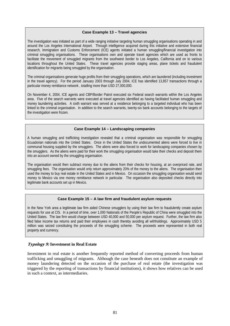## **Case Example 13 – Travel agencies**

The investigation was initiated as part of a wide ranging initiative targeting human smuggling organisations operating in and around the Los Angeles International Airport. Through intelligence acquired during this initiative and extensive financial research, Immigration and Customs Enforcement (ICE) agents initiated a human smuggling/financial investigation into criminal smuggling organisations. These organisations own and operate travel agencies which are used as fronts to facilitate the movement of smuggled migrants from the southwest border to Los Angeles, California and on to various locations throughout the United States. These travel agencies provide staging areas, plane tickets and fraudulent identification for migrants being smuggled by the organisation.

The criminal organisations generate huge profits from their smuggling operations, which are laundered (including investment in the travel agency). For the period January 2003 through July 2004, ICE has identified 13,857 transactions through a particular money remittance network , totalling more than USD 27,000,000.

On November 4, 2004, ICE agents and CBP/Border Patrol executed six Federal search warrants within the Los Angeles area. Five of the search warrants were executed at travel agencies identified as having facilitated human smuggling and money laundering activities. A sixth warrant was served at a residence belonging to a targeted individual who has been linked to the criminal organisation. In addition to the search warrants, twenty-six bank accounts belonging to the targets of the investigation were frozen.

#### **Case Example 14 – Landscaping companies**

A human smuggling and trafficking investigation revealed that a criminal organisation was responsible for smuggling Ecuadorian nationals into the United States. Once in the United States the undocumented aliens were forced to live in communal housing supplied by the smugglers. The aliens were also forced to work for landscaping companies chosen by the smugglers. As the aliens were paid for their work the smuggling organisation would take their checks and deposit them into an account owned by the smuggling organisation.

The organisation would then subtract money due to the aliens from their checks for housing, at an overpriced rate, and smuggling fees. The organisation would only return approximately 20% of the money to the aliens. The organisation then used the money to buy real estate in the United States and in Mexico. On occasion the smuggling organisation would send money to Mexico via one money remittance network in particular. The organisation also deposited checks directly into legitimate bank accounts set up in Mexico.

## **Case Example 15 – A law firm and fraudulent asylum requests**

In the New York area a legitimate law firm aided Chinese smugglers by using their law firm to fraudulently create asylum requests for use at CIS. In a period of time, over 1,000 Nationals of the People's Republic of China were smuggled into the United States. The law firm would charge between USD 40,000 and 50,000 per asylum request. Further, the law firm also filed false income tax returns and paid their employees in cash thereby avoiding all withholdings. Approximately USD 5 million was seized constituting the proceeds of the smuggling scheme. The proceeds were represented in both real property and currency.

# **Typology 9: Investment in Real Estate**

Investment in real estate is another frequently reported method of converting proceeds from human trafficking and smuggling of migrants. Although the case beneath does not constitute an example of money laundering detected on the occasion of the purchase of real estate (the investigation was triggered by the reporting of transactions by financial institutions), it shows how relatives can be used in such a context, as intermediaries.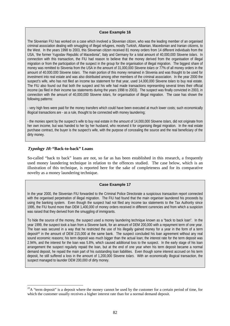#### **Case Example 16**

The Slovenian FIU has worked on a case which involved a Slovenian citizen, who was the leading member of an organised criminal association dealing with smuggling of illegal refugees, mostly Turkish, Albanian, Macedonian and Iranian citizens, to the West. In the years 1998 to 2003, this Slovenian citizen received 81 money orders from 14 different individuals from the USA, 'the former Yugoslav Republic of Macedonia", Italy and Germany for a total amount of 40,000,000 Slovene *tolars*. In connection with this transaction, the FIU had reason to believe that the money derived from the organisation of illegal migration or from the participation of the suspect in the group for the organisation of illegal migration. The biggest share of money was remitted to Slovenia from the USA in the amount of 31,000,000 Slovene *tolars* or 77% of all money orders in the amount of 40.000.000 Slovene *tolars*. The main portion of this money remained in Slovenia and was thought to be used for investment into real estate and was also distributed among other members of the criminal association. In the year 2000 the suspect's wife, who has not filed an income tax statement for that year, used 14,000,000 Slovene *tolars* to buy real estate. The FIU also found out that both the suspect and his wife had made transactions representing several times their official income (as filed in their income tax statements during the years 1998 to 2003). The suspect was finally convicted in 2003, in connection with the amount of 40,000,000 Slovene *tolars*, for organisation of illegal migration. The case has shown the following patterns:

- very high fees were paid for the money transfers which could have been executed at much lower costs; such economically illogical transactions are - as a rule, thought to be connected with money laundering;

- the monies spent by the suspect's wife to buy real estate in the amount of 14,000,000 Slovene *tolars*, did not originate from her own income, but was handed to her by her husband, who received it for organising illegal migration. In the real estate purchase contract, the buyer is the suspect's wife, with the purpose of concealing the source and the real beneficiary of the dirty money.

## **Typology 10: "Back-to-back" Loans**

 $\overline{a}$ 

So-called "back to back" loans are not, so far as has been established in this research, a frequently used money laundering technique in relation to the offences studied. The case below, which is an illustration of this technique, is reported here for the sake of completeness and for its comparative novelty as a money laundering technique.

#### **Case Example 17**

In the year 2000, the Slovenian FIU forwarded to the Criminal Police Directorate a suspicious transaction report connected with the organised perpetration of illegal migration. The FIU had found that the main organiser laundered his proceeds by using the banking system. Even though the suspect had not filed any income tax statements to the Tax Authority since 1995, the FIU found more than DEM 1,400,000 of money orders received in different currencies and from which a suspicion was raised that they derived from the smuggling of immigrants.

To hide the source of the money, the suspect used a money laundering technique known as a "back to back loan". In the year 1999, the suspect took a loan from a Slovene bank, for an amount of DEM 200,000 with a repayment term of one year. The loan was secured in a way that he restricted the use of his illegally gained money for a year in the form of a term deposit*22* in the amount of DEM 215,000 at the same bank. The suspect concluded his loan agreement without any real sound economic reasons; his term deposit was much bigger than the actual loan; the interest rate for the term deposit was 2.94%, and the interest for the loan was 5.8%, which caused additional loss to the suspect. In the early stage of his loan arrangement the suspect regularly repaid the loan, but at the end of one year when his term deposit became a normal demand deposit, he repaid the main part of his outstanding loan liabilities. Even though some interest accrued on his term deposit, he still suffered a loss in the amount of 1,200,000 Slovene *tolars*. With an economically illogical transaction, the suspect managed to launder DEM 200,000 of dirty money.

 $22A$  "term deposit" is a deposit where the money cannot be used by the customer for a certain period of time, for which the customer usually receives a higher interest rate than for a normal demand deposit.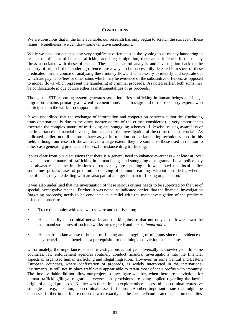#### **CONCLUSIONS**

We are conscious that in the time available, our research has only begun to scratch the surface of these issues. Nonetheless, we can draw some tentative conclusions:

While we have not detected any very significant differences in the typologies of money laundering in respect of offences of human trafficking and illegal migration, there are differences in the money flows associated with these offences. These need careful analysis and investigation back to the country of origin if the laundering offences are always to be successfully detected in respect of these predicates. In the course of analysing these money flows, it is necessary to identify and separate out which are payments/fees or other sums which may be evidence of the substantive offences, as opposed to money flows which represent the laundering of criminal proceeds. As noted earlier, both sums may be confiscatable in due course either as instrumentalities or as proceeds.

Though the STR reporting system generates some inquiries, trafficking in human beings and illegal migration remains primarily a law enforcement issue. The background of those country experts who participated in the workshop supports this.

It was underlined that the exchange of information and cooperation between authorities (including trans-/internationally due to the *cross border nature* of the crimes considered) is very important to ascertain the complex nature of trafficking and smuggling schemes. Likewise, raising awareness of the importance of financial investigation as part of the investigation of the crime remains crucial. As indicated earlier, not all countries have as yet information on the laundering techniques used in this field, although our research shows that, to a large extent, they are similar to those used in relation to other cash generating predicate offences, for instance drug trafficking.

It was clear from our discussions that there is a general need to enhance awareness – at least at local level - about the nature of trafficking in human beings and smuggling of migrants. Local police may not always realise the implications of cases they are handling. It was noted that local police sometimes process cases of prostitution or living off immoral earnings without considering whether the offences they are dealing with are also part of a larger human trafficking organisation.

It was also underlined that the investigation of these serious crimes needs to be supported by the use of special investigative means. Further, it was noted, as indicated earlier, that the financial investigation (targeting proceeds) needs to be conducted in parallel with the main investigation of the predicate offence in order to:

- Trace the monies with a view to seizure and confiscation;
- Help identify the criminal networks and the kingpins so that not only those lower down the command structures of such networks are targeted; and – *most importantly*
- Help substantiate a case of human trafficking and smuggling of migrants since the evidence of payments/financial benefits is a prerequisite for obtaining a conviction in such cases.

Unfortunately, the importance of such investigations is not yet universally acknowledged. In some countries, law enforcement agencies routinely conduct financial investigations into the financial aspects of organised human trafficking and illegal migration. However, in some Central and Eastern European countries, where confiscation of proceeds, as widely interpreted in the international instruments, is still not in place traffickers appear able to retain most of their profits with impunity. The time available did not allow our project to investigate whether, when there are convictions for human trafficking/illegal migration, reverse onus provisions are being applied regarding the lawful origin of alleged proceeds. Neither was there time to explore other successful non-criminal repressive strategies – e.g., taxation, non-criminal asset forfeiture. Another important issue that might be discussed further in the future concerns what exactly can be forfeited/confiscated as instrumentalities,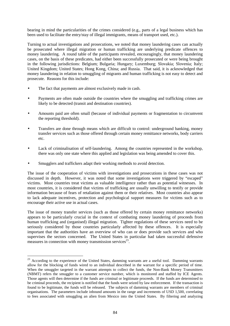bearing in mind the particularities of the crimes considered (e.g., parts of a legal business which has been used to facilitate the entry/stay of illegal immigrants, means of transport used, etc.).

Turning to actual investigations and prosecutions, we noted that money laundering cases can actually be prosecuted where illegal migration or human trafficking are underlying predicate offences to money laundering. A round table of the participants revealed, encouragingly, that money laundering cases, on the basis of these predicates, had either been successfully prosecuted or were being brought in the following jurisdictions: Belgium; Bulgaria; Hungary; Luxemburg; Slovakia; Slovenia; Italy; United Kingdom; United States; Hong Kong, China; and Russia. That said, it is acknowledged that money laundering in relation to smuggling of migrants and human trafficking is not easy to detect and prosecute. Reasons for this include:

- The fact that payments are almost exclusively made in cash.
- Payments are often made outside the countries where the smuggling and trafficking crimes are likely to be detected (transit and destination countries).
- Amounts paid are often small (because of individual payments or fragmentation to circumvent the reporting threshold).
- Transfers are done through means which are difficult to control: underground banking, money transfer services such as those offered through certain money remittance networks, body carriers etc.
- Lack of criminalisation of self-laundering. Among the countries represented in the workshop, there was only one state where this applied and legislation was being amended to cover this.
- Smugglers and traffickers adapt their working methods to avoid detection.

 $\overline{a}$ 

The issue of the cooperation of victims with investigations and prosecutions in these cases was not discussed in depth. However, it was noted that some investigations were triggered by "escaped" victims. Most countries treat victims as valuable intelligence rather than as potential witnesses. In most countries, it is considered that victims of trafficking are usually unwilling to testify or provide information because of fears of retaliation against them or their relatives. Most countries also appear to lack adequate incentives, protection and psychological support measures for victims such as to encourage their active use in actual cases.

The issue of money transfer services (such as those offered by certain money remittance networks) appears to be particularly crucial in the context of combating money laundering of proceeds from human trafficking and (organised) illegal migration. Tighter regulations of these services need to be seriously considered by those countries particularly affected by these offences. It is especially important that the authorities have an overview of who can or does provide such services and who supervises the sectors concerned. The United States in particular had taken successful defensive measures in connection with money transmission services<sup>23</sup>.

<sup>&</sup>lt;sup>23</sup> According to the experience of the United States, damming warrants are a useful tool. Damming warrants allow for the blocking of funds wired to an individual described in the warrant for a specific period of time. When the smuggler targeted in the warrant attempts to collect the funds, the Non-Bank Money Transmitters (NBMT) refers the smuggler to a customer service number, which is monitored and staffed by ICE Agents. Those agents will then determine if the funds are criminal or legitimate proceeds. If the funds are determined to be criminal proceeds, the recipient is notified that the funds were seized by law enforcement. If the transaction is found to be legitimate, the funds will be released. The subjects of damming warrants are members of criminal organisations. The parameters include inbound amounts in the range and increments of USD 1,500, correlating to fees associated with smuggling an alien from Mexico into the United States. By filtering and analyzing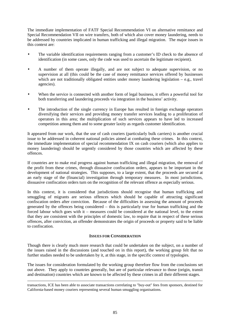The immediate implementation of FATF Special Recommendation VI on alternative remittance and Special Recommendation VII on wire transfers, both of which also cover money laundering, needs to be addressed by countries implicated in human trafficking and illegal migration. The major issues in this context are:

- The variable identification requirements ranging from a customer's ID check to the absence of identification (in some cases, only the code was used to ascertain the legitimate recipient).
- A number of them operate illegally, and are not subject to adequate supervision, or no supervision at all (this could be the case of money remittance services offered by businesses which are not traditionally obligated entities under money laundering legislation – e.g., travel agencies).
- When the service is connected with another form of legal business, it offers a powerful tool for both transferring and laundering proceeds via integration in the business' activity.
- The introduction of the single currency in Europe has resulted in foreign exchange operators diversifying their services and providing money transfer services leading to a proliferation of operators in this area; the multiplication of such services appears to have led to increased competition among them and to some greater laxity as regards customer identification.

It appeared from our work, that the use of cash couriers (particularly bulk carriers) is another crucial issue to be addressed in coherent national policies aimed at combating these crimes. In this context, the immediate implementation of special recommendation IX on cash couriers (which also applies to money laundering) should be urgently considered by those countries which are affected by these offences.

If countries are to make real progress against human trafficking and illegal migration, the removal of the profit from these crimes, through dissuasive confiscation orders, appears to be important in the development of national strategies. This supposes, to a large extent, that the proceeds are secured at an early stage of the (financial) investigation through temporary measures. In most jurisdictions, dissuasive confiscation orders turn on the recognition of the relevant offence as especially serious.

In this context, it is considered that jurisdictions should recognise that human trafficking and smuggling of migrants are serious offences which should be capable of attracting significant confiscation orders after conviction. Because of the difficulties in assessing the amount of proceeds generated by the offences being considered – this is particularly true for human trafficking and the forced labour which goes with it – measures could be considered at the national level, to the extent that they are consistent with the principles of domestic law, to require that in respect of these serious offences, after conviction, an offender demonstrates the origin of proceeds or property said to be liable to confiscation.

## **ISSUES FOR CONSIDERATION**

Though there is clearly much more research that could be undertaken on the subject, on a number of the issues raised in the discussions (and touched on in this report), the working group felt that no further studies needed to be undertaken by it, at this stage, in the specific context of typologies.

The issues for consideration formulated by the working group therefore flow from the conclusions set out above. They apply to countries generally, but are of particular relevance to those (origin, transit and destination) countries which are known to be affected by these crimes in all their different stages.

 $\overline{a}$ transactions, ICE has been able to associate transactions correlating to "buy-out" fees from sponsors, destined for California-based money couriers representing several human smuggling organisations.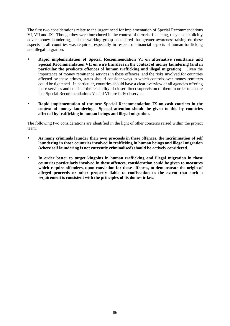The first two considerations relate to the urgent need for implementation of Special Recommendations VI, VII and IX. Though they were introduced in the context of terrorist financing, they also explicitly cover money laundering, and the working group considered that greater awareness-raising on these aspects in all countries was required, especially in respect of financial aspects of human trafficking and illegal migration.

- **Rapid implementation of Special Recommendation VI on alternative remittance and Special Recommendation VII on wire transfers in the context of money laundering (and in particular the predicate offences of human trafficking and illegal migration).** Given the importance of money remittance services in these offences, and the risks involved for countries affected by these crimes, states should consider ways in which controls over money remitters could be tightened. In particular, countries should have a clear overview of all agencies offering these services and consider the feasibility of closer direct supervision of them in order to ensure that Special Recommendations VI and VII are fully observed.
- **Rapid implementation of the new Special Recommendation IX on cash couriers in the context of money laundering. Special attention should be given to this by countries affected by trafficking in human beings and illegal migration.**

The following two considerations are identified in the light of other concerns raised within the project team:

- **As many criminals launder their own proceeds in these offences, the incrimination of self laundering in those countries involved in trafficking in human beings and illegal migration (where self laundering is not currently criminalised) should be actively considered.**
- **In order better to target kingpins in human trafficking and illegal migration in those countries particularly involved in these offences, consideration could be given to measures which require offenders, upon conviction for these offences, to demonstrate the origin of alleged proceeds or other property liable to confiscation to the extent that such a requirement is consistent with the principles of its domestic law.**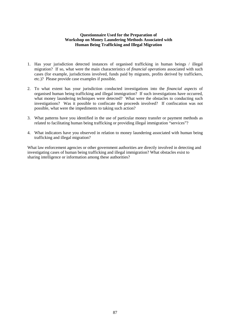## **Questionnaire Used for the Preparation of Workshop on Money Laundering Methods Associated with Human Being Trafficking and Illegal Migration**

- 1. Has your jurisdiction detected instances of organised trafficking in human beings / illegal migration? If so, what were the main characteristics of *financial operations* associated with such cases (for example, jurisdictions involved, funds paid by migrants, profits derived by traffickers, etc.)? Please provide case examples if possible.
- 2. To what extent has your jurisdiction conducted investigations into the *financial aspects* of organised human being trafficking and illegal immigration? If such investigations have occurred, what money laundering techniques were detected? What were the obstacles to conducting such investigations? Was it possible to confiscate the proceeds involved? If confiscation was not possible, what were the impediments to taking such action?
- 3. What patterns have you identified in the use of particular money transfer or payment methods as related to facilitating human being trafficking or providing illegal immigration "services"?
- 4. What indicators have you observed in relation to money laundering associated with human being trafficking and illegal migration?

What law enforcement agencies or other government authorities are directly involved in detecting and investigating cases of human being trafficking and illegal immigration? What obstacles exist to sharing intelligence or information among these authorities?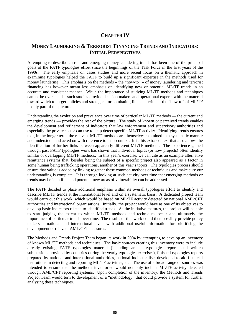# **CHAPTER IV**

# **MONEY LAUNDERING & TERRORIST FINANCING TRENDS AND INDICATORS: INITIAL PERSPECTIVES**

Attempting to describe current and emerging money laundering trends has been one of the principal goals of the FATF typologies effort since the beginnings of the Task Force in the first years of the 1990s. The early emphasis on cases studies and more recent focus on a thematic approach in examining typologies helped the FATF to build up a significant expertise in the methods used for money laundering. This emphasis on the methods – the "how-to" – of money laundering and terrorist financing has however meant less emphasis on identifying new or potential ML/TF trends in an accurate and consistent manner. While the importance of studying ML/TF methods and techniques cannot be overstated – such studies provide decision makers and operational experts with the material toward which to target policies and strategies for combating financial crime – the "how-to" of ML/TF is only part of the picture.

Understanding the evolution and prevalence over time of particular ML/TF methods — the current and emerging trends — provides the rest of the picture. The study of known or perceived trends enables the development and refinement of indicators that law enforcement and supervisory authorities and especially the private sector can use to help detect specific ML/TF activity. Identifying trends ensures that, in the longer term, the relevant ML/TF methods are themselves examined in a systematic manner and understood and acted on with reference to their context. It is this extra context that also allows the identification of further links between apparently different ML/TF methods. The experience gained through past FATF typologies work has shown that individual topics (or now projects) often identify similar or overlapping ML/TF methods. In this year's exercise, we can cite as an example alternative remittance systems that, besides being the subject of a specific project also appeared as a factor in some human being trafficking operations, another of this year's topics. The typologies process should ensure that value is added by linking together these common methods or techniques and make sure our understanding is complete. It is through looking at such activity over time that emerging methods or trends may be identified and potential new areas of vulnerability can be addressed.

The FATF decided to place additional emphasis within its overall typologies effort to identify and describe ML/TF trends at the international level and on a systematic basis. A dedicated project team would carry out this work, which would be based on ML/TF activity detected by national AML/CFT authorities and international organisations. Initially, the project would have as one of its objectives to develop basic indicators related to identified trends. As the initiative matures, the project will be able to start judging the extent to which ML/TF methods and techniques occur and ultimately the importance of particular trends over time. The results of this work could then possibly provide policy makers at national and international levels with additional useful information for prioritising the development of relevant AML/CFT measures.

The Methods and Trends Project Team began its work in 2004 by attempting to develop an inventory of known ML/TF methods and techniques. The basic sources creating this inventory were to include already existing FATF typologies material (including annual typologies reports and written submissions provided by countries during the yearly typologies exercises), finished typologies reports prepared by national and international authorities, national indicator lists developed to aid financial institutions in detecting and reporting ML/TF activities, etc. The use of a broad range of sources was intended to ensure that the methods inventoried would not only include ML/TF activity detected through AML/CFT reporting systems. Upon completion of the inventory, the Methods and Trends Project Team would turn to development of a "methodology" that could provide a system for further analysing these techniques.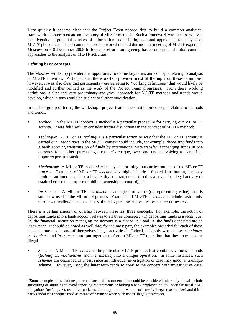Very quickly it became clear that the Project Team needed first to build a common analytical framework in order to create an inventory of ML/TF methods. Such a framework was necessary given the diversity of potential sources of information and differing national approaches to analysis of ML/TF phenomena. The Team thus used the workshop held during joint meeting of ML/TF experts in Moscow on 6-8 December 2005 to focus its efforts on agreeing basic concepts and initial common approaches to the analysis of ML/TF activities.

## **Defining basic concepts**

The Moscow workshop provided the opportunity to define key terms and concepts relating to analysis of ML/TF activities. Participants in the workshop provided most of the input on these definitions; however, it was also clear that participants were agreeing to "working definitions" that would likely be modified and further refined as the work of the Project Team progresses. From these working definitions, a first and very preliminary analytical approach for ML/TF methods and trends would develop, which in turn would be subject to further modification.

In the first group of terms, the workshop / project team concentrated on concepts relating to methods and trends.

- *Method*: In the ML/TF context, a *method* is a particular procedure for carrying out ML or TF activity. It was felt useful to consider further distinctions in the concept of ML/TF method:
- *Technique*: A ML or TF *technique* is a particular action or way that the ML or TF activity is carried out. *Techniques* in the ML/TF context could include, for example, depositing funds into a bank account, transmission of funds by international wire transfer, exchanging funds in one currency for another, purchasing a cashier's cheque, over- and under-invoicing as part of an import/export transaction.
- *Mechanism*: A ML or TF *mechanism* is a system or thing that carries out part of the ML or TF process. Examples of ML or TF *mechanisms* might include a financial institution, a money remitter, an Internet casino, a legal entity or arrangement (used as a cover for illegal activity or established for the purpose of hiding ownership or control), etc.
- *Instrument*: A ML or TF *instrument* is an object of value (or representing value) that is somehow used in the ML or TF process. Examples of ML/TF *instruments* include cash funds, cheques, travellers' cheques, letters of credit, precious stones, real estate, securities, etc.

There is a certain amount of overlap between these last three concepts. For example, the action of depositing funds into a bank account relates to all three concepts: (1) depositing funds is a *technique*, (2) the financial institution managing the account is a *mechanism* and (3) the funds deposited are an *instrument*. It should be noted as well that, for the most part, the examples provided for each of these concepts may not in and of themselves illegal activities.<sup>24</sup> Indeed, it is only when these *techniques*, *mechanisms* and *instruments* are put together to form a ML or TF operation that they may become illegal.

• *Scheme*: A ML or TF *scheme* is the particular ML/TF process that combines various methods (*techniques*, *mechanisms* and *instruments*) into a unique operation. In some instances, such *schemes* are described as *cases*, since an individual investigation or case may uncover a unique scheme. However, using the latter term tends to confuse the concept with investigative case;

 $\overline{a}$ <sup>24</sup>Some examples of techniques, mechanisms and instruments that could be considered inherently illegal include structuring or smurfing to avoid reporting requirements or bribing a bank employee not to undertake usual AML obligations (*techniques*), use of an unlicensed money remitter where such use is illegal (*mechanism*) and thirdparty (endorsed) cheques used as means of payment when such use is illegal (*instrument*).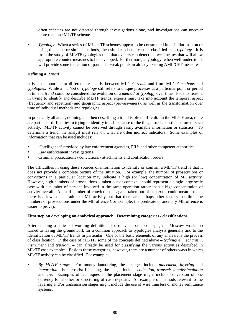often *schemes* are not detected through investigations alone, and investigations can uncover more than one ML/TF scheme.

• *Typology*: When a series of ML or TF schemes appear to be constructed in a similar fashion or using the same or similar methods, then similar scheme can be classified as a *typology*. It is from the study of ML/TF typologies then that experts can detect the weaknesses that will allow appropriate counter-measures to be developed. Furthermore, a typology, when well-understood, will provide some indication of particular weak points in already existing AML/CFT measures.

# **Defining a Trend**

It is also important to differentiate clearly between ML/TF *trends* and from ML/TF *methods* and *typologies*. While a *method* or *typology* still refers to unique processes at a particular point or period in time, a *trend* could be considered the evolution of a *method* or *typology* over time. For this reason, in trying to identify and describe ML/TF trends, experts must take into account the temporal aspect (frequency and repetition) and geographic aspect (pervasiveness), as well as the transformation over time of individual methods and typologies.

In practically all areas, defining and then describing a trend is often difficult. In the ML/TF area, there are particular difficulties in trying to identify trends because of the illegal or clandestine nature of such activity. ML/TF activity cannot be observed through easily available information or statistics. To determine a trend, the analyst must rely on what are often indirect indicators. Some examples of information that can be used includes:

- "Intelligence" provided by law enforcement agencies, FIUs and other competent authorities
- Law enforcement investigations
- Criminal prosecutions / convictions / attachments and confiscation orders

The difficulties in using these sources of information to identify or confirm a ML/TF trend is that it does not provide a complete picture of the situation. For example, the number of prosecutions or convictions in a particular location may indicate a high (or low) concentration of ML activity. However, high numbers of prosecutions – taken out of context – could represent a single large-scale case with a number of persons involved in the same operation rather than a high concentration of activity overall. A small number of convictions – again, taken out of context – could mean not that there is a low concentration of ML activity but that there are perhaps other factors that limit the numbers of prosecutions under the ML offence (for example, the predicate or ancillary ML offence is easier to prove).

# **First step on developing an analytical approach: Determining categories / classifications**

After creating a series of working definitions for relevant basic concepts, the Moscow workshop turned to laying the groundwork for a common approach to typologies analysis generally and to the identification of ML/TF trends in particular. One of the basic elements of any analysis is the process of classification. In the case of ML/TF, some of the concepts defined above – *technique, mechanism, instrument* and *typology* – can already be used for classifying the various activities described in ML/TF case examples. Besides these categories, however, there are a number of others ways in which ML/TF activity can be classified. For example:

• *By ML/TF stage:* For money laundering, these stages include *placement*, *layering* and *integration*. For terrorist financing, the stages include *collection*, *transmission/dissimulation* and *use*. Examples of techniques at the placement stage might include conversion of one currency for another or structuring of cash deposits. An example of methods relevant to the layering and/or transmission stages might include the use of wire transfers or money remittance systems.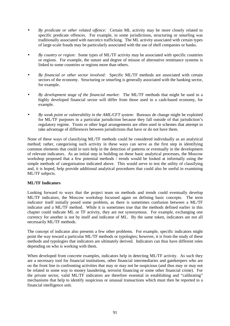- *By predicate or other related offence:* Certain ML activity may be more closely related to specific predicate offences. For example, in some jurisdictions, structuring or smurfing was traditionally associated with narcotics trafficking. The ML activity associated with certain types of large-scale frauds may be particularly associated with the use of shell companies or banks.
- *By country or region:* Some types of ML/TF activity may be associated with specific countries or regions. For example, the nature and degree of misuse of alternative remittance systems is linked to some countries or regions more than others.
- *By financial or other sector involved:* Specific ML/TF methods are associated with certain sectors of the economy. Structuring or smurfing is generally associated with the banking sector, for example.
- *By development stage of the financial market:* The ML/TF methods that might be used in a highly developed financial sector will differ from those used in a cash-based economy, for example.
- *By weak point or vulnerability in the AML/CFT system:* Bureaux de change might be exploited for ML/TF purposes in a particular jurisdiction because they fall outside of that jurisdiction's regulatory regime. Trusts or other legal arrangements are often used in schemes that attempt to take advantage of differences between jurisdictions that have or do not have them.

None of these ways of classifying ML/TF methods could be considered individually as an analytical method; rather, categorising such activity in these ways can serve as the first step in identifying common elements that could in turn help in the detection of patterns or eventually in the development of relevant indicators. As an initial step in building on these basic analytical processes, the Moscow workshop proposed that a few potential methods / trends would be looked at informally using the simple methods of categorisation indicated above. This would serve to test the utility of classifying and, it is hoped, help provide additional analytical procedures that could also be useful in examining ML/TF subjects.

# **ML/TF Indicators**

Looking forward to ways that the project team on methods and trends could eventually develop ML/TF indicators, the Moscow workshop focussed again on defining basic concepts. The term *indicator* itself initially posed some problem, as there is sometimes confusion between a ML/TF indicator and a ML/TF method. While it is sometimes true that the methods defined earlier in this chapter could indicate ML or TF activity, they are not synonymous. For example, exchanging one currency for another is not by itself and indicator of ML. By the same token, indicators are not all necessarily ML/TF methods.

The concept of indicator also presents a few other problems. For example, specific indicators might point the way toward a particular ML/TF methods or typologies; however, it is from the study of these methods and typologies that indicators are ultimately derived. Indicators can thus have different roles depending on who is working with them.

When developed from concrete examples, indicators help in detecting ML/TF activity. As such they are a necessary tool for financial institutions, other financial intermediaries and gatekeepers who are on the front line in confronting activities that may or may not be suspicious (and thus may or may not be related in some way to money laundering, terrorist financing or some other financial crime). For the private sector, valid ML/TF indicators are therefore essential in establishing and "calibrating" mechanisms that help to identify suspicious or unusual transactions which must then be reported to a financial intelligence unit.